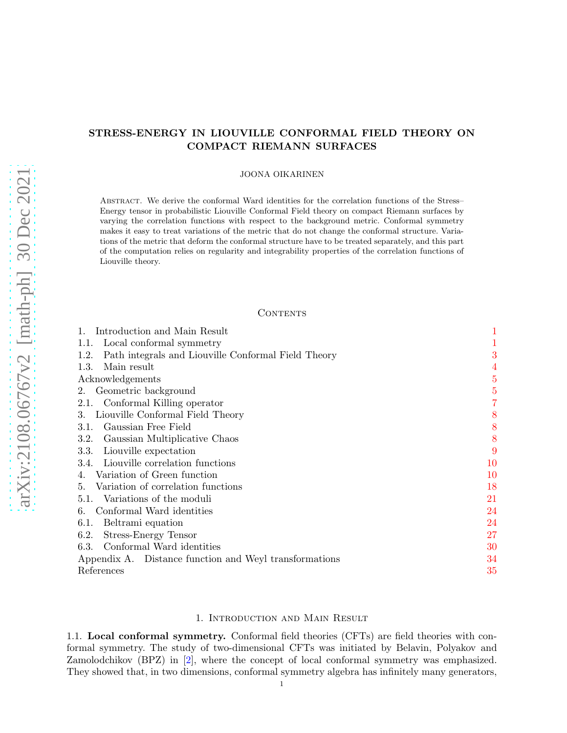# STRESS-ENERGY IN LIOUVILLE CONFORMAL FIELD THEORY ON COMPACT RIEMANN SURFACES

#### JOONA OIKARINEN

Abstract. We derive the conformal Ward identities for the correlation functions of the Stress– Energy tensor in probabilistic Liouville Conformal Field theory on compact Riemann surfaces by varying the correlation functions with respect to the background metric. Conformal symmetry makes it easy to treat variations of the metric that do not change the conformal structure. Variations of the metric that deform the conformal structure have to be treated separately, and this part of the computation relies on regularity and integrability properties of the correlation functions of Liouville theory.

## **CONTENTS**

| Introduction and Main Result                                | 1              |
|-------------------------------------------------------------|----------------|
| Local conformal symmetry<br>1.1.                            |                |
| Path integrals and Liouville Conformal Field Theory<br>1.2. | 3              |
| 1.3.<br>Main result                                         | $\overline{4}$ |
| Acknowledgements                                            | $\overline{5}$ |
| Geometric background<br>2.                                  | 5              |
| 2.1. Conformal Killing operator                             | 7              |
| Liouville Conformal Field Theory<br>3.                      | 8              |
| Gaussian Free Field<br>3.1.                                 | 8              |
| Gaussian Multiplicative Chaos<br>3.2.                       | 8              |
| 3.3.<br>Liouville expectation                               | 9              |
| Liouville correlation functions<br>3.4.                     | 10             |
| Variation of Green function<br>4.                           | 10             |
| Variation of correlation functions<br>5.                    | 18             |
| 5.1. Variations of the moduli                               | 21             |
| Conformal Ward identities<br>6.                             | 24             |
| Beltrami equation<br>6.1.                                   | 24             |
| <b>Stress-Energy Tensor</b><br>6.2.                         | 27             |
| 6.3. Conformal Ward identities                              | 30             |
| Appendix A. Distance function and Weyl transformations      | 34             |
| References                                                  | $35\,$         |

#### 1. Introduction and Main Result

<span id="page-0-1"></span><span id="page-0-0"></span>1.1. Local conformal symmetry. Conformal field theories (CFTs) are field theories with conformal symmetry. The study of two-dimensional CFTs was initiated by Belavin, Polyakov and Zamolodchikov (BPZ) in [\[2\]](#page-34-1), where the concept of local conformal symmetry was emphasized. They showed that, in two dimensions, conformal symmetry algebra has infinitely many generators,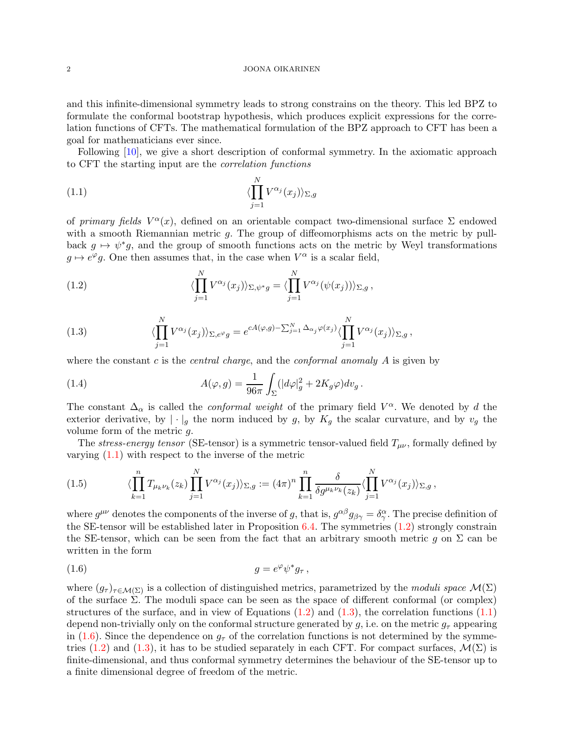and this infinite-dimensional symmetry leads to strong constrains on the theory. This led BPZ to formulate the conformal bootstrap hypothesis, which produces explicit expressions for the correlation functions of CFTs. The mathematical formulation of the BPZ approach to CFT has been a goal for mathematicians ever since.

Following [\[10\]](#page-34-2), we give a short description of conformal symmetry. In the axiomatic approach to CFT the starting input are the correlation functions

<span id="page-1-0"></span>(1.1) 
$$
\langle \prod_{j=1}^{N} V^{\alpha_j}(x_j) \rangle_{\Sigma,g}
$$

of primary fields  $V^{\alpha}(x)$ , defined on an orientable compact two-dimensional surface  $\Sigma$  endowed with a smooth Riemannian metric  $g$ . The group of diffeomorphisms acts on the metric by pullback  $g \mapsto \psi^*g$ , and the group of smooth functions acts on the metric by Weyl transformations  $g \mapsto e^{\varphi}g$ . One then assumes that, in the case when  $V^{\alpha}$  is a scalar field,

<span id="page-1-1"></span>(1.2) 
$$
\langle \prod_{j=1}^N V^{\alpha_j}(x_j) \rangle_{\Sigma, \psi^* g} = \langle \prod_{j=1}^N V^{\alpha_j}(\psi(x_j)) \rangle_{\Sigma, g},
$$

<span id="page-1-2"></span>(1.3) 
$$
\langle \prod_{j=1}^N V^{\alpha_j}(x_j) \rangle_{\Sigma, e^{\varphi}g} = e^{cA(\varphi,g) - \sum_{j=1}^N \Delta_{\alpha_j} \varphi(x_j)} \langle \prod_{j=1}^N V^{\alpha_j}(x_j) \rangle_{\Sigma, g},
$$

where the constant c is the *central charge*, and the *conformal anomaly*  $A$  is given by

<span id="page-1-5"></span>(1.4) 
$$
A(\varphi, g) = \frac{1}{96\pi} \int_{\Sigma} (|d\varphi|_g^2 + 2K_g \varphi) dv_g.
$$

The constant  $\Delta_{\alpha}$  is called the *conformal weight* of the primary field  $V^{\alpha}$ . We denoted by d the exterior derivative, by  $|\cdot|_g$  the norm induced by g, by  $K_g$  the scalar curvature, and by  $v_g$  the volume form of the metric g.

The stress-energy tensor (SE-tensor) is a symmetric tensor-valued field  $T_{\mu\nu}$ , formally defined by varying [\(1.1\)](#page-1-0) with respect to the inverse of the metric

<span id="page-1-4"></span>(1.5) 
$$
\langle \prod_{k=1}^n T_{\mu_k \nu_k}(z_k) \prod_{j=1}^N V^{\alpha_j}(x_j) \rangle_{\Sigma,g} := (4\pi)^n \prod_{k=1}^n \frac{\delta}{\delta g^{\mu_k \nu_k}(z_k)} \langle \prod_{j=1}^N V^{\alpha_j}(x_j) \rangle_{\Sigma,g},
$$

where  $g^{\mu\nu}$  denotes the components of the inverse of g, that is,  $g^{\alpha\beta}g_{\beta\gamma}=\delta^\alpha_\gamma$ . The precise definition of the SE-tensor will be established later in Proposition [6.4.](#page-27-0) The symmetries [\(1.2\)](#page-1-1) strongly constrain the SE-tensor, which can be seen from the fact that an arbitrary smooth metric g on  $\Sigma$  can be written in the form

<span id="page-1-3"></span>
$$
(1.6) \t\t\t g = e^{\varphi} \psi^* g_{\tau},
$$

where  $(g_{\tau})_{\tau \in \mathcal{M}(\Sigma)}$  is a collection of distinguished metrics, parametrized by the moduli space  $\mathcal{M}(\Sigma)$ of the surface  $\Sigma$ . The moduli space can be seen as the space of different conformal (or complex) structures of the surface, and in view of Equations  $(1.2)$  and  $(1.3)$ , the correlation functions  $(1.1)$ depend non-trivially only on the conformal structure generated by g, i.e. on the metric  $g_{\tau}$  appearing in [\(1.6\)](#page-1-3). Since the dependence on  $g<sub>\tau</sub>$  of the correlation functions is not determined by the symme-tries [\(1.2\)](#page-1-1) and [\(1.3\)](#page-1-2), it has to be studied separately in each CFT. For compact surfaces,  $\mathcal{M}(\Sigma)$  is finite-dimensional, and thus conformal symmetry determines the behaviour of the SE-tensor up to a finite dimensional degree of freedom of the metric.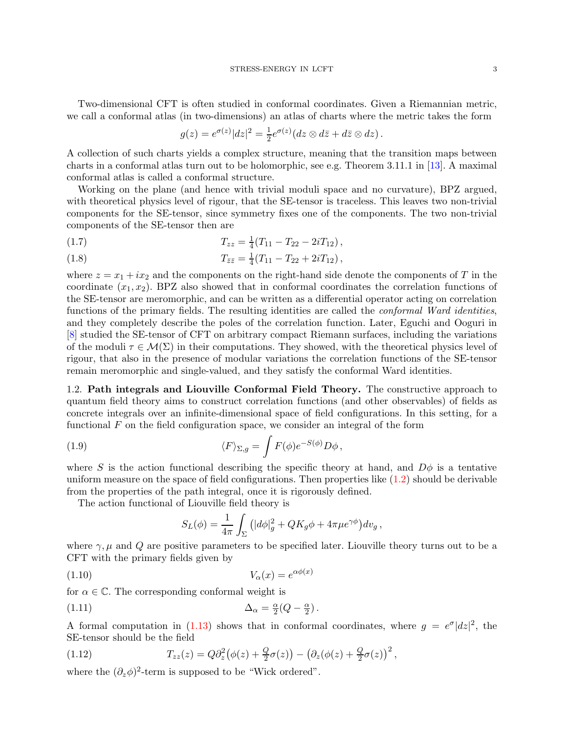Two-dimensional CFT is often studied in conformal coordinates. Given a Riemannian metric, we call a conformal atlas (in two-dimensions) an atlas of charts where the metric takes the form

$$
g(z) = e^{\sigma(z)}|dz|^2 = \frac{1}{2}e^{\sigma(z)}(dz \otimes d\overline{z} + d\overline{z} \otimes dz).
$$

A collection of such charts yields a complex structure, meaning that the transition maps between charts in a conformal atlas turn out to be holomorphic, see e.g. Theorem 3.11.1 in [\[13\]](#page-34-3). A maximal conformal atlas is called a conformal structure.

Working on the plane (and hence with trivial moduli space and no curvature), BPZ argued, with theoretical physics level of rigour, that the SE-tensor is traceless. This leaves two non-trivial components for the SE-tensor, since symmetry fixes one of the components. The two non-trivial components of the SE-tensor then are

(1.7) 
$$
T_{zz} = \frac{1}{4}(T_{11} - T_{22} - 2iT_{12}),
$$

(1.8) 
$$
T_{\bar{z}\bar{z}} = \frac{1}{4}(T_{11} - T_{22} + 2iT_{12}),
$$

where  $z = x_1 + ix_2$  and the components on the right-hand side denote the components of T in the coordinate  $(x_1, x_2)$ . BPZ also showed that in conformal coordinates the correlation functions of the SE-tensor are meromorphic, and can be written as a differential operator acting on correlation functions of the primary fields. The resulting identities are called the *conformal Ward identities*, and they completely describe the poles of the correlation function. Later, Eguchi and Ooguri in [\[8\]](#page-34-4) studied the SE-tensor of CFT on arbitrary compact Riemann surfaces, including the variations of the moduli  $\tau \in \mathcal{M}(\Sigma)$  in their computations. They showed, with the theoretical physics level of rigour, that also in the presence of modular variations the correlation functions of the SE-tensor remain meromorphic and single-valued, and they satisfy the conformal Ward identities.

<span id="page-2-0"></span>1.2. Path integrals and Liouville Conformal Field Theory. The constructive approach to quantum field theory aims to construct correlation functions (and other observables) of fields as concrete integrals over an infinite-dimensional space of field configurations. In this setting, for a functional  $F$  on the field configuration space, we consider an integral of the form

(1.9) 
$$
\langle F \rangle_{\Sigma,g} = \int F(\phi) e^{-S(\phi)} D\phi,
$$

where S is the action functional describing the specific theory at hand, and  $D\phi$  is a tentative uniform measure on the space of field configurations. Then properties like  $(1.2)$  should be derivable from the properties of the path integral, once it is rigorously defined.

The action functional of Liouville field theory is

$$
S_L(\phi) = \frac{1}{4\pi} \int_{\Sigma} \left( |d\phi|_g^2 + QK_g \phi + 4\pi \mu e^{\gamma \phi} \right) dv_g,
$$

where  $\gamma$ ,  $\mu$  and  $Q$  are positive parameters to be specified later. Liouville theory turns out to be a CFT with the primary fields given by

<span id="page-2-1"></span>
$$
(1.10) \t\t V_{\alpha}(x) = e^{\alpha \phi(x)}
$$

for  $\alpha \in \mathbb{C}$ . The corresponding conformal weight is

(1.11) 
$$
\Delta_{\alpha} = \frac{\alpha}{2}(Q - \frac{\alpha}{2}).
$$

A formal computation in [\(1.13\)](#page-3-1) shows that in conformal coordinates, where  $g = e^{\sigma} |dz|^2$ , the SE-tensor should be the field

<span id="page-2-2"></span>(1.12) 
$$
T_{zz}(z) = Q\partial_z^2(\phi(z) + \frac{Q}{2}\sigma(z)) - (\partial_z(\phi(z) + \frac{Q}{2}\sigma(z))^2,
$$

where the  $(\partial_z \phi)^2$ -term is supposed to be "Wick ordered".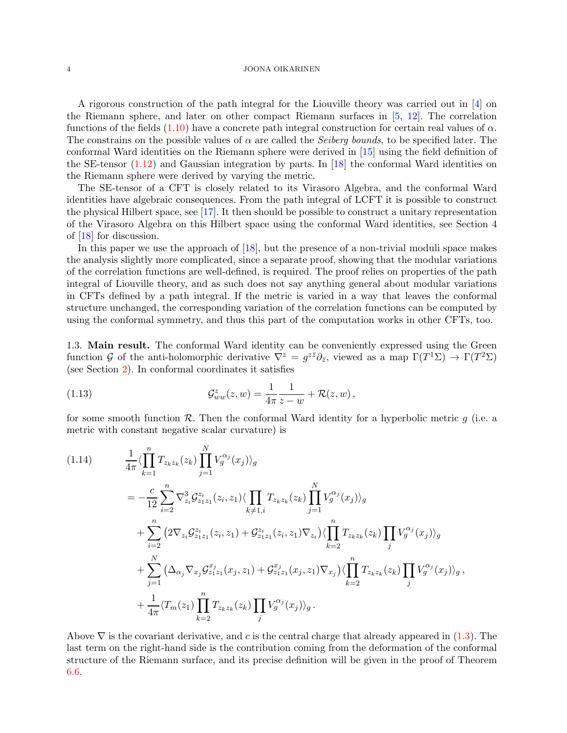A rigorous construction of the path integral for the Liouville theory was carried out in [\[4\]](#page-34-5) on the Riemann sphere, and later on other compact Riemann surfaces in [\[5,](#page-34-6) [12\]](#page-34-7). The correlation functions of the fields  $(1.10)$  have a concrete path integral construction for certain real values of  $\alpha$ . The constrains on the possible values of  $\alpha$  are called the *Seiberg bounds*, to be specified later. The conformal Ward identities on the Riemann sphere were derived in [\[15\]](#page-34-8) using the field definition of the SE-tensor  $(1.12)$  and Gaussian integration by parts. In [\[18\]](#page-34-9) the conformal Ward identities on the Riemann sphere were derived by varying the metric.

The SE-tensor of a CFT is closely related to its Virasoro Algebra, and the conformal Ward identities have algebraic consequences. From the path integral of LCFT it is possible to construct the physical Hilbert space, see [\[17\]](#page-34-10). It then should be possible to construct a unitary representation of the Virasoro Algebra on this Hilbert space using the conformal Ward identities, see Section 4 of [\[18\]](#page-34-9) for discussion.

In this paper we use the approach of [\[18\]](#page-34-9), but the presence of a non-trivial moduli space makes the analysis slightly more complicated, since a separate proof, showing that the modular variations of the correlation functions are well-defined, is required. The proof relies on properties of the path integral of Liouville theory, and as such does not say anything general about modular variations in CFTs defined by a path integral. If the metric is varied in a way that leaves the conformal structure unchanged, the corresponding variation of the correlation functions can be computed by using the conformal symmetry, and thus this part of the computation works in other CFTs, too.

<span id="page-3-0"></span>1.3. Main result. The conformal Ward identity can be conveniently expressed using the Green function G of the anti-holomorphic derivative  $\nabla^z = g^{z\bar{z}} \partial_{\bar{z}},$  viewed as a map  $\Gamma(T^1\Sigma) \to \Gamma(T^2\Sigma)$ (see Section [2\)](#page-4-1). In conformal coordinates it satisfies

<span id="page-3-1"></span>(1.13) 
$$
\mathcal{G}_{ww}^z(z,w) = \frac{1}{4\pi} \frac{1}{z-w} + \mathcal{R}(z,w),
$$

for some smooth function  $\mathcal{R}$ . Then the conformal Ward identity for a hyperbolic metric g (i.e. a metric with constant negative scalar curvature) is

<span id="page-3-2"></span>
$$
(1.14) \qquad \frac{1}{4\pi} \langle \prod_{k=1}^{n} T_{z_k z_k}(z_k) \prod_{j=1}^{N} V_g^{\alpha_j}(x_j) \rangle_g
$$
\n
$$
= -\frac{c}{12} \sum_{i=2}^{n} \nabla_{z_i}^3 \mathcal{G}_{z_1 z_1}^{z_i}(z_i, z_1) \langle \prod_{k \neq 1, i} T_{z_k z_k}(z_k) \prod_{j=1}^{N} V_g^{\alpha_j}(x_j) \rangle_g
$$
\n
$$
+ \sum_{i=2}^{n} \left( 2 \nabla_{z_i} \mathcal{G}_{z_1 z_1}^{z_i}(z_i, z_1) + \mathcal{G}_{z_1 z_1}^{z_i}(z_i, z_1) \nabla_{z_i} \right) \langle \prod_{k=2}^{n} T_{z_k z_k}(z_k) \prod_j V_g^{\alpha_j}(x_j) \rangle_g
$$
\n
$$
+ \sum_{j=1}^{N} \left( \Delta_{\alpha_j} \nabla_{x_j} \mathcal{G}_{z_1 z_1}^{x_j}(x_j, z_1) + \mathcal{G}_{z_1 z_1}^{x_j}(x_j, z_1) \nabla_{x_j} \right) \langle \prod_{k=2}^{n} T_{z_k z_k}(z_k) \prod_j V_g^{\alpha_j}(x_j) \rangle_g
$$
\n
$$
+ \frac{1}{4\pi} \langle T_m(z_1) \prod_{k=2}^{n} T_{z_k z_k}(z_k) \prod_j V_g^{\alpha_j}(x_j) \rangle_g.
$$

Above  $\nabla$  is the covariant derivative, and c is the central charge that already appeared in [\(1.3\)](#page-1-2). The last term on the right-hand side is the contribution coming from the deformation of the conformal structure of the Riemann surface, and its precise definition will be given in the proof of Theorem [6.6.](#page-29-1)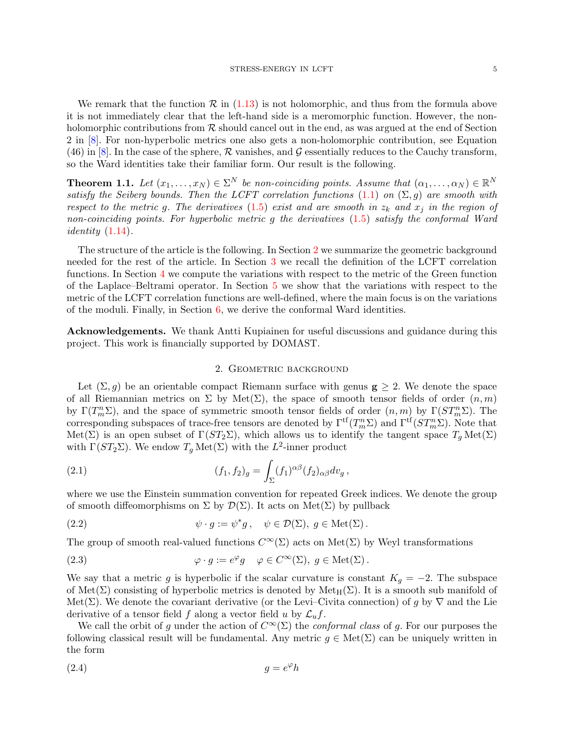We remark that the function  $\mathcal R$  in [\(1.13\)](#page-3-1) is not holomorphic, and thus from the formula above it is not immediately clear that the left-hand side is a meromorphic function. However, the nonholomorphic contributions from  $R$  should cancel out in the end, as was argued at the end of Section 2 in [\[8\]](#page-34-4). For non-hyperbolic metrics one also gets a non-holomorphic contribution, see Equation  $(46)$  in [\[8\]](#page-34-4). In the case of the sphere,  $\mathcal R$  vanishes, and  $\mathcal G$  essentially reduces to the Cauchy transform, so the Ward identities take their familiar form. Our result is the following.

**Theorem 1.1.** Let  $(x_1, \ldots, x_N) \in \Sigma^N$  be non-coinciding points. Assume that  $(\alpha_1, \ldots, \alpha_N) \in \mathbb{R}^N$ satisfy the Seiberg bounds. Then the LCFT correlation functions  $(1.1)$  on  $(\Sigma, g)$  are smooth with respect to the metric g. The derivatives [\(1.5\)](#page-1-4) exist and are smooth in  $z_k$  and  $x_j$  in the region of non-coinciding points. For hyperbolic metric g the derivatives [\(1.5\)](#page-1-4) satisfy the conformal Ward *identity*  $(1.14)$ .

The structure of the article is the following. In Section [2](#page-4-1) we summarize the geometric background needed for the rest of the article. In Section [3](#page-7-0) we recall the definition of the LCFT correlation functions. In Section [4](#page-9-1) we compute the variations with respect to the metric of the Green function of the Laplace–Beltrami operator. In Section [5](#page-17-0) we show that the variations with respect to the metric of the LCFT correlation functions are well-defined, where the main focus is on the variations of the moduli. Finally, in Section [6,](#page-23-0) we derive the conformal Ward identities.

<span id="page-4-1"></span><span id="page-4-0"></span>Acknowledgements. We thank Antti Kupiainen for useful discussions and guidance during this project. This work is financially supported by DOMAST.

### 2. Geometric background

Let  $(\Sigma, g)$  be an orientable compact Riemann surface with genus  $g \geq 2$ . We denote the space of all Riemannian metrics on  $\Sigma$  by Met $(\Sigma)$ , the space of smooth tensor fields of order  $(n, m)$ by  $\Gamma(T_m^n\Sigma)$ , and the space of symmetric smooth tensor fields of order  $(n,m)$  by  $\Gamma(ST_m^n\Sigma)$ . The corresponding subspaces of trace-free tensors are denoted by  $\Gamma^{tf}(T_m^n\Sigma)$  and  $\Gamma^{tf}(ST_m^n\Sigma)$ . Note that Met(Σ) is an open subset of  $\Gamma(ST_2\Sigma)$ , which allows us to identify the tangent space  $T_q \text{Met}(\Sigma)$ with  $\Gamma(ST_2\Sigma)$ . We endow  $T_g \text{Met}(\Sigma)$  with the  $L^2$ -inner product

<span id="page-4-2"></span>(2.1) 
$$
(f_1, f_2)_g = \int_{\Sigma} (f_1)^{\alpha \beta} (f_2)_{\alpha \beta} dv_g,
$$

where we use the Einstein summation convention for repeated Greek indices. We denote the group of smooth diffeomorphisms on  $\Sigma$  by  $\mathcal{D}(\Sigma)$ . It acts on Met $(\Sigma)$  by pullback

(2.2) 
$$
\psi \cdot g := \psi^* g, \quad \psi \in \mathcal{D}(\Sigma), \ g \in \text{Met}(\Sigma).
$$

The group of smooth real-valued functions  $C^{\infty}(\Sigma)$  acts on Met( $\Sigma$ ) by Weyl transformations

(2.3) 
$$
\varphi \cdot g := e^{\varphi} g \quad \varphi \in C^{\infty}(\Sigma), \ g \in \text{Met}(\Sigma).
$$

We say that a metric g is hyperbolic if the scalar curvature is constant  $K_g = -2$ . The subspace of Met( $\Sigma$ ) consisting of hyperbolic metrics is denoted by Met<sub>H</sub>( $\Sigma$ ). It is a smooth sub manifold of Met(Σ). We denote the covariant derivative (or the Levi–Civita connection) of g by  $\nabla$  and the Lie derivative of a tensor field f along a vector field u by  $\mathcal{L}_u f$ .

We call the orbit of g under the action of  $C^{\infty}(\Sigma)$  the *conformal class* of g. For our purposes the following classical result will be fundamental. Any metric  $g \in Met(\Sigma)$  can be uniquely written in the form

$$
(2.4) \t\t g = e^{\varphi}h
$$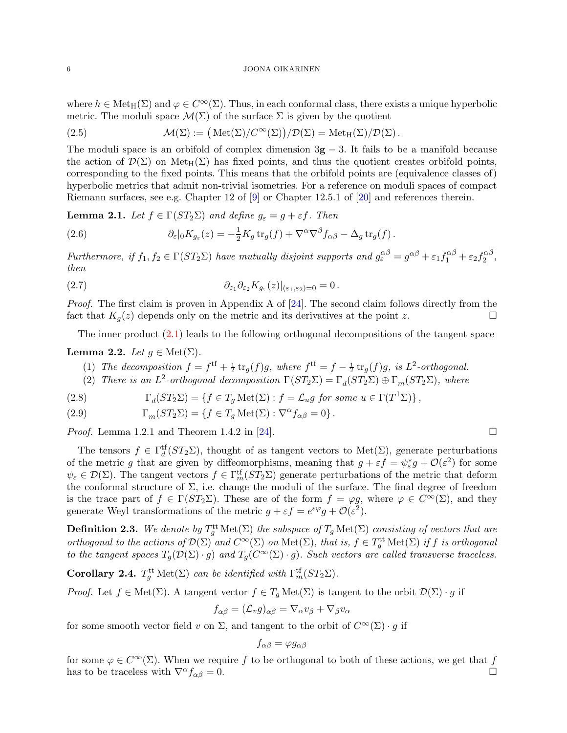where  $h \in \text{Met}_{H}(\Sigma)$  and  $\varphi \in C^{\infty}(\Sigma)$ . Thus, in each conformal class, there exists a unique hyperbolic metric. The moduli space  $\mathcal{M}(\Sigma)$  of the surface  $\Sigma$  is given by the quotient

(2.5) 
$$
\mathcal{M}(\Sigma) := (\text{Met}(\Sigma)/C^{\infty}(\Sigma))/\mathcal{D}(\Sigma) = \text{Met}_{H}(\Sigma)/\mathcal{D}(\Sigma).
$$

The moduli space is an orbifold of complex dimension  $3g - 3$ . It fails to be a manifold because the action of  $\mathcal{D}(\Sigma)$  on Met<sub>H</sub>( $\Sigma$ ) has fixed points, and thus the quotient creates orbifold points, corresponding to the fixed points. This means that the orbifold points are (equivalence classes of) hyperbolic metrics that admit non-trivial isometries. For a reference on moduli spaces of compact Riemann surfaces, see e.g. Chapter 12 of [\[9\]](#page-34-11) or Chapter 12.5.1 of [\[20\]](#page-34-12) and references therein.

**Lemma 2.1.** Let  $f \in \Gamma(ST_2\Sigma)$  and define  $g_{\varepsilon} = g + \varepsilon f$ . Then

<span id="page-5-3"></span>(2.6) 
$$
\partial_{\varepsilon}|_{0}K_{g_{\varepsilon}}(z)=-\frac{1}{2}K_{g}\operatorname{tr}_{g}(f)+\nabla^{\alpha}\nabla^{\beta}f_{\alpha\beta}-\Delta_{g}\operatorname{tr}_{g}(f).
$$

Furthermore, if  $f_1, f_2 \in \Gamma(ST_2\Sigma)$  have mutually disjoint supports and  $g_{\varepsilon}^{\alpha\beta} = g^{\alpha\beta} + \varepsilon_1 f_1^{\alpha\beta} + \varepsilon_2 f_2^{\alpha\beta}$  $\frac{\alpha \rho}{2}$ , then

(2.7) 
$$
\partial_{\varepsilon_1}\partial_{\varepsilon_2}K_{g_{\varepsilon}}(z)|_{(\varepsilon_1,\varepsilon_2)=0}=0.
$$

*Proof.* The first claim is proven in Appendix A of  $[24]$ . The second claim follows directly from the fact that  $K_g(z)$  depends only on the metric and its derivatives at the point z.

The inner product [\(2.1\)](#page-4-2) leads to the following orthogonal decompositions of the tangent space

## <span id="page-5-0"></span>Lemma 2.2. Let  $g \in \text{Met}(\Sigma)$ .

- (1) The decomposition  $f = f^{\text{tf}} + \frac{1}{2} \text{tr}_g(f)g$ , where  $f^{\text{tf}} = f \frac{1}{2} \text{tr}_g(f)g$ , is  $L^2$ -orthogonal.
- (2) There is an  $L^2$ -orthogonal decomposition  $\Gamma(ST_2\Sigma) = \Gamma_d(ST_2\Sigma) \oplus \Gamma_m(ST_2\Sigma)$ , where

(2.8) 
$$
\Gamma_d(ST_2\Sigma) = \{f \in T_g \operatorname{Met}(\Sigma) : f = \mathcal{L}_ug \text{ for some } u \in \Gamma(T^1\Sigma) \},
$$

(2.9) 
$$
\Gamma_m(ST_2\Sigma) = \{f \in T_g \operatorname{Met}(\Sigma) : \nabla^{\alpha} f_{\alpha\beta} = 0\}.
$$

*Proof.* Lemma 1.2.1 and Theorem 1.4.2 in [\[24\]](#page-34-13).

The tensors  $f \in \Gamma_d^{\text{tf}}(ST_2\Sigma)$ , thought of as tangent vectors to  $\text{Met}(\Sigma)$ , generate perturbations of the metric g that are given by diffeomorphisms, meaning that  $g + \varepsilon f = \psi_{\varepsilon}^* g + \mathcal{O}(\varepsilon^2)$  for some  $\psi_{\varepsilon} \in \mathcal{D}(\Sigma)$ . The tangent vectors  $f \in \Gamma_m^{\text{tf}}(ST_2\Sigma)$  generate perturbations of the metric that deform the conformal structure of  $\Sigma$ , i.e. change the moduli of the surface. The final degree of freedom is the trace part of  $f \in \Gamma(ST_2\Sigma)$ . These are of the form  $f = \varphi g$ , where  $\varphi \in C^{\infty}(\Sigma)$ , and they generate Weyl transformations of the metric  $g + \varepsilon f = e^{\varepsilon \varphi} g + \mathcal{O}(\varepsilon^2)$ .

<span id="page-5-1"></span>**Definition 2.3.** We denote by  $T_g^{\text{tt}}\text{Met}(\Sigma)$  the subspace of  $T_g\text{Met}(\Sigma)$  consisting of vectors that are orthogonal to the actions of  $\mathcal{D}(\Sigma)$  and  $C^{\infty}(\Sigma)$  on  $\mathrm{Met}(\Sigma)$ , that is,  $f \in T_g^{\mathrm{tt}}\mathrm{Met}(\Sigma)$  if f is orthogonal to the tangent spaces  $T_g(\mathcal{D}(\Sigma) \cdot g)$  and  $T_g(\mathcal{C}^{\infty}(\Sigma) \cdot g)$ . Such vectors are called transverse traceless.

<span id="page-5-2"></span>Corollary 2.4.  $T_g^{\text{tt}} \text{Met}(\Sigma)$  can be identified with  $\Gamma_m^{\text{tf}}(ST_2 \Sigma)$ .

*Proof.* Let  $f \in Met(\Sigma)$ . A tangent vector  $f \in T_q Met(\Sigma)$  is tangent to the orbit  $\mathcal{D}(\Sigma) \cdot g$  if

$$
f_{\alpha\beta} = (\mathcal{L}_v g)_{\alpha\beta} = \nabla_\alpha v_\beta + \nabla_\beta v_\alpha
$$

for some smooth vector field v on  $\Sigma$ , and tangent to the orbit of  $C^{\infty}(\Sigma) \cdot g$  if

$$
f_{\alpha\beta}=\varphi g_{\alpha\beta}
$$

for some  $\varphi \in C^{\infty}(\Sigma)$ . When we require f to be orthogonal to both of these actions, we get that f has to be traceless with  $\nabla^{\alpha} f_{\alpha\beta} = 0$ . has to be traceless with  $\nabla^{\alpha} f_{\alpha\beta} = 0$ .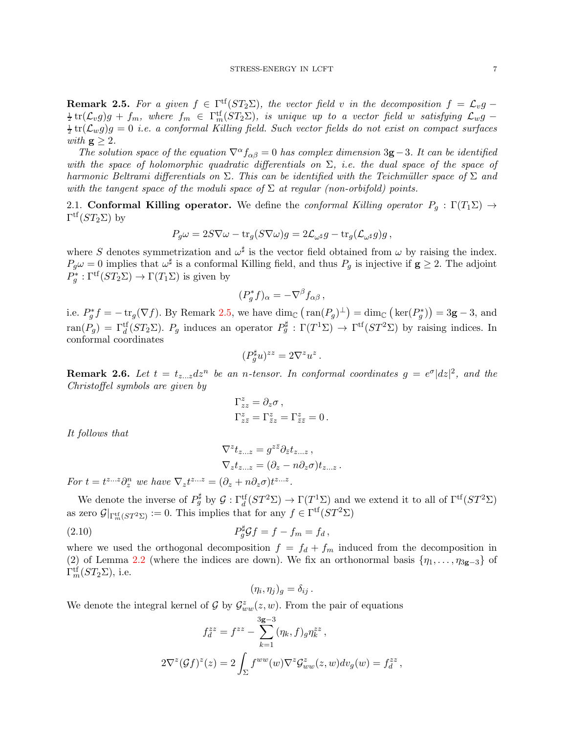<span id="page-6-1"></span>**Remark 2.5.** For a given  $f \in \Gamma^{\text{tf}}(ST_2\Sigma)$ , the vector field v in the decomposition  $f = \mathcal{L}_v g \frac{1}{2} \text{tr}(\mathcal{L}_v g) g + f_m$ , where  $f_m \in \Gamma_m^{\text{tf}}(ST_2\Sigma)$ , is unique up to a vector field w satisfying  $\mathcal{L}_w g$  –  $\frac{1}{2}\text{tr}(\mathcal{L}_w g)g = 0$  i.e. a conformal Killing field. Such vector fields do not exist on compact surfaces with  $g \geq 2$ .

The solution space of the equation  $\nabla^{\alpha} f_{\alpha\beta} = 0$  has complex dimension 3g – 3. It can be identified with the space of holomorphic quadratic differentials on  $\Sigma$ , i.e. the dual space of the space of harmonic Beltrami differentials on  $\Sigma$ . This can be identified with the Teichmüller space of  $\Sigma$  and with the tangent space of the moduli space of  $\Sigma$  at regular (non-orbifold) points.

<span id="page-6-0"></span>2.1. Conformal Killing operator. We define the conformal Killing operator  $P_g : \Gamma(T_1\Sigma) \rightarrow$  $\Gamma^{\mathrm{tf}}(ST_2\Sigma)$  by

$$
P_g \omega = 2S \nabla \omega - \text{tr}_g (S \nabla \omega) g = 2 \mathcal{L}_{\omega^{\sharp}} g - \text{tr}_g (\mathcal{L}_{\omega^{\sharp}} g) g ,
$$

where S denotes symmetrization and  $\omega^{\sharp}$  is the vector field obtained from  $\omega$  by raising the index.  $P_g\omega = 0$  implies that  $\omega^{\sharp}$  is a conformal Killing field, and thus  $P_g$  is injective if  $g \geq 2$ . The adjoint  $P_g^* : \Gamma^{\text{tf}}(ST_2\Sigma) \to \Gamma(T_1\Sigma)$  is given by

$$
(P_g^* f)_{\alpha} = -\nabla^{\beta} f_{\alpha\beta} ,
$$

i.e.  $P_g^* f = -\text{tr}_g(\nabla f)$ . By Remark [2.5,](#page-6-1) we have  $\dim_{\mathbb{C}} (\text{ran}(P_g)^{\perp}) = \dim_{\mathbb{C}} (\text{ker}(P_g^*)) = 3\mathbf{g} - 3$ , and  $ran(P_g) = \Gamma_d^{\text{tf}}(ST_2\Sigma)$ .  $P_g$  induces an operator  $P_g^{\sharp} : \Gamma(T^1\Sigma) \to \Gamma^{\text{tf}}(ST^2\Sigma)$  by raising indices. In conformal coordinates

$$
(P_g^{\sharp}u)^{zz} = 2\nabla^z u^z.
$$

**Remark 2.6.** Let  $t = t_{z...z}dz^n$  be an *n*-tensor. In conformal coordinates  $g = e^{\sigma}|dz|^2$ , and the Christoffel symbols are given by

$$
\Gamma_{zz}^z = \partial_z \sigma ,
$$
  
\n
$$
\Gamma_{z\bar{z}}^z = \Gamma_{\bar{z}z}^z = \Gamma_{\bar{z}\bar{z}}^z = 0.
$$

It follows that

$$
\nabla^z t_{z...z} = g^{z\bar{z}} \partial_{\bar{z}} t_{z...z} ,
$$
  
\n
$$
\nabla_z t_{z...z} = (\partial_z - n\partial_z \sigma) t_{z...z} .
$$

For  $t = t^{z...z} \partial_z^n$  we have  $\nabla_z t^{z...z} = (\partial_z + n \partial_z \sigma) t^{z...z}$ .

We denote the inverse of  $P_g^{\sharp}$  by  $\mathcal{G} : \Gamma_d^{\{t\}}(ST^2\Sigma) \to \Gamma(T^1\Sigma)$  and we extend it to all of  $\Gamma^{\{t\}}(ST^2\Sigma)$ as zero  $\mathcal{G}|_{\Gamma_m^{\text{tf}}(ST^2\Sigma)} := 0$ . This implies that for any  $f \in \Gamma^{\text{tf}}(ST^2\Sigma)$ 

(2.10) 
$$
P_g^{\sharp} \mathcal{G} f = f - f_m = f_d,
$$

where we used the orthogonal decomposition  $f = f_d + f_m$  induced from the decomposition in (2) of Lemma [2.2](#page-5-0) (where the indices are down). We fix an orthonormal basis  $\{\eta_1, \ldots, \eta_{3g-3}\}$  of  $\Gamma_m^{\text{tf}}(ST_2\Sigma)$ , i.e.

$$
(\eta_i, \eta_j)_g = \delta_{ij} .
$$

We denote the integral kernel of  $\mathcal G$  by  $\mathcal G_{ww}^z(z,w)$ . From the pair of equations

$$
f_d^{zz} = f^{zz} - \sum_{k=1}^{3g-3} (\eta_k, f)_{g} \eta_k^{zz},
$$
  

$$
2\nabla^z (\mathcal{G}f)^z(z) = 2 \int_{\Sigma} f^{ww}(w) \nabla^z \mathcal{G}^z_{ww}(z, w) dv_g(w) = f_d^{zz},
$$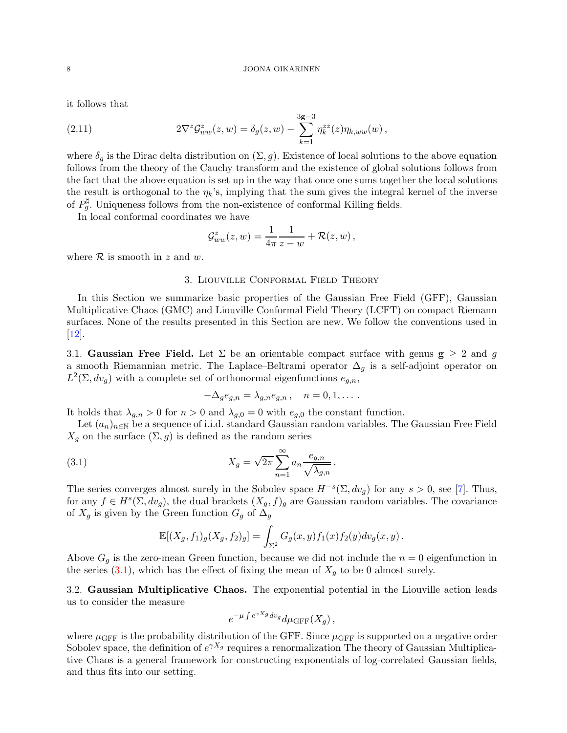it follows that

(2.11) 
$$
2\nabla^z \mathcal{G}_{ww}^z(z,w) = \delta_g(z,w) - \sum_{k=1}^{3g-3} \eta_k^{zz}(z)\eta_{k,ww}(w),
$$

where  $\delta_g$  is the Dirac delta distribution on  $(\Sigma, g)$ . Existence of local solutions to the above equation follows from the theory of the Cauchy transform and the existence of global solutions follows from the fact that the above equation is set up in the way that once one sums together the local solutions the result is orthogonal to the  $\eta_k$ 's, implying that the sum gives the integral kernel of the inverse of  $P_g^{\sharp}$ . Uniqueness follows from the non-existence of conformal Killing fields.

In local conformal coordinates we have

$$
\mathcal{G}_{ww}^z(z,w) = \frac{1}{4\pi} \frac{1}{z-w} + \mathcal{R}(z,w),
$$

<span id="page-7-0"></span>where  $R$  is smooth in z and w.

## 3. Liouville Conformal Field Theory

In this Section we summarize basic properties of the Gaussian Free Field (GFF), Gaussian Multiplicative Chaos (GMC) and Liouville Conformal Field Theory (LCFT) on compact Riemann surfaces. None of the results presented in this Section are new. We follow the conventions used in [\[12\]](#page-34-7).

<span id="page-7-1"></span>3.1. Gaussian Free Field. Let  $\Sigma$  be an orientable compact surface with genus  $g > 2$  and q a smooth Riemannian metric. The Laplace–Beltrami operator  $\Delta_q$  is a self-adjoint operator on  $L^2(\Sigma, dv_g)$  with a complete set of orthonormal eigenfunctions  $e_{g,n}$ ,

$$
-\Delta_g e_{g,n} = \lambda_{g,n} e_{g,n} , \quad n = 0, 1, \dots.
$$

It holds that  $\lambda_{q,n} > 0$  for  $n > 0$  and  $\lambda_{q,0} = 0$  with  $e_{q,0}$  the constant function.

Let  $(a_n)_{n\in\mathbb{N}}$  be a sequence of i.i.d. standard Gaussian random variables. The Gaussian Free Field  $X_g$  on the surface  $(\Sigma, g)$  is defined as the random series

<span id="page-7-3"></span>(3.1) 
$$
X_g = \sqrt{2\pi} \sum_{n=1}^{\infty} a_n \frac{e_{g,n}}{\sqrt{\lambda_{g,n}}}.
$$

The series converges almost surely in the Sobolev space  $H^{-s}(\Sigma, dv_g)$  for any  $s > 0$ , see [\[7\]](#page-34-14). Thus, for any  $f \in H^s(\Sigma, dv_g)$ , the dual brackets  $(X_g, f)_g$  are Gaussian random variables. The covariance of  $X_g$  is given by the Green function  $G_g$  of  $\Delta_g$ 

$$
\mathbb{E}[(X_g, f_1)_g(X_g, f_2)_g] = \int_{\Sigma^2} G_g(x, y) f_1(x) f_2(y) dv_g(x, y).
$$

Above  $G_q$  is the zero-mean Green function, because we did not include the  $n = 0$  eigenfunction in the series  $(3.1)$ , which has the effect of fixing the mean of  $X_q$  to be 0 almost surely.

<span id="page-7-2"></span>3.2. Gaussian Multiplicative Chaos. The exponential potential in the Liouville action leads us to consider the measure

$$
e^{-\mu \int e^{\gamma X_g} dv_g} d\mu_{\rm GFF}(X_g) \,,
$$

where  $\mu_{\text{GFF}}$  is the probability distribution of the GFF. Since  $\mu_{\text{GFF}}$  is supported on a negative order Sobolev space, the definition of  $e^{\gamma X_g}$  requires a renormalization The theory of Gaussian Multiplicative Chaos is a general framework for constructing exponentials of log-correlated Gaussian fields, and thus fits into our setting.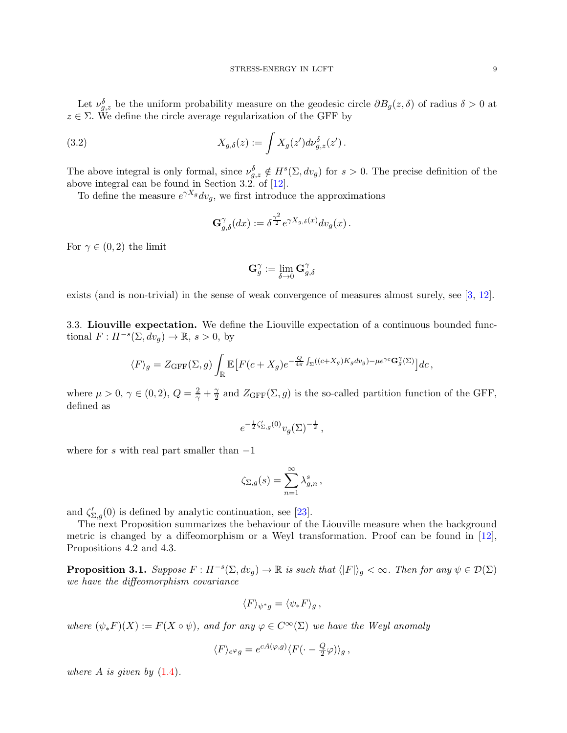Let  $\nu_{g,z}^{\delta}$  be the uniform probability measure on the geodesic circle  $\partial B_g(z,\delta)$  of radius  $\delta > 0$  at  $z \in \Sigma$ . We define the circle average regularization of the GFF by

(3.2) 
$$
X_{g,\delta}(z) := \int X_g(z') d\nu_{g,z}^{\delta}(z').
$$

The above integral is only formal, since  $\nu_{g,z}^{\delta} \notin H^s(\Sigma, dv_g)$  for  $s > 0$ . The precise definition of the above integral can be found in Section 3.2. of [\[12\]](#page-34-7).

To define the measure  $e^{\gamma X_g} dv_g$ , we first introduce the approximations

$$
\mathbf{G}^{\gamma}_{g,\delta}(dx) := \delta^{\frac{\gamma^2}{2}} e^{\gamma X_{g,\delta}(x)} dv_g(x) .
$$

For  $\gamma \in (0, 2)$  the limit

$$
\mathbf{G}^{\gamma}_{g}:=\lim_{\delta\to 0}\mathbf{G}^{\gamma}_{g,\delta}
$$

exists (and is non-trivial) in the sense of weak convergence of measures almost surely, see [\[3,](#page-34-15) [12\]](#page-34-7).

<span id="page-8-0"></span>3.3. Liouville expectation. We define the Liouville expectation of a continuous bounded functional  $F: H^{-s}(\Sigma, dv_g) \to \mathbb{R}, s > 0$ , by

$$
\langle F \rangle_g = Z_{\text{GFF}}(\Sigma, g) \int_{\mathbb{R}} \mathbb{E} \big[ F(c + X_g) e^{-\frac{Q}{4\pi} \int_{\Sigma} ((c + X_g) K_g dv_g) - \mu e^{\gamma c} \mathbf{G}_g^{\gamma}(\Sigma)} \big] dc \,,
$$

where  $\mu > 0, \, \gamma \in (0, 2), \, Q = \frac{2}{\gamma} + \frac{\gamma}{2}$  $\frac{\gamma}{2}$  and  $Z_{\text{GFF}}(\Sigma, g)$  is the so-called partition function of the GFF, defined as

$$
e^{-\frac{1}{2}\zeta'_{\Sigma,g}(0)}v_g(\Sigma)^{-\frac{1}{2}},
$$

where for s with real part smaller than  $-1$ 

$$
\zeta_{\Sigma,g}(s) = \sum_{n=1}^{\infty} \lambda_{g,n}^s,
$$

and  $\zeta'_{\Sigma,g}(0)$  is defined by analytic continuation, see [\[23\]](#page-34-16).

The next Proposition summarizes the behaviour of the Liouville measure when the background metric is changed by a diffeomorphism or a Weyl transformation. Proof can be found in [\[12\]](#page-34-7), Propositions 4.2 and 4.3.

**Proposition 3.1.** Suppose  $F: H^{-s}(\Sigma, dv_g) \to \mathbb{R}$  is such that  $\langle |F| \rangle_g < \infty$ . Then for any  $\psi \in \mathcal{D}(\Sigma)$ we have the diffeomorphism covariance

$$
\langle F \rangle_{\psi^*g} = \langle \psi_* F \rangle_g \,,
$$

where  $(\psi_*F)(X) := F(X \circ \psi)$ , and for any  $\varphi \in C^{\infty}(\Sigma)$  we have the Weyl anomaly

$$
\langle F \rangle_{e^{\varphi}g} = e^{cA(\varphi,g)} \langle F(\cdot - \frac{Q}{2}\varphi) \rangle_g \,,
$$

where A is given by  $(1.4)$ .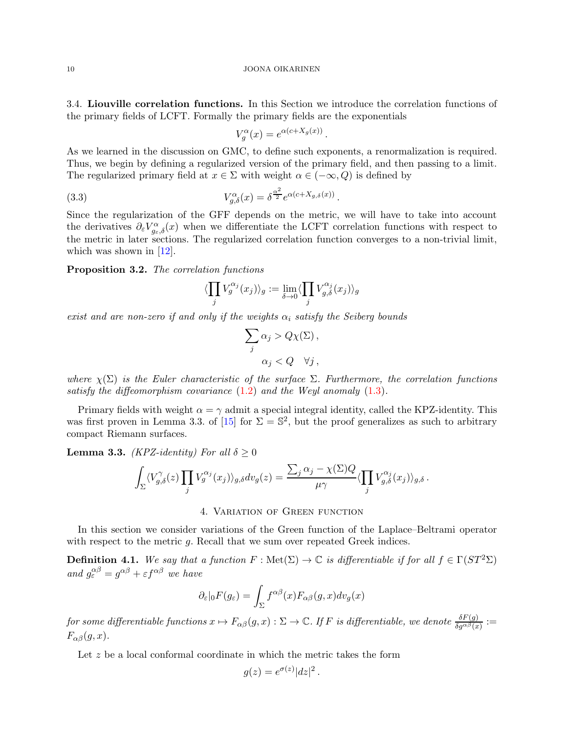<span id="page-9-0"></span>3.4. Liouville correlation functions. In this Section we introduce the correlation functions of the primary fields of LCFT. Formally the primary fields are the exponentials

$$
V_g^{\alpha}(x) = e^{\alpha(c+X_g(x))}
$$

.

As we learned in the discussion on GMC, to define such exponents, a renormalization is required. Thus, we begin by defining a regularized version of the primary field, and then passing to a limit. The regularized primary field at  $x \in \Sigma$  with weight  $\alpha \in (-\infty, Q)$  is defined by

(3.3) 
$$
V_{g,\delta}^{\alpha}(x) = \delta^{\frac{\alpha^2}{2}} e^{\alpha(c+X_{g,\delta}(x))}.
$$

Since the regularization of the GFF depends on the metric, we will have to take into account the derivatives  $\partial_{\varepsilon}V_{g_{\varepsilon},\delta}^{\alpha}(x)$  when we differentiate the LCFT correlation functions with respect to the metric in later sections. The regularized correlation function converges to a non-trivial limit, which was shown in  $[12]$ .

Proposition 3.2. The correlation functions

$$
\langle \prod_j V_g^{\alpha_j}(x_j) \rangle_g := \lim_{\delta \to 0} \langle \prod_j V_{g,\delta}^{\alpha_j}(x_j) \rangle_g
$$

exist and are non-zero if and only if the weights  $\alpha_i$  satisfy the Seiberg bounds

$$
\sum_{j} \alpha_{j} > Q\chi(\Sigma),
$$
  

$$
\alpha_{j} < Q \quad \forall j,
$$

where  $\chi(\Sigma)$  is the Euler characteristic of the surface  $\Sigma$ . Furthermore, the correlation functions satisfy the diffeomorphism covariance  $(1.2)$  and the Weyl anomaly  $(1.3)$ .

Primary fields with weight  $\alpha = \gamma$  admit a special integral identity, called the KPZ-identity. This was first proven in Lemma 3.3. of [\[15\]](#page-34-8) for  $\Sigma = \mathbb{S}^2$ , but the proof generalizes as such to arbitrary compact Riemann surfaces.

<span id="page-9-2"></span>**Lemma 3.3.** (KPZ-identity) For all  $\delta \geq 0$ 

$$
\int_{\Sigma} \langle V_{g,\delta}^{\gamma}(z) \prod_j V_g^{\alpha_j}(x_j) \rangle_{g,\delta} dv_g(z) = \frac{\sum_j \alpha_j - \chi(\Sigma) Q}{\mu \gamma} \langle \prod_j V_{g,\delta}^{\alpha_j}(x_j) \rangle_{g,\delta}.
$$

4. Variation of Green function

<span id="page-9-1"></span>In this section we consider variations of the Green function of the Laplace–Beltrami operator with respect to the metric q. Recall that we sum over repeated Greek indices.

**Definition 4.1.** We say that a function  $F : \text{Met}(\Sigma) \to \mathbb{C}$  is differentiable if for all  $f \in \Gamma(ST^2\Sigma)$ and  $g_{\varepsilon}^{\alpha\beta} = g^{\alpha\beta} + \varepsilon f^{\alpha\beta}$  we have

$$
\partial_{\varepsilon}|_{0}F(g_{\varepsilon}) = \int_{\Sigma} f^{\alpha\beta}(x) F_{\alpha\beta}(g, x) dv_{g}(x)
$$

 $for~some~differential the~functions~x\mapsto F_{\alpha\beta}(g,x): \Sigma\to\mathbb{C}.$  If  $F$  is differentiable, we denote  $\frac{\delta F(g)}{\delta g^{\alpha\beta}(x)}:=$  $F_{\alpha\beta}(q, x)$ .

Let z be a local conformal coordinate in which the metric takes the form

$$
g(z) = e^{\sigma(z)} |dz|^2.
$$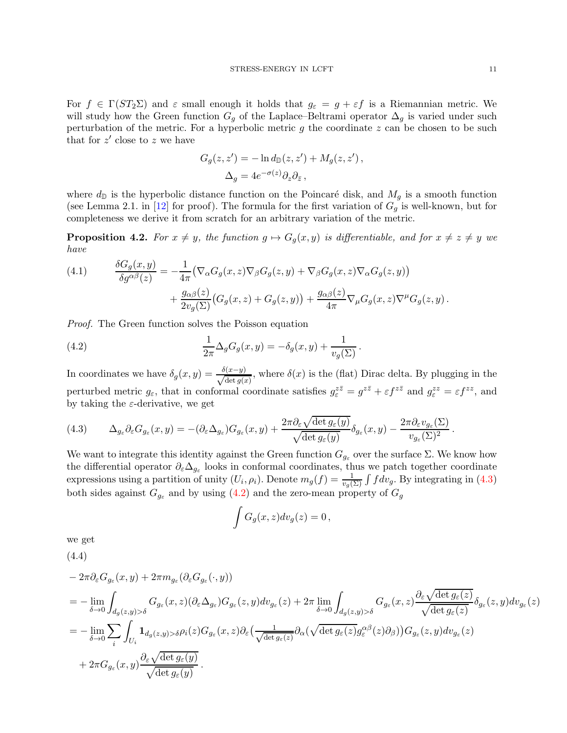For  $f \in \Gamma(ST_2\Sigma)$  and  $\varepsilon$  small enough it holds that  $g_{\varepsilon} = g + \varepsilon f$  is a Riemannian metric. We will study how the Green function  $G_g$  of the Laplace–Beltrami operator  $\Delta_g$  is varied under such perturbation of the metric. For a hyperbolic metric  $g$  the coordinate  $z$  can be chosen to be such that for  $z'$  close to  $z$  we have

$$
G_g(z, z') = -\ln d_{\mathbb{D}}(z, z') + M_g(z, z'),
$$
  

$$
\Delta_g = 4e^{-\sigma(z)}\partial_z \partial_{\bar{z}},
$$

where  $d_{\mathbb{D}}$  is the hyperbolic distance function on the Poincaré disk, and  $M_g$  is a smooth function (see Lemma 2.1. in [\[12\]](#page-34-7) for proof). The formula for the first variation of  $G<sub>q</sub>$  is well-known, but for completeness we derive it from scratch for an arbitrary variation of the metric.

<span id="page-10-2"></span>**Proposition 4.2.** For  $x \neq y$ , the function  $g \mapsto G_q(x, y)$  is differentiable, and for  $x \neq z \neq y$  we have

(4.1) 
$$
\frac{\delta G_g(x, y)}{\delta g^{\alpha \beta}(z)} = -\frac{1}{4\pi} \big( \nabla_{\alpha} G_g(x, z) \nabla_{\beta} G_g(z, y) + \nabla_{\beta} G_g(x, z) \nabla_{\alpha} G_g(z, y) \big) \n+ \frac{g_{\alpha \beta}(z)}{2v_g(\Sigma)} \big( G_g(x, z) + G_g(z, y) \big) + \frac{g_{\alpha \beta}(z)}{4\pi} \nabla_{\mu} G_g(x, z) \nabla^{\mu} G_g(z, y) .
$$

Proof. The Green function solves the Poisson equation

<span id="page-10-1"></span>(4.2) 
$$
\frac{1}{2\pi} \Delta_g G_g(x, y) = -\delta_g(x, y) + \frac{1}{v_g(\Sigma)}.
$$

In coordinates we have  $\delta_g(x,y) = \frac{\delta(x-y)}{\sqrt{\det g(x)}}$  $\frac{d(x-y)}{det\ g(x)}$ , where  $\delta(x)$  is the (flat) Dirac delta. By plugging in the perturbed metric  $g_{\varepsilon}$ , that in conformal coordinate satisfies  $g_{\varepsilon}^{z\bar{z}} = g^{z\bar{z}} + \varepsilon f^{z\bar{z}}$  and  $g_{\varepsilon}^{zz} = \varepsilon f^{zz}$ , and by taking the  $\varepsilon$ -derivative, we get

<span id="page-10-0"></span>(4.3) 
$$
\Delta_{g_{\varepsilon}} \partial_{\varepsilon} G_{g_{\varepsilon}}(x, y) = -(\partial_{\varepsilon} \Delta_{g_{\varepsilon}}) G_{g_{\varepsilon}}(x, y) + \frac{2\pi \partial_{\varepsilon} \sqrt{\det g_{\varepsilon}(y)}}{\sqrt{\det g_{\varepsilon}(y)}} \delta_{g_{\varepsilon}}(x, y) - \frac{2\pi \partial_{\varepsilon} v_{g_{\varepsilon}}(\Sigma)}{v_{g_{\varepsilon}}(\Sigma)^2}.
$$

We want to integrate this identity against the Green function  $G_{q_{\varepsilon}}$  over the surface  $\Sigma$ . We know how the differential operator  $\partial_{\varepsilon} \Delta_{g_{\varepsilon}}$  looks in conformal coordinates, thus we patch together coordinate expressions using a partition of unity  $(U_i, \rho_i)$ . Denote  $m_g(f) = \frac{1}{v_g(\Sigma)} \int f dv_g$ . By integrating in [\(4.3\)](#page-10-0) both sides against  $G_{g_{\varepsilon}}$  and by using [\(4.2\)](#page-10-1) and the zero-mean property of  $G_g$ 

$$
\int G_g(x,z)dv_g(z) = 0,
$$

we get (4.4)

$$
-2\pi \partial_{\varepsilon} G_{g_{\varepsilon}}(x,y) + 2\pi m_{g_{\varepsilon}}(\partial_{\varepsilon} G_{g_{\varepsilon}}(\cdot,y))
$$
  
\n
$$
= -\lim_{\delta \to 0} \int_{d_{g}(z,y) > \delta} G_{g_{\varepsilon}}(x,z) (\partial_{\varepsilon} \Delta_{g_{\varepsilon}}) G_{g_{\varepsilon}}(z,y) dv_{g_{\varepsilon}}(z) + 2\pi \lim_{\delta \to 0} \int_{d_{g}(z,y) > \delta} G_{g_{\varepsilon}}(x,z) \frac{\partial_{\varepsilon} \sqrt{\det g_{\varepsilon}(z)}}{\sqrt{\det g_{\varepsilon}(z)}} \delta_{g_{\varepsilon}}(z,y) dv_{g_{\varepsilon}}(z)
$$
  
\n
$$
= -\lim_{\delta \to 0} \sum_{i} \int_{U_{i}} \mathbf{1}_{d_{g}(z,y) > \delta} \rho_{i}(z) G_{g_{\varepsilon}}(x,z) \partial_{\varepsilon} \left( \frac{1}{\sqrt{\det g_{\varepsilon}(z)}} \partial_{\alpha} (\sqrt{\det g_{\varepsilon}(z)} g_{\varepsilon}^{\alpha\beta}(z) \partial_{\beta}) \right) G_{g_{\varepsilon}}(z,y) dv_{g_{\varepsilon}}(z)
$$
  
\n
$$
+ 2\pi G_{g_{\varepsilon}}(x,y) \frac{\partial_{\varepsilon} \sqrt{\det g_{\varepsilon}(y)}}{\sqrt{\det g_{\varepsilon}(y)}}.
$$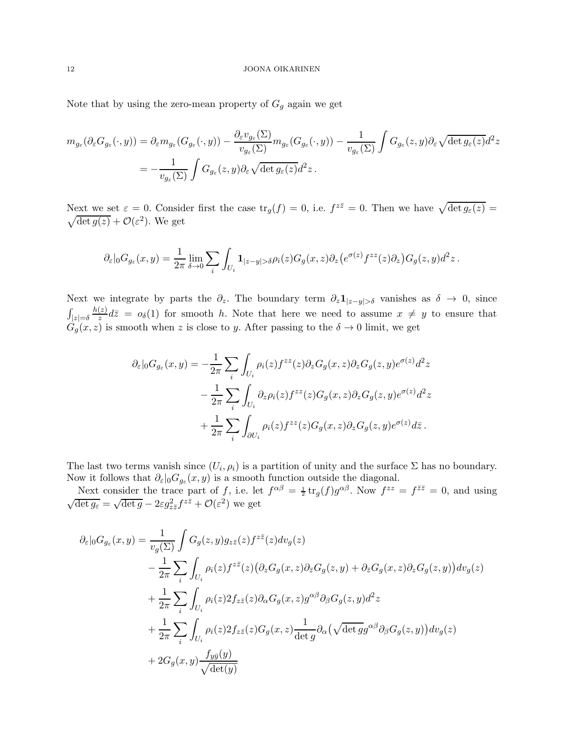Note that by using the zero-mean property of  ${\cal G}_g$  again we get

$$
m_{g_{\varepsilon}}(\partial_{\varepsilon}G_{g_{\varepsilon}}(\cdot,y)) = \partial_{\varepsilon}m_{g_{\varepsilon}}(G_{g_{\varepsilon}}(\cdot,y)) - \frac{\partial_{\varepsilon}v_{g_{\varepsilon}}(\Sigma)}{v_{g_{\varepsilon}}(\Sigma)}m_{g_{\varepsilon}}(G_{g_{\varepsilon}}(\cdot,y)) - \frac{1}{v_{g_{\varepsilon}}(\Sigma)}\int G_{g_{\varepsilon}}(z,y)\partial_{\varepsilon}\sqrt{\det g_{\varepsilon}(z)}d^2z
$$
  
= 
$$
-\frac{1}{v_{g_{\varepsilon}}(\Sigma)}\int G_{g_{\varepsilon}}(z,y)\partial_{\varepsilon}\sqrt{\det g_{\varepsilon}(z)}d^2z.
$$

Next we set  $\varepsilon = 0$ . Consider first the case  $\text{tr}_g(f) = 0$ , i.e.  $f^{z\bar{z}} = 0$ . Then we have  $\sqrt{\det g_{\varepsilon}(z)} = 0$  $\sqrt{\det g(z)} + \mathcal{O}(\varepsilon^2)$ . We get

$$
\partial_{\varepsilon}|_{0}G_{g_{\varepsilon}}(x,y)=\frac{1}{2\pi}\lim_{\delta\to 0}\sum_{i}\int_{U_{i}}\mathbf{1}_{|z-y|>\delta}\rho_{i}(z)G_{g}(x,z)\partial_{z}\big(e^{\sigma(z)}f^{zz}(z)\partial_{z}\big)G_{g}(z,y)d^{2}z.
$$

Next we integrate by parts the  $\partial_z$ . The boundary term  $\partial_z \mathbf{1}_{|z-y|>\delta}$  vanishes as  $\delta \to 0$ , since  $\int_{|z|=\delta}$  $h(z)$  $\frac{z}{z}d\overline{z} = o_{\delta}(1)$  for smooth h. Note that here we need to assume  $x \neq y$  to ensure that  $G_g(x, z)$  is smooth when z is close to y. After passing to the  $\delta \to 0$  limit, we get

$$
\partial_{\varepsilon}|_{0}G_{g_{\varepsilon}}(x,y) = -\frac{1}{2\pi} \sum_{i} \int_{U_{i}} \rho_{i}(z) f^{zz}(z) \partial_{z}G_{g}(x,z) \partial_{z}G_{g}(z,y) e^{\sigma(z)} d^{2}z \n- \frac{1}{2\pi} \sum_{i} \int_{U_{i}} \partial_{z} \rho_{i}(z) f^{zz}(z) G_{g}(x,z) \partial_{z}G_{g}(z,y) e^{\sigma(z)} d^{2}z \n+ \frac{1}{2\pi} \sum_{i} \int_{\partial U_{i}} \rho_{i}(z) f^{zz}(z) G_{g}(x,z) \partial_{z}G_{g}(z,y) e^{\sigma(z)} d\bar{z} .
$$

The last two terms vanish since  $(U_i, \rho_i)$  is a partition of unity and the surface  $\Sigma$  has no boundary. Now it follows that  $\partial_{\varepsilon}|_{0}G_{g_{\varepsilon}}(x,y)$  is a smooth function outside the diagonal.

Next consider the trace part of f, i.e. let  $f^{\alpha\beta} = \frac{1}{2} \text{tr}_g(f) g^{\alpha\beta}$ . Now  $f^{zz} = f^{\bar{z}\bar{z}} = 0$ , and using  $\sqrt{\det g_{\varepsilon}} = \sqrt{\det g} - 2\varepsilon g_{z\bar{z}}^2 f^{z\bar{z}} + \mathcal{O}(\varepsilon^2)$  we get

$$
\partial_{\varepsilon}|_{0}G_{g_{\varepsilon}}(x,y) = \frac{1}{v_{g}(\Sigma)} \int G_{g}(z,y)g_{z\bar{z}}(z)f^{z\bar{z}}(z)dv_{g}(z)
$$
  
\n
$$
- \frac{1}{2\pi} \sum_{i} \int_{U_{i}} \rho_{i}(z)f^{z\bar{z}}(z) \left(\partial_{z}G_{g}(x,z)\partial_{\bar{z}}G_{g}(z,y) + \partial_{\bar{z}}G_{g}(x,z)\partial_{z}G_{g}(z,y)\right)dv_{g}(z)
$$
  
\n
$$
+ \frac{1}{2\pi} \sum_{i} \int_{U_{i}} \rho_{i}(z)2f_{z\bar{z}}(z)\partial_{\alpha}G_{g}(x,z)g^{\alpha\beta}\partial_{\beta}G_{g}(z,y)d^{2}z
$$
  
\n
$$
+ \frac{1}{2\pi} \sum_{i} \int_{U_{i}} \rho_{i}(z)2f_{z\bar{z}}(z)G_{g}(x,z) \frac{1}{\det g} \partial_{\alpha}(\sqrt{\det g}g^{\alpha\beta}\partial_{\beta}G_{g}(z,y))dv_{g}(z)
$$
  
\n
$$
+ 2G_{g}(x,y) \frac{f_{y\bar{y}}(y)}{\sqrt{\det(y)}}
$$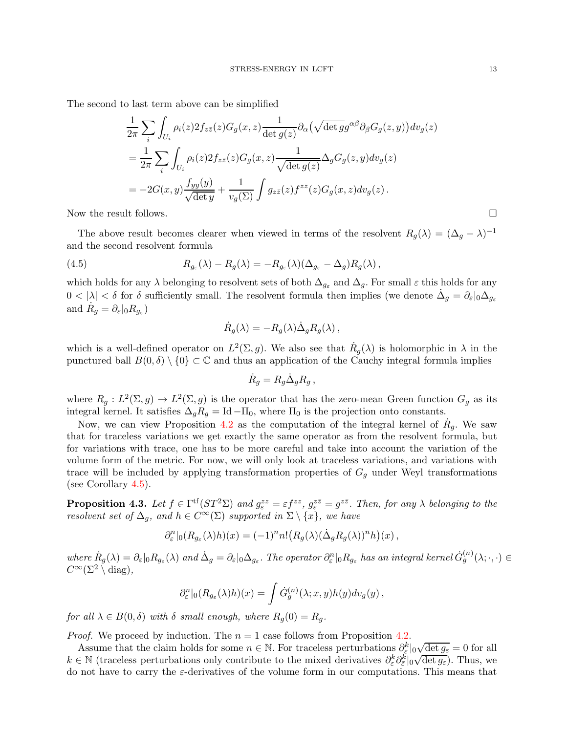The second to last term above can be simplified

$$
\frac{1}{2\pi} \sum_{i} \int_{U_i} \rho_i(z) 2f_{z\bar{z}}(z) G_g(x, z) \frac{1}{\det g(z)} \partial_\alpha (\sqrt{\det g} g^{\alpha\beta} \partial_\beta G_g(z, y)) dv_g(z)
$$
\n
$$
= \frac{1}{2\pi} \sum_{i} \int_{U_i} \rho_i(z) 2f_{z\bar{z}}(z) G_g(x, z) \frac{1}{\sqrt{\det g(z)}} \Delta_g G_g(z, y) dv_g(z)
$$
\n
$$
= -2G(x, y) \frac{f_{y\bar{y}}(y)}{\sqrt{\det y}} + \frac{1}{v_g(\Sigma)} \int g_{z\bar{z}}(z) f^{z\bar{z}}(z) G_g(x, z) dv_g(z).
$$

Now the result follows.

The above result becomes clearer when viewed in terms of the resolvent  $R_g(\lambda) = (\Delta_g - \lambda)^{-1}$ and the second resolvent formula

<span id="page-12-0"></span>(4.5) 
$$
R_{g_{\varepsilon}}(\lambda) - R_g(\lambda) = -R_{g_{\varepsilon}}(\lambda)(\Delta_{g_{\varepsilon}} - \Delta_g)R_g(\lambda),
$$

which holds for any  $\lambda$  belonging to resolvent sets of both  $\Delta_{g_{\varepsilon}}$  and  $\Delta_g$ . For small  $\varepsilon$  this holds for any  $0 < |\lambda| < \delta$  for  $\delta$  sufficiently small. The resolvent formula then implies (we denote  $\dot{\Delta}_g = \partial_{\varepsilon}|_0 \Delta_{g_{\varepsilon}}$ and  $\dot{R}_g = \partial_{\varepsilon}|_0 R_{g_{\varepsilon}}$ )

$$
\dot{R}_g(\lambda) = -R_g(\lambda)\dot{\Delta}_g R_g(\lambda) ,
$$

which is a well-defined operator on  $L^2(\Sigma, g)$ . We also see that  $\dot{R}_g(\lambda)$  is holomorphic in  $\lambda$  in the punctured ball  $B(0, \delta) \setminus \{0\} \subset \mathbb{C}$  and thus an application of the Cauchy integral formula implies

$$
\dot{R}_g = R_g \dot{\Delta}_g R_g \,,
$$

where  $R_g: L^2(\Sigma, g) \to L^2(\Sigma, g)$  is the operator that has the zero-mean Green function  $G_g$  as its integral kernel. It satisfies  $\Delta_g R_g = \text{Id} - \Pi_0$ , where  $\Pi_0$  is the projection onto constants.

Now, we can view Proposition [4.2](#page-10-2) as the computation of the integral kernel of  $\dot{R}_g$ . We saw that for traceless variations we get exactly the same operator as from the resolvent formula, but for variations with trace, one has to be more careful and take into account the variation of the volume form of the metric. For now, we will only look at traceless variations, and variations with trace will be included by applying transformation properties of  $G<sub>g</sub>$  under Weyl transformations (see Corollary [4.5\)](#page-16-0).

<span id="page-12-1"></span>**Proposition 4.3.** Let  $f \in \Gamma^{tf}(ST^2\Sigma)$  and  $g_{\varepsilon}^{zz} = \varepsilon f^{zz}$ ,  $g_{\varepsilon}^{z\overline{z}} = g^{z\overline{z}}$ . Then, for any  $\lambda$  belonging to the resolvent set of  $\Delta_g$ , and  $h \in C^{\infty}(\Sigma)$  supported in  $\Sigma \setminus \{x\}$ , we have

$$
\partial_{\varepsilon}^{n}|_{0}(R_{g_{\varepsilon}}(\lambda)h)(x) = (-1)^{n} n! (R_{g}(\lambda)(\dot{\Delta}_{g}R_{g}(\lambda))^{n} h)(x),
$$

where  $\dot{R}_g(\lambda) = \partial_{\varepsilon}|_0 R_{g_{\varepsilon}}(\lambda)$  and  $\dot{\Delta}_g = \partial_{\varepsilon}|_0 \Delta_{g_{\varepsilon}}$ . The operator  $\partial_{\varepsilon}^n|_0 R_{g_{\varepsilon}}$  has an integral kernel  $\dot{G}_g^{(n)}(\lambda; \cdot, \cdot) \in$  $C^{\infty}(\Sigma^2 \setminus \text{diag}).$ 

$$
\partial_{\varepsilon}^n|_0(R_{g_{\varepsilon}}(\lambda)h)(x) = \int \dot{G}_g^{(n)}(\lambda; x, y)h(y)dv_g(y),
$$

for all  $\lambda \in B(0,\delta)$  with  $\delta$  small enough, where  $R_q(0) = R_q$ .

*Proof.* We proceed by induction. The  $n = 1$  case follows from Proposition [4.2.](#page-10-2)

Assume that the claim holds for some  $n \in \mathbb{N}$ . For traceless perturbations  $\partial_{\varepsilon}^{k}|_{0}$  $\sqrt{\det g_{\varepsilon}} = 0$  for all  $k \in \mathbb{N}$  (traceless perturbations only contribute to the mixed derivatives  $\partial_{\varepsilon}^k \partial_{\varepsilon}^k|_0$  $\sqrt{\det g_{\varepsilon}}$ . Thus, we do not have to carry the  $\varepsilon$ -derivatives of the volume form in our computations. This means that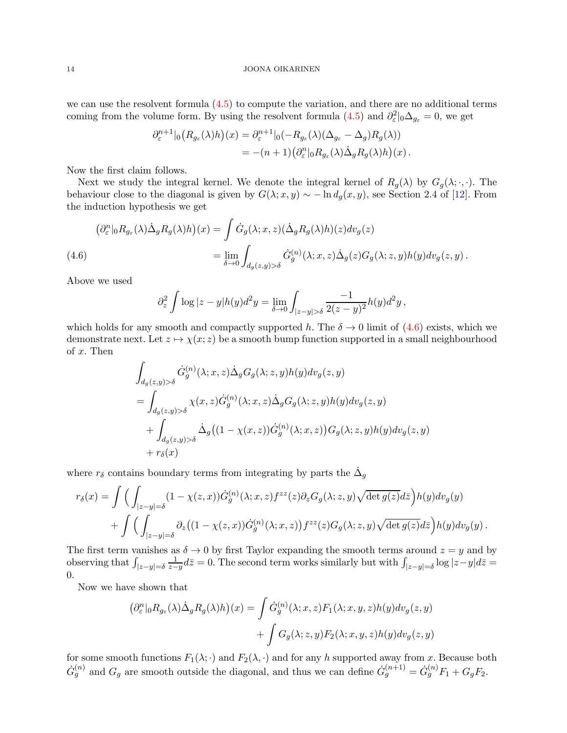we can use the resolvent formula  $(4.5)$  to compute the variation, and there are no additional terms coming from the volume form. By using the resolvent formula  $(4.5)$  and  $\partial_{\varepsilon}^2|_0\Delta_{g_{\varepsilon}}=0$ , we get

$$
\partial_{\varepsilon}^{n+1}|_{0} (R_{g_{\varepsilon}}(\lambda)h)(x) = \partial_{\varepsilon}^{n+1}|_{0} (-R_{g_{\varepsilon}}(\lambda)(\Delta_{g_{\varepsilon}} - \Delta_{g})R_{g}(\lambda))
$$
  
= -(n+1) (\partial\_{\varepsilon}^{n}|\_{0} R\_{g\_{\varepsilon}}(\lambda)\Delta\_{g} R\_{g}(\lambda)h)(x).

Now the first claim follows.

Next we study the integral kernel. We denote the integral kernel of  $R_q(\lambda)$  by  $G_q(\lambda; \cdot, \cdot)$ . The behaviour close to the diagonal is given by  $G(\lambda; x, y) \sim -\ln d_g(x, y)$ , see Section 2.4 of [\[12\]](#page-34-7). From the induction hypothesis we get

<span id="page-13-0"></span>
$$
\begin{aligned} \left(\partial_{\varepsilon}^{n}|_{0}R_{g_{\varepsilon}}(\lambda)\dot{\Delta}_{g}R_{g}(\lambda)h\right)(x) &= \int \dot{G}_{g}(\lambda;x,z)(\dot{\Delta}_{g}R_{g}(\lambda)h)(z)dv_{g}(z) \\ &= \lim_{\delta \to 0} \int_{d_{g}(z,y) > \delta} \dot{G}_{g}^{(n)}(\lambda;x,z)\dot{\Delta}_{g}(z)G_{g}(\lambda;z,y)h(y)dv_{g}(z,y) \,. \end{aligned}
$$

Above we used

$$
\partial_z^2 \int \log |z - y| h(y) d^2 y = \lim_{\delta \to 0} \int_{|z - y| > \delta} \frac{-1}{2(z - y)^2} h(y) d^2 y,
$$

which holds for any smooth and compactly supported h. The  $\delta \to 0$  limit of [\(4.6\)](#page-13-0) exists, which we demonstrate next. Let  $z \mapsto \chi(x; z)$  be a smooth bump function supported in a small neighbourhood of x. Then

$$
\int_{d_g(z,y) > \delta} \dot{G}_g^{(n)}(\lambda; x, z) \dot{\Delta}_g G_g(\lambda; z, y) h(y) dv_g(z, y)
$$
\n
$$
= \int_{d_g(z,y) > \delta} \chi(x, z) \dot{G}_g^{(n)}(\lambda; x, z) \dot{\Delta}_g G_g(\lambda; z, y) h(y) dv_g(z, y)
$$
\n
$$
+ \int_{d_g(z,y) > \delta} \dot{\Delta}_g((1 - \chi(x, z)) \dot{G}_g^{(n)}(\lambda; x, z)) G_g(\lambda; z, y) h(y) dv_g(z, y)
$$
\n
$$
+ r_\delta(x)
$$

where  $r_\delta$  contains boundary terms from integrating by parts the  $\dot{\Delta}_g$ 

$$
r_{\delta}(x) = \int \Big( \int_{|z-y|=\delta} (1 - \chi(z,x)) \dot{G}_{g}^{(n)}(\lambda; x, z) f^{zz}(z) \partial_z G_g(\lambda; z, y) \sqrt{\det g(z)} d\bar{z} \Big) h(y) dv_g(y) + \int \Big( \int_{|z-y|=\delta} \partial_z \big( (1 - \chi(z,x)) \dot{G}_{g}^{(n)}(\lambda; x, z) \big) f^{zz}(z) G_g(\lambda; z, y) \sqrt{\det g(z)} d\bar{z} \Big) h(y) dv_g(y) .
$$

The first term vanishes as  $\delta \to 0$  by first Taylor expanding the smooth terms around  $z = y$  and by observing that  $\int_{|z-y|=\delta}$ 1  $\frac{1}{z-y}d\bar{z}=0.$  The second term works similarly but with  $\int_{|z-y|=\delta} \log|z-y|d\bar{z}=0$ 0.

Now we have shown that

$$
\left(\partial_{\varepsilon}^{n}|_{0}R_{g_{\varepsilon}}(\lambda)\dot{\Delta}_{g}R_{g}(\lambda)h\right)(x) = \int \dot{G}_{g}^{(n)}(\lambda; x, z)F_{1}(\lambda; x, y, z)h(y)dv_{g}(z, y) + \int G_{g}(\lambda; z, y)F_{2}(\lambda; x, y, z)h(y)dv_{g}(z, y)
$$

for some smooth functions  $F_1(\lambda; \cdot)$  and  $F_2(\lambda, \cdot)$  and for any h supported away from x. Because both  $\dot{G}_g^{(n)}$  and  $G_g$  are smooth outside the diagonal, and thus we can define  $\dot{G}_g^{(n+1)} = \dot{G}_g^{(n)}F_1 + G_gF_2$ .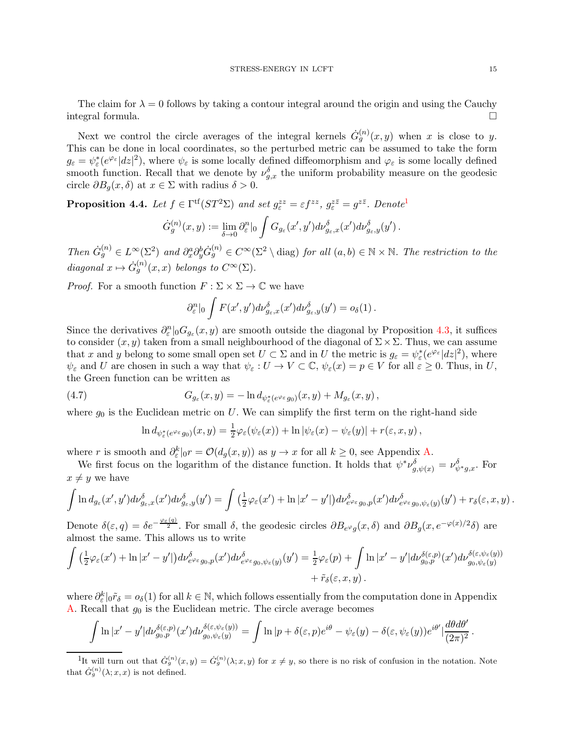The claim for  $\lambda = 0$  follows by taking a contour integral around the origin and using the Cauchy integral formula.

Next we control the circle averages of the integral kernels  $\dot{G}_g^{(n)}(x,y)$  when x is close to y. This can be done in local coordinates, so the perturbed metric can be assumed to take the form  $g_{\varepsilon} = \psi_{\varepsilon}^*(e^{\varphi_{\varepsilon}}|dz|^2)$ , where  $\psi_{\varepsilon}$  is some locally defined diffeomorphism and  $\varphi_{\varepsilon}$  is some locally defined smooth function. Recall that we denote by  $\nu_{g,x}^{\delta}$  the uniform probability measure on the geodesic circle  $\partial B_q(x,\delta)$  at  $x \in \Sigma$  with radius  $\delta > 0$ .

<span id="page-14-2"></span>**Proposition 4.4.** Let  $f \in \Gamma^{tf}(ST^2\Sigma)$  and set  $g_{\varepsilon}^{zz} = \varepsilon f^{zz}$ ,  $g_{\varepsilon}^{z\overline{z}} = g^{z\overline{z}}$ . Denote<sup>[1](#page-14-0)</sup>

$$
\dot{G}_{g}^{(n)}(x,y) := \lim_{\delta \to 0} \partial_{\varepsilon}^{n}|_{0} \int G_{g_{\varepsilon}}(x',y') d\nu_{g_{\varepsilon},x}^{\delta}(x') d\nu_{g_{\varepsilon},y}^{\delta}(y') .
$$

Then  $\dot{G}_g^{(n)} \in L^{\infty}(\Sigma^2)$  and  $\partial_x^a \partial_y^b \dot{G}_g^{(n)} \in C^{\infty}(\Sigma^2 \setminus \text{diag})$  for all  $(a, b) \in \mathbb{N} \times \mathbb{N}$ . The restriction to the diagonal  $x \mapsto \dot{G}_g^{(n)}(x,x)$  belongs to  $C^{\infty}(\Sigma)$ .

*Proof.* For a smooth function  $F : \Sigma \times \Sigma \to \mathbb{C}$  we have

$$
\partial_{\varepsilon}^n|_0 \int F(x',y')d\nu_{g_{\varepsilon},x}^{\delta}(x')d\nu_{g_{\varepsilon},y}^{\delta}(y') = o_{\delta}(1).
$$

Since the derivatives  $\partial_{\varepsilon}^{n}|_{0}G_{g_{\varepsilon}}(x,y)$  are smooth outside the diagonal by Proposition [4.3,](#page-12-1) it suffices to consider  $(x, y)$  taken from a small neighbourhood of the diagonal of  $\Sigma \times \Sigma$ . Thus, we can assume that x and y belong to some small open set  $U \subset \Sigma$  and in U the metric is  $g_{\varepsilon} = \psi_{\varepsilon}^*(e^{\varphi_{\varepsilon}}|dz|^2)$ , where  $\psi_{\varepsilon}$  and U are chosen in such a way that  $\psi_{\varepsilon}: U \to V \subset \mathbb{C}, \psi_{\varepsilon}(x) = p \in V$  for all  $\varepsilon \geq 0$ . Thus, in U, the Green function can be written as

<span id="page-14-1"></span>(4.7) 
$$
G_{g_{\varepsilon}}(x,y) = -\ln d_{\psi_{\varepsilon}^*(e^{\varphi_{\varepsilon}}g_0)}(x,y) + M_{g_{\varepsilon}}(x,y),
$$

where  $g_0$  is the Euclidean metric on U. We can simplify the first term on the right-hand side

$$
\ln d_{\psi_{\varepsilon}^*(e^{\varphi_{\varepsilon}}g_0)}(x,y) = \frac{1}{2}\varphi_{\varepsilon}(\psi_{\varepsilon}(x)) + \ln |\psi_{\varepsilon}(x) - \psi_{\varepsilon}(y)| + r(\varepsilon, x, y),
$$

where r is smooth and  $\partial_{\varepsilon}^{k}|_{0}r = \mathcal{O}(d_{g}(x, y))$  as  $y \to x$  for all  $k \geq 0$ , see Appendix [A.](#page-33-0)

We first focus on the logarithm of the distance function. It holds that  $\psi^* \nu_{g,\psi(x)}^{\delta} = \nu_{\psi^*g,x}^{\delta}$ . For  $x \neq y$  we have

$$
\int \ln d_{g_{\varepsilon}}(x',y')d\nu_{g_{\varepsilon},x}^{\delta}(x')d\nu_{g_{\varepsilon},y}^{\delta}(y') = \int (\frac{1}{2}\varphi_{\varepsilon}(x') + \ln|x'-y'|)d\nu_{e^{\varphi_{\varepsilon}}g_{0},p}^{\delta}(x')d\nu_{e^{\varphi_{\varepsilon}}g_{0},\psi_{\varepsilon}(y)}^{\delta}(y') + r_{\delta}(\varepsilon,x,y).
$$

Denote  $\delta(\varepsilon, q) = \delta e^{-\frac{\varphi_{\varepsilon}(q)}{2}}$ . For small  $\delta$ , the geodesic circles  $\partial B_{e^{\varphi}g}(x, \delta)$  and  $\partial B_g(x, e^{-\varphi(x)/2}\delta)$  are almost the same. This allows us to write

$$
\int \left(\frac{1}{2}\varphi_{\varepsilon}(x')+\ln|x'-y'|\right) d\nu_{e^{\varphi_{\varepsilon}}g_0,p}^{\delta}(x') d\nu_{e^{\varphi_{\varepsilon}}}^{\delta}(y)}(y') = \frac{1}{2}\varphi_{\varepsilon}(p) + \int \ln|x'-y'| d\nu_{g_0,p}^{\delta(\varepsilon,p)}(x') d\nu_{g_0,\psi_{\varepsilon}}^{\delta(\varepsilon,\psi_{\varepsilon}(y))} + \tilde{r}_{\delta}(\varepsilon,x,y).
$$

where  $\partial_{\varepsilon}^{k}|_{0}\tilde{r}_{\delta} = o_{\delta}(1)$  for all  $k \in \mathbb{N}$ , which follows essentially from the computation done in Appendix [A.](#page-33-0) Recall that  $g_0$  is the Euclidean metric. The circle average becomes

$$
\int \ln |x'-y'| d\nu_{g_0,p}^{\delta(\varepsilon,p)}(x') d\nu_{g_0,\psi_\varepsilon(y)}^{\delta(\varepsilon,\psi_\varepsilon(y))} = \int \ln |p+\delta(\varepsilon,p)e^{i\theta} - \psi_\varepsilon(y) - \delta(\varepsilon,\psi_\varepsilon(y))e^{i\theta'}|\frac{d\theta d\theta'}{(2\pi)^2}.
$$

<span id="page-14-0"></span><sup>1</sup>It will turn out that  $G_g^{(n)}(x,y) = G_g^{(n)}(\lambda; x, y)$  for  $x \neq y$ , so there is no risk of confusion in the notation. Note that  $\dot{G}_g^{(n)}(\lambda; x, x)$  is not defined.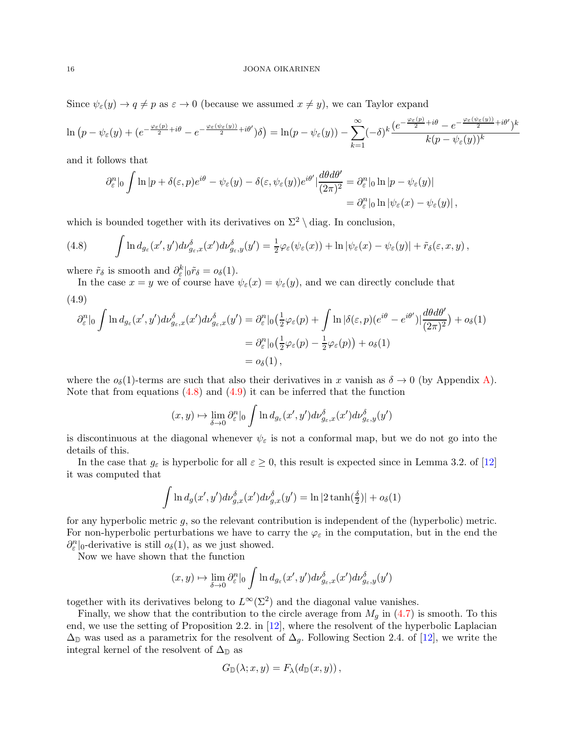Since  $\psi_{\varepsilon}(y) \to q \neq p$  as  $\varepsilon \to 0$  (because we assumed  $x \neq y$ ), we can Taylor expand

$$
\ln (p - \psi_{\varepsilon}(y) + (e^{-\frac{\varphi_{\varepsilon}(p)}{2} + i\theta} - e^{-\frac{\varphi_{\varepsilon}(\psi_{\varepsilon}(y))}{2} + i\theta'})\delta) = \ln (p - \psi_{\varepsilon}(y)) - \sum_{k=1}^{\infty} (-\delta)^k \frac{(e^{-\frac{\varphi_{\varepsilon}(p)}{2} + i\theta} - e^{-\frac{\varphi_{\varepsilon}(\psi_{\varepsilon}(y))}{2} + i\theta'})^k}{k(p - \psi_{\varepsilon}(y))^k}
$$

and it follows that

$$
\partial_{\varepsilon}^{n}|_{0} \int \ln |p + \delta(\varepsilon, p)e^{i\theta} - \psi_{\varepsilon}(y) - \delta(\varepsilon, \psi_{\varepsilon}(y))e^{i\theta'}|\frac{d\theta d\theta'}{(2\pi)^{2}} = \partial_{\varepsilon}^{n}|_{0} \ln |p - \psi_{\varepsilon}(y)|
$$
  
=  $\partial_{\varepsilon}^{n}|_{0} \ln |\psi_{\varepsilon}(x) - \psi_{\varepsilon}(y)|$ ,

which is bounded together with its derivatives on  $\Sigma^2 \setminus$  diag. In conclusion,

<span id="page-15-0"></span>(4.8) 
$$
\int \ln d_{g_{\varepsilon}}(x',y')d\nu_{g_{\varepsilon},x}^{\delta}(x')d\nu_{g_{\varepsilon},y}^{\delta}(y') = \frac{1}{2}\varphi_{\varepsilon}(\psi_{\varepsilon}(x)) + \ln|\psi_{\varepsilon}(x) - \psi_{\varepsilon}(y)| + \tilde{r}_{\delta}(\varepsilon,x,y),
$$

where  $\tilde{r}_{\delta}$  is smooth and  $\partial_{\varepsilon}^{k}|_{0}\tilde{r}_{\delta} = o_{\delta}(1)$ .

<span id="page-15-1"></span>In the case  $x = y$  we of course have  $\psi_{\varepsilon}(x) = \psi_{\varepsilon}(y)$ , and we can directly conclude that (4.9)

$$
\partial_{\varepsilon}^{n}|_{0} \int \ln d_{g_{\varepsilon}}(x',y') d\nu_{g_{\varepsilon},x}^{\delta}(x') d\nu_{g_{\varepsilon},x}^{\delta}(y') = \partial_{\varepsilon}^{n}|_{0} \left(\frac{1}{2}\varphi_{\varepsilon}(p) + \int \ln|\delta(\varepsilon,p)(e^{i\theta} - e^{i\theta'})| \frac{d\theta d\theta'}{(2\pi)^{2}}\right) + o_{\delta}(1)
$$
  

$$
= \partial_{\varepsilon}^{n}|_{0} \left(\frac{1}{2}\varphi_{\varepsilon}(p) - \frac{1}{2}\varphi_{\varepsilon}(p)\right) + o_{\delta}(1)
$$
  

$$
= o_{\delta}(1),
$$

where the  $o_{\delta}(1)$ -terms are such that also their derivatives in x vanish as  $\delta \to 0$  (by Appendix [A\)](#page-33-0). Note that from equations  $(4.8)$  and  $(4.9)$  it can be inferred that the function

$$
(x,y) \mapsto \lim_{\delta \to 0} \partial_{\varepsilon}^{n} |_{0} \int \ln d_{g_{\varepsilon}}(x',y') d\nu_{g_{\varepsilon},x}^{\delta}(x') d\nu_{g_{\varepsilon},y}^{\delta}(y')
$$

is discontinuous at the diagonal whenever  $\psi_{\varepsilon}$  is not a conformal map, but we do not go into the details of this.

In the case that  $g_{\varepsilon}$  is hyperbolic for all  $\varepsilon \geq 0$ , this result is expected since in Lemma 3.2. of [\[12\]](#page-34-7) it was computed that

$$
\int \ln d_g(x', y') d\nu_{g,x}^{\delta}(x') d\nu_{g,x}^{\delta}(y') = \ln|2 \tanh(\frac{\delta}{2})| + o_{\delta}(1)
$$

for any hyperbolic metric  $g$ , so the relevant contribution is independent of the (hyperbolic) metric. For non-hyperbolic perturbations we have to carry the  $\varphi_{\varepsilon}$  in the computation, but in the end the  $\partial_{\varepsilon}^{n}|_{0}$ -derivative is still  $o_{\delta}(1)$ , as we just showed.

Now we have shown that the function

$$
(x,y) \mapsto \lim_{\delta \to 0} \partial_{\varepsilon}^n|_0 \int \ln d_{g_{\varepsilon}}(x',y') d\nu_{g_{\varepsilon},x}^{\delta}(x') d\nu_{g_{\varepsilon},y}^{\delta}(y')
$$

together with its derivatives belong to  $L^{\infty}(\Sigma^2)$  and the diagonal value vanishes.

Finally, we show that the contribution to the circle average from  $M_q$  in [\(4.7\)](#page-14-1) is smooth. To this end, we use the setting of Proposition 2.2. in [\[12\]](#page-34-7), where the resolvent of the hyperbolic Laplacian  $\Delta_{\mathbb{D}}$  was used as a parametrix for the resolvent of  $\Delta_q$ . Following Section 2.4. of [\[12\]](#page-34-7), we write the integral kernel of the resolvent of  $\Delta_{\mathbb{D}}$  as

$$
G_{\mathbb{D}}(\lambda; x, y) = F_{\lambda}(d_{\mathbb{D}}(x, y)),
$$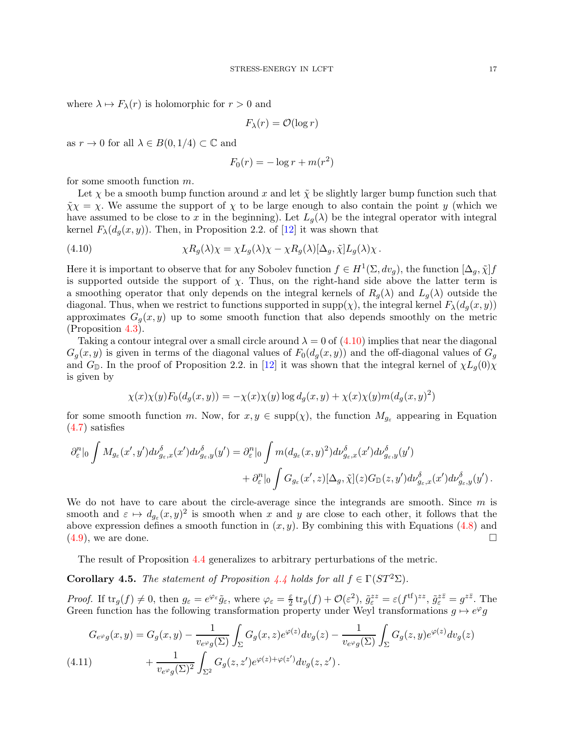where  $\lambda \mapsto F_{\lambda}(r)$  is holomorphic for  $r > 0$  and

$$
F_{\lambda}(r) = \mathcal{O}(\log r)
$$

as  $r \to 0$  for all  $\lambda \in B(0, 1/4) \subset \mathbb{C}$  and

$$
F_0(r) = -\log r + m(r^2)
$$

for some smooth function m.

Let  $\chi$  be a smooth bump function around x and let  $\tilde{\chi}$  be slightly larger bump function such that  $\tilde{\chi}\chi = \chi$ . We assume the support of  $\chi$  to be large enough to also contain the point y (which we have assumed to be close to x in the beginning). Let  $L_q(\lambda)$  be the integral operator with integral kernel  $F_{\lambda}(d_q(x, y))$ . Then, in Proposition 2.2. of [\[12\]](#page-34-7) it was shown that

<span id="page-16-1"></span>(4.10) 
$$
\chi R_g(\lambda)\chi = \chi L_g(\lambda)\chi - \chi R_g(\lambda)[\Delta_g, \tilde{\chi}]L_g(\lambda)\chi.
$$

Here it is important to observe that for any Sobolev function  $f \in H^1(\Sigma, dv_g)$ , the function  $[\Delta_g, \tilde{\chi}]f$ is supported outside the support of  $\chi$ . Thus, on the right-hand side above the latter term is a smoothing operator that only depends on the integral kernels of  $R_q(\lambda)$  and  $L_q(\lambda)$  outside the diagonal. Thus, when we restrict to functions supported in supp $(\chi)$ , the integral kernel  $F_{\lambda}(d_q(x, y))$ approximates  $G_g(x, y)$  up to some smooth function that also depends smoothly on the metric (Proposition [4.3\)](#page-12-1).

Taking a contour integral over a small circle around  $\lambda = 0$  of  $(4.10)$  implies that near the diagonal  $G_q(x, y)$  is given in terms of the diagonal values of  $F_0(d_q(x, y))$  and the off-diagonal values of  $G_q$ and  $G_{\mathbb{D}}$ . In the proof of Proposition 2.2. in [\[12\]](#page-34-7) it was shown that the integral kernel of  $\chi L_g(0)\chi$ is given by

$$
\chi(x)\chi(y)F_0(d_g(x,y)) = -\chi(x)\chi(y)\log d_g(x,y) + \chi(x)\chi(y)m(d_g(x,y)^2)
$$

for some smooth function m. Now, for  $x, y \in \text{supp}(\chi)$ , the function  $M_{g_{\varepsilon}}$  appearing in Equation [\(4.7\)](#page-14-1) satisfies

$$
\partial_{\varepsilon}^{n}|_{0} \int M_{g_{\varepsilon}}(x',y') d\nu_{g_{\varepsilon},x}^{\delta}(x') d\nu_{g_{\varepsilon},y}^{\delta}(y') = \partial_{\varepsilon}^{n}|_{0} \int m(d_{g_{\varepsilon}}(x,y)^{2}) d\nu_{g_{\varepsilon},x}^{\delta}(x') d\nu_{g_{\varepsilon},y}^{\delta}(y') + \partial_{\varepsilon}^{n}|_{0} \int G_{g_{\varepsilon}}(x',z)[\Delta_{g},\tilde{\chi}](z)G_{\mathbb{D}}(z,y') d\nu_{g_{\varepsilon},x}^{\delta}(x') d\nu_{g_{\varepsilon},y}^{\delta}(y') .
$$

We do not have to care about the circle-average since the integrands are smooth. Since  $m$  is smooth and  $\varepsilon \mapsto d_{g_{\varepsilon}}(x, y)^2$  is smooth when x and y are close to each other, it follows that the above expression defines a smooth function in  $(x, y)$ . By combining this with Equations [\(4.8\)](#page-15-0) and  $(4.9)$ , we are done.

The result of Proposition [4.4](#page-14-2) generalizes to arbitrary perturbations of the metric.

<span id="page-16-0"></span>**Corollary 4.5.** The statement of Proposition [4.4](#page-14-2) holds for all  $f \in \Gamma(ST^2\Sigma)$ .

*Proof.* If  $\text{tr}_g(f) \neq 0$ , then  $g_{\varepsilon} = e^{\varphi_{\varepsilon}} \tilde{g}_{\varepsilon}$ , where  $\varphi_{\varepsilon} = \frac{\varepsilon}{2}$  $\frac{\varepsilon}{2} \text{tr}_g(f) + \mathcal{O}(\varepsilon^2)$ ,  $\tilde{g}^{zz}_{\varepsilon} = \varepsilon (f^{\text{tf}})^{zz}$ ,  $\tilde{g}^{z\bar{z}}_{\varepsilon} = g^{z\bar{z}}$ . The Green function has the following transformation property under Weyl transformations  $g \mapsto e^{\varphi}g$ 

<span id="page-16-2"></span>
$$
G_{e^{\varphi}g}(x,y) = G_g(x,y) - \frac{1}{v_{e^{\varphi}g}(\Sigma)} \int_{\Sigma} G_g(x,z) e^{\varphi(z)} dv_g(z) - \frac{1}{v_{e^{\varphi}g}(\Sigma)} \int_{\Sigma} G_g(z,y) e^{\varphi(z)} dv_g(z)
$$
\n
$$
(4.11) \qquad + \frac{1}{v_{e^{\varphi}g}(\Sigma)^2} \int_{\Sigma^2} G_g(z,z') e^{\varphi(z) + \varphi(z')} dv_g(z,z').
$$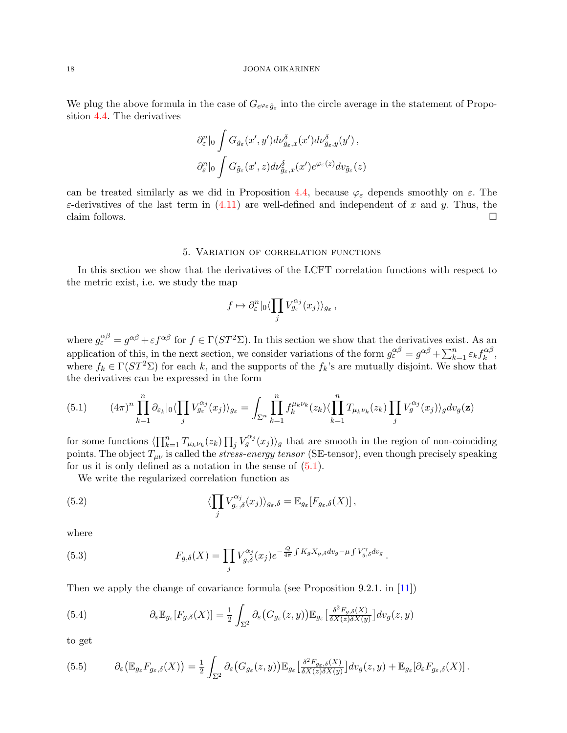We plug the above formula in the case of  $G_{e^{\varphi_{\varepsilon}}\tilde{g}_{\varepsilon}}$  into the circle average in the statement of Proposition [4.4.](#page-14-2) The derivatives

$$
\partial_{\varepsilon}^{n}|_{0} \int G_{\tilde{g}_{\varepsilon}}(x',y') d\nu_{\tilde{g}_{\varepsilon},x}^{\delta}(x') d\nu_{\tilde{g}_{\varepsilon},y}^{\delta}(y'),
$$

$$
\partial_{\varepsilon}^{n}|_{0} \int G_{\tilde{g}_{\varepsilon}}(x',z) d\nu_{\tilde{g}_{\varepsilon},x}^{\delta}(x') e^{\varphi_{\varepsilon}(z)} d\nu_{\tilde{g}_{\varepsilon}}(z)
$$

can be treated similarly as we did in Proposition [4.4,](#page-14-2) because  $\varphi_{\varepsilon}$  depends smoothly on  $\varepsilon$ . The  $\varepsilon$ -derivatives of the last term in [\(4.11\)](#page-16-2) are well-defined and independent of x and y. Thus, the claim follows.  $\Box$ 

### 5. Variation of correlation functions

<span id="page-17-0"></span>In this section we show that the derivatives of the LCFT correlation functions with respect to the metric exist, i.e. we study the map

$$
f\mapsto \partial_{\varepsilon}^n|_0\langle \prod_j V_{g_{\varepsilon}}^{\alpha_j}(x_j)\rangle_{g_{\varepsilon}}\,,
$$

where  $g_{\varepsilon}^{\alpha\beta} = g^{\alpha\beta} + \varepsilon f^{\alpha\beta}$  for  $f \in \Gamma(ST^2\Sigma)$ . In this section we show that the derivatives exist. As an application of this, in the next section, we consider variations of the form  $g_{\varepsilon}^{\alpha\beta} = g^{\alpha\beta} + \sum_{k=1}^{n} \varepsilon_k f_k^{\alpha\beta}$  $_{k}^{\alpha \beta },$ where  $f_k \in \Gamma(ST^2\Sigma)$  for each k, and the supports of the  $f_k$ 's are mutually disjoint. We show that the derivatives can be expressed in the form

<span id="page-17-1"></span>
$$
(5.1) \qquad (4\pi)^n \prod_{k=1}^n \partial_{\varepsilon_k} |_{0} \langle \prod_j V_{g_{\varepsilon}}^{\alpha_j}(x_j) \rangle_{g_{\varepsilon}} = \int_{\Sigma^n} \prod_{k=1}^n f_k^{\mu_k \nu_k}(z_k) \langle \prod_{k=1}^n T_{\mu_k \nu_k}(z_k) \prod_j V_g^{\alpha_j}(x_j) \rangle_g dv_g(\mathbf{z})
$$

for some functions  $\langle \prod_{k=1}^n T_{\mu_k \nu_k}(z_k) \prod_j V_g^{\alpha_j}(x_j) \rangle_g$  that are smooth in the region of non-coinciding points. The object  $T_{\mu\nu}$  is called the *stress-energy tensor* (SE-tensor), even though precisely speaking for us it is only defined as a notation in the sense of  $(5.1)$ .

.

We write the regularized correlation function as

(5.2) 
$$
\langle \prod_j V_{g_\varepsilon,\delta}^{\alpha_j}(x_j) \rangle_{g_\varepsilon,\delta} = \mathbb{E}_{g_\varepsilon}[F_{g_\varepsilon,\delta}(X)],
$$

where

(5.3) 
$$
F_{g,\delta}(X) = \prod_j V_{g,\delta}^{\alpha_j}(x_j) e^{-\frac{Q}{4\pi} \int K_g X_{g,\delta} dv_g - \mu \int V_{g,\delta}^{\gamma} dv_g}
$$

Then we apply the change of covariance formula (see Proposition 9.2.1. in [\[11\]](#page-34-17))

(5.4) 
$$
\partial_{\varepsilon} \mathbb{E}_{g_{\varepsilon}}[F_{g,\delta}(X)] = \frac{1}{2} \int_{\Sigma^2} \partial_{\varepsilon} (G_{g_{\varepsilon}}(z,y)) \mathbb{E}_{g_{\varepsilon}} \left[ \frac{\delta^2 F_{g,\delta}(X)}{\delta X(z) \delta X(y)} \right] dv_g(z,y)
$$

to get

<span id="page-17-2"></span>
$$
(5.5) \qquad \partial_{\varepsilon} (\mathbb{E}_{g_{\varepsilon}} F_{g_{\varepsilon},\delta}(X)) = \frac{1}{2} \int_{\Sigma^2} \partial_{\varepsilon} (G_{g_{\varepsilon}}(z,y)) \mathbb{E}_{g_{\varepsilon}} \left[ \frac{\delta^2 F_{g_{\varepsilon},\delta}(X)}{\delta X(z) \delta X(y)} \right] dv_g(z,y) + \mathbb{E}_{g_{\varepsilon}} [\partial_{\varepsilon} F_{g_{\varepsilon},\delta}(X)].
$$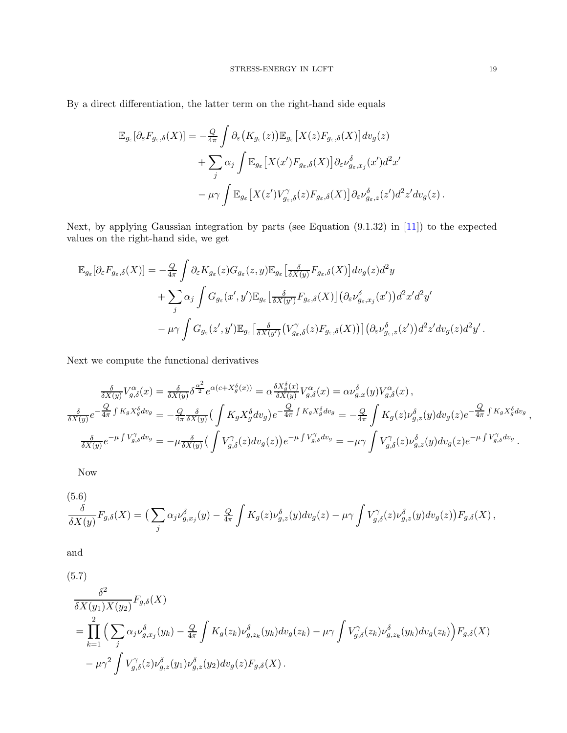By a direct differentiation, the latter term on the right-hand side equals

$$
\mathbb{E}_{g_{\varepsilon}}[\partial_{\varepsilon}F_{g_{\varepsilon},\delta}(X)] = -\frac{Q}{4\pi} \int \partial_{\varepsilon} \left(K_{g_{\varepsilon}}(z)\right) \mathbb{E}_{g_{\varepsilon}} \left[X(z)F_{g_{\varepsilon},\delta}(X)\right] dv_{g}(z) \n+ \sum_{j} \alpha_{j} \int \mathbb{E}_{g_{\varepsilon}} \left[X(x')F_{g_{\varepsilon},\delta}(X)\right] \partial_{\varepsilon} \nu_{g_{\varepsilon},x_{j}}^{\delta}(x') d^{2}x' \n- \mu \gamma \int \mathbb{E}_{g_{\varepsilon}} \left[X(z')V_{g_{\varepsilon},\delta}^{\gamma}(z)F_{g_{\varepsilon},\delta}(X)\right] \partial_{\varepsilon} \nu_{g_{\varepsilon},z}^{\delta}(z') d^{2}z'dv_{g}(z).
$$

Next, by applying Gaussian integration by parts (see Equation (9.1.32) in [\[11\]](#page-34-17)) to the expected values on the right-hand side, we get

$$
\mathbb{E}_{g_{\varepsilon}}[\partial_{\varepsilon}F_{g_{\varepsilon},\delta}(X)] = -\frac{Q}{4\pi} \int \partial_{\varepsilon}K_{g_{\varepsilon}}(z)G_{g_{\varepsilon}}(z,y)\mathbb{E}_{g_{\varepsilon}}\left[\frac{\delta}{\delta X(y)}F_{g_{\varepsilon},\delta}(X)\right]dv_g(z)d^2y
$$
  
+ 
$$
\sum_{j} \alpha_j \int G_{g_{\varepsilon}}(x',y')\mathbb{E}_{g_{\varepsilon}}\left[\frac{\delta}{\delta X(y')}F_{g_{\varepsilon},\delta}(X)\right] \left(\partial_{\varepsilon}\nu_{g_{\varepsilon},x_j}^{\delta}(x')\right) d^2x'd^2y'
$$

$$
-\mu\gamma \int G_{g_{\varepsilon}}(z',y')\mathbb{E}_{g_{\varepsilon}}\left[\frac{\delta}{\delta X(y')}(V_{g_{\varepsilon},\delta}^{\gamma}(z)F_{g_{\varepsilon},\delta}(X))\right] \left(\partial_{\varepsilon}\nu_{g_{\varepsilon},z}^{\delta}(z')\right) d^2z'dv_g(z)d^2y'.
$$

Next we compute the functional derivatives

$$
\frac{\delta}{\delta X(y)} V_{g,\delta}^{\alpha}(x) = \frac{\delta}{\delta X(y)} \delta^{\frac{\alpha^2}{2}} e^{\alpha(c+X_g^{\delta}(x))} = \alpha \frac{\delta X_g^{\delta}(x)}{\delta X(y)} V_{g,\delta}^{\alpha}(x) = \alpha \nu_{g,x}^{\delta}(y) V_{g,\delta}^{\alpha}(x) ,
$$
\n
$$
\frac{\delta}{\delta X(y)} e^{-\frac{Q}{4\pi} \int K_g X_g^{\delta} dv_g} = -\frac{Q}{4\pi} \frac{\delta}{\delta X(y)} \left( \int K_g X_g^{\delta} dv_g \right) e^{-\frac{Q}{4\pi} \int K_g X_g^{\delta} dv_g} = -\frac{Q}{4\pi} \int K_g(z) \nu_{g,z}^{\delta}(y) dv_g(z) e^{-\frac{Q}{4\pi} \int K_g X_g^{\delta} dv_g} ,
$$
\n
$$
\frac{\delta}{\delta X(y)} e^{-\mu \int V_{g,\delta}^{\gamma}(dv_g)} = -\mu \frac{\delta}{\delta X(y)} \left( \int V_{g,\delta}^{\gamma}(z) dv_g(z) \right) e^{-\mu \int V_{g,\delta}^{\gamma}(dv_g)} = -\mu \gamma \int V_{g,\delta}^{\gamma}(z) \nu_{g,z}^{\delta}(y) dv_g(z) e^{-\mu \int V_{g,\delta}^{\gamma} dv_g} .
$$

Now

$$
\frac{\delta}{\delta X(y)} F_{g,\delta}(X) = \left( \sum_j \alpha_j \nu_{g,x_j}^{\delta}(y) - \frac{Q}{4\pi} \int K_g(z) \nu_{g,z}^{\delta}(y) dv_g(z) - \mu \gamma \int V_{g,\delta}^{\gamma}(z) \nu_{g,z}^{\delta}(y) dv_g(z) \right) F_{g,\delta}(X) ,
$$

and

(5.7)  
\n
$$
\frac{\delta^2}{\delta X(y_1)X(y_2)} F_{g,\delta}(X)
$$
\n
$$
= \prod_{k=1}^2 \left( \sum_j \alpha_j \nu_{g,x_j}^{\delta}(y_k) - \frac{Q}{4\pi} \int K_g(z_k) \nu_{g,z_k}^{\delta}(y_k) dv_g(z_k) - \mu \gamma \int V_{g,\delta}^{\gamma}(z_k) \nu_{g,z_k}^{\delta}(y_k) dv_g(z_k) \right) F_{g,\delta}(X)
$$
\n
$$
- \mu \gamma^2 \int V_{g,\delta}^{\gamma}(z) \nu_{g,z}^{\delta}(y_1) \nu_{g,z}^{\delta}(y_2) dv_g(z) F_{g,\delta}(X).
$$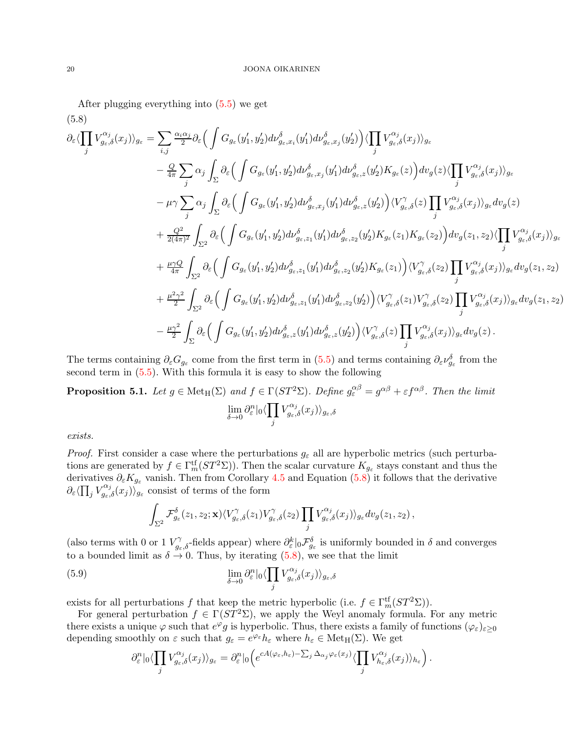After plugging everything into [\(5.5\)](#page-17-2) we get

<span id="page-19-0"></span>
$$
(5.8)
$$
\n
$$
\partial_{\varepsilon}\langle\prod_{j}V_{g_{\varepsilon},\delta}^{\alpha_{j}}(x_{j})\rangle_{g_{\varepsilon}} = \sum_{i,j} \frac{\alpha_{i}\alpha_{j}}{2} \partial_{\varepsilon} \Big(\int G_{g_{\varepsilon}}(y'_{1}, y'_{2}) d\nu_{g_{\varepsilon},x_{i}}^{\delta}(y'_{1}) d\nu_{g_{\varepsilon},x_{j}}^{\delta}(y'_{2}) \Big) \langle\prod_{j}V_{g_{\varepsilon},\delta}^{\alpha_{j}}(x_{j})\rangle_{g_{\varepsilon}}
$$
\n
$$
- \frac{Q}{4\pi} \sum_{j} \alpha_{j} \int_{\Sigma} \partial_{\varepsilon} \Big(\int G_{g_{\varepsilon}}(y'_{1}, y'_{2}) d\nu_{g_{\varepsilon},x_{j}}^{\delta}(y'_{1}) d\nu_{g_{\varepsilon},z}^{\delta}(y'_{2}) K_{g_{\varepsilon}}(z) \Big) d\nu_{g}(z) \langle\prod_{j}V_{g_{\varepsilon},\delta}^{\alpha_{j}}(x_{j})\rangle_{g_{\varepsilon}}
$$
\n
$$
- \mu\gamma \sum_{j} \alpha_{j} \int_{\Sigma} \partial_{\varepsilon} \Big(\int G_{g_{\varepsilon}}(y'_{1}, y'_{2}) d\nu_{g_{\varepsilon},x_{j}}^{\delta}(y'_{1}) d\nu_{g_{\varepsilon},z}^{\delta}(y'_{2}) \Big) \langle V_{g_{\varepsilon},\delta}^{\gamma}(z) \prod_{j}V_{g_{\varepsilon},\delta}^{\alpha_{j}}(x_{j})\rangle_{g_{\varepsilon}} d\nu_{g}(z)
$$
\n
$$
+ \frac{Q^{2}}{2(4\pi)^{2}} \int_{\Sigma^{2}} \partial_{\varepsilon} \Big(\int G_{g_{\varepsilon}}(y'_{1}, y'_{2}) d\nu_{g_{\varepsilon},z_{1}}^{\delta}(y'_{1}) d\nu_{g_{\varepsilon},z_{2}}^{\delta}(y'_{2}) K_{g_{\varepsilon}}(z_{1}) K_{g_{\varepsilon}}(z_{2}) \Big) d\nu_{g}(z_{1},z_{2}) \langle\prod_{j}V_{g_{\varepsilon},\delta}^{\alpha_{j}}(x_{j})\rangle_{g_{\varepsilon}}
$$
\n

The terms containing  $\partial_{\varepsilon}G_{g_{\varepsilon}}$  come from the first term in [\(5.5\)](#page-17-2) and terms containing  $\partial_{\varepsilon}\nu_{g_{\varepsilon}}^{\delta}$  from the second term in [\(5.5\)](#page-17-2). With this formula it is easy to show the following

<span id="page-19-1"></span>**Proposition 5.1.** Let  $g \in \text{Met}_{H}(\Sigma)$  and  $f \in \Gamma(ST^2\Sigma)$ . Define  $g_{\varepsilon}^{\alpha\beta} = g^{\alpha\beta} + \varepsilon f^{\alpha\beta}$ . Then the limit lim  $\delta \rightarrow 0$  $\partial_{\varepsilon}^n | {\rm _0} \langle \prod$ j  $V_{g_{\varepsilon},\delta}^{\alpha_{j}}(x_{j})\rangle_{g_{\varepsilon},\delta}$ 

exists.

*Proof.* First consider a case where the perturbations  $g_{\varepsilon}$  all are hyperbolic metrics (such perturbations are generated by  $f \in \Gamma_m^{\text{tf}}(ST^2\Sigma)$ . Then the scalar curvature  $K_{g_{\varepsilon}}$  stays constant and thus the derivatives  $\partial_{\varepsilon}K_{g_{\varepsilon}}$  vanish. Then from Corollary [4.5](#page-16-0) and Equation [\(5.8\)](#page-19-0) it follows that the derivative  $\partial_{\varepsilon} \langle \prod_j V^{\alpha_j}_{g_{\varepsilon},\delta}(x_j) \rangle_{g_{\varepsilon}}^{\varepsilon}$  consist of terms of the form

$$
\int_{\Sigma^2} \mathcal{F}_{g_{\varepsilon}}^{\delta}(z_1, z_2; \mathbf{x}) \langle V_{g_{\varepsilon}, \delta}^{\gamma}(z_1) V_{g_{\varepsilon}, \delta}^{\gamma}(z_2) \prod_j V_{g_{\varepsilon}, \delta}^{\alpha_j}(x_j) \rangle_{g_{\varepsilon}} dv_g(z_1, z_2),
$$

(also terms with 0 or 1  $V_{g_{\varepsilon},\delta}^{\gamma}$ -fields appear) where  $\partial_{\varepsilon}^{k}|_{0}\mathcal{F}_{g_{\varepsilon}}^{\delta}$  is uniformly bounded in  $\delta$  and converges to a bounded limit as  $\delta \rightarrow 0$ . Thus, by iterating [\(5.8\)](#page-19-0), we see that the limit

(5.9) 
$$
\lim_{\delta \to 0} \partial_{\varepsilon}^{n} |_{0} \langle \prod_{j} V_{g_{\varepsilon},\delta}^{\alpha_{j}}(x_{j}) \rangle_{g_{\varepsilon},\delta}
$$

exists for all perturbations f that keep the metric hyperbolic (i.e.  $f \in \Gamma_m^{\text{tf}}(ST^2\Sigma)$ ).

For general perturbation  $f \in \Gamma(ST^2\Sigma)$ , we apply the Weyl anomaly formula. For any metric there exists a unique  $\varphi$  such that  $e^{\varphi}g$  is hyperbolic. Thus, there exists a family of functions  $(\varphi_{\varepsilon})_{\varepsilon \geq 0}$ depending smoothly on  $\varepsilon$  such that  $g_{\varepsilon} = e^{\varphi_{\varepsilon}} h_{\varepsilon}$  where  $h_{\varepsilon} \in \text{Met}_{H}(\Sigma)$ . We get

$$
\partial_{\varepsilon}^{n}|_{0}\langle \prod_{j}V_{g_{\varepsilon},\delta}^{\alpha_{j}}(x_{j})\rangle_{g_{\varepsilon}}=\partial_{\varepsilon}^{n}|_{0}\Big(e^{cA(\varphi_{\varepsilon},h_{\varepsilon})-\sum_{j}\Delta_{\alpha_{j}}\varphi_{\varepsilon}(x_{j})}\langle \prod_{j}V_{h_{\varepsilon},\delta}^{\alpha_{j}}(x_{j})\rangle_{h_{\varepsilon}}\Big).
$$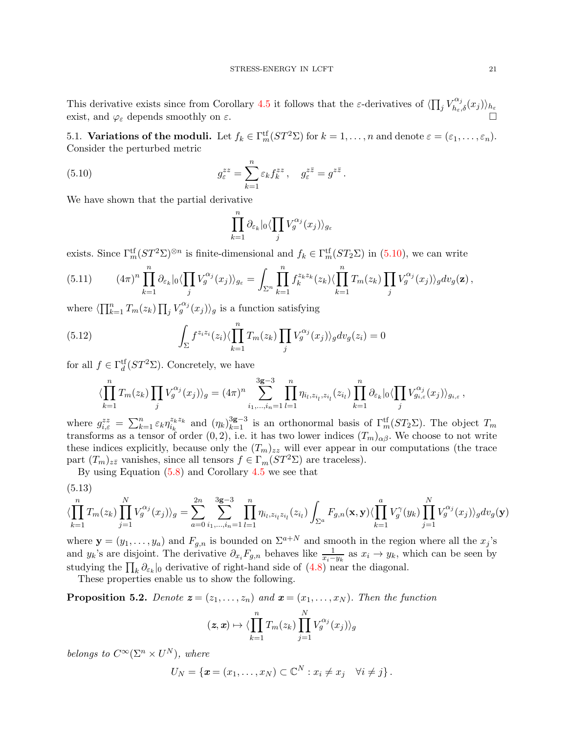This derivative exists since from Corollary [4.5](#page-16-0) it follows that the  $\varepsilon$ -derivatives of  $\langle \prod_j V_{h_{\varepsilon},\delta}^{\alpha_j}(x_j) \rangle_{h_{\varepsilon}}$ exist, and  $\varphi_{\varepsilon}$  depends smoothly on  $\varepsilon$ .

<span id="page-20-0"></span>5.1. **Variations of the moduli.** Let  $f_k \in \Gamma_m^{\text{tf}}(ST^2\Sigma)$  for  $k = 1, ..., n$  and denote  $\varepsilon = (\varepsilon_1, ..., \varepsilon_n)$ . Consider the perturbed metric

<span id="page-20-1"></span>(5.10) 
$$
g_{\varepsilon}^{zz} = \sum_{k=1}^{n} \varepsilon_k f_k^{zz}, \quad g_{\varepsilon}^{z\overline{z}} = g^{z\overline{z}}.
$$

We have shown that the partial derivative

$$
\prod_{k=1}^n \partial_{\varepsilon_k} |_0 \langle \prod_j V_g^{\alpha_j}(x_j) \rangle_{g_{\varepsilon}}
$$

exists. Since  $\Gamma_m^{\text{tf}}(ST^2\Sigma)^{\otimes n}$  is finite-dimensional and  $f_k \in \Gamma_m^{\text{tf}}(ST_2\Sigma)$  in [\(5.10\)](#page-20-1), we can write

<span id="page-20-3"></span>
$$
(5.11) \qquad (4\pi)^n \prod_{k=1}^n \partial_{\varepsilon_k} |_{0} \langle \prod_j V_g^{\alpha_j}(x_j) \rangle_{g_{\varepsilon}} = \int_{\Sigma^n} \prod_{k=1}^n f_k^{z_k z_k}(z_k) \langle \prod_{k=1}^n T_m(z_k) \prod_j V_g^{\alpha_j}(x_j) \rangle_g dv_g(\mathbf{z}),
$$

where  $\langle \prod_{k=1}^n T_m(z_k) \prod_j V_g^{\alpha_j}(x_j) \rangle_g$  is a function satisfying

<span id="page-20-4"></span>(5.12) 
$$
\int_{\Sigma} f^{z_iz_i}(z_i) \langle \prod_{k=1}^n T_m(z_k) \prod_j V_g^{\alpha_j}(x_j) \rangle_g dv_g(z_i) = 0
$$

for all  $f \in \Gamma_d^{\text{tf}}(ST^2\Sigma)$ . Concretely, we have

$$
\langle \prod_{k=1}^{n} T_m(z_k) \prod_j V_g^{\alpha_j}(x_j) \rangle_g = (4\pi)^n \sum_{i_1, \dots, i_n=1}^{3g-3} \prod_{l=1}^{n} \eta_{i_l, z_{i_l}, z_{i_l}}(z_{i_l}) \prod_{k=1}^{n} \partial_{\varepsilon_k} |_{0} \langle \prod_j V_{g_{i,\varepsilon}}^{\alpha_j}(x_j) \rangle_{g_{i,\varepsilon}},
$$

where  $g_{i,\varepsilon}^{zz} = \sum_{k=1}^n \varepsilon_k \eta_{i_k}^{z_k z_k}$ <sup> $z_k z_k$ </sup> and  $(\eta_k)_{k=1}^{3g-3}$  is an orthonormal basis of  $\Gamma_m^{\text{tf}}(ST_2\Sigma)$ . The object  $T_m$ transforms as a tensor of order  $(0, 2)$ , i.e. it has two lower indices  $(T_m)_{\alpha\beta}$ . We choose to not write these indices explicitly, because only the  $(T_m)_{zz}$  will ever appear in our computations (the trace part  $(T_m)_{z\bar{z}}$  vanishes, since all tensors  $f \in \Gamma_m(ST^2\Sigma)$  are traceless).

By using Equation [\(5.8\)](#page-19-0) and Corollary [4.5](#page-16-0) we see that

<span id="page-20-2"></span>
$$
(5.13)
$$

$$
\langle \prod_{k=1}^{n} T_m(z_k) \prod_{j=1}^{N} V_g^{\alpha_j}(x_j) \rangle_g = \sum_{a=0}^{2n} \sum_{i_1, \dots, i_n=1}^{3g-3} \prod_{l=1}^{n} \eta_{i_l, z_{i_l} z_{i_l}}(z_{i_l}) \int_{\Sigma^a} F_{g,n}(\mathbf{x}, \mathbf{y}) \langle \prod_{k=1}^{a} V_g^{\gamma}(y_k) \prod_{j=1}^{N} V_g^{\alpha_j}(x_j) \rangle_g dv_g(\mathbf{y})
$$

where  $\mathbf{y} = (y_1, \dots, y_a)$  and  $F_{g,n}$  is bounded on  $\Sigma^{a+N}$  and smooth in the region where all the  $x_j$ 's and  $y_k$ 's are disjoint. The derivative  $\partial_{x_i} F_{g,n}$  behaves like  $\frac{1}{x_i-y_k}$  as  $x_i \to y_k$ , which can be seen by studying the  $\prod_k \partial_{\varepsilon_k}|_0$  derivative of right-hand side of  $(4.8)$  near the diagonal.

These properties enable us to show the following.

<span id="page-20-5"></span>**Proposition 5.2.** Denote  $\mathbf{z} = (z_1, \ldots, z_n)$  and  $\mathbf{x} = (x_1, \ldots, x_N)$ . Then the function

$$
(\mathbf{z}, \mathbf{x}) \mapsto \langle \prod_{k=1}^{n} T_m(z_k) \prod_{j=1}^{N} V_g^{\alpha_j}(x_j) \rangle_g
$$

belongs to  $C^{\infty}(\Sigma^n \times U^N)$ , where

$$
U_N = \{ \boldsymbol{x} = (x_1, \ldots, x_N) \subset \mathbb{C}^N : x_i \neq x_j \quad \forall i \neq j \}.
$$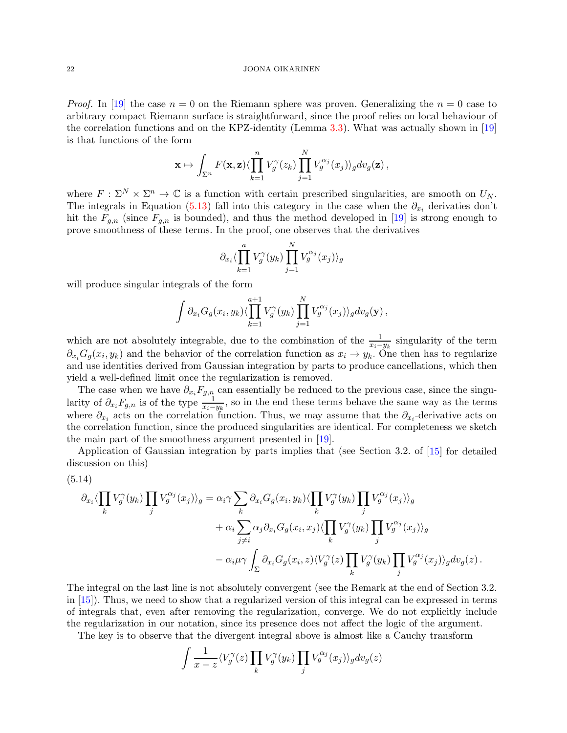*Proof.* In [\[19\]](#page-34-18) the case  $n = 0$  on the Riemann sphere was proven. Generalizing the  $n = 0$  case to arbitrary compact Riemann surface is straightforward, since the proof relies on local behaviour of the correlation functions and on the KPZ-identity (Lemma [3.3\)](#page-9-2). What was actually shown in [\[19\]](#page-34-18) is that functions of the form

$$
\mathbf{x} \mapsto \int_{\Sigma^n} F(\mathbf{x}, \mathbf{z}) \langle \prod_{k=1}^n V_g^{\gamma}(z_k) \prod_{j=1}^N V_g^{\alpha_j}(x_j) \rangle_g dv_g(\mathbf{z}),
$$

where  $F : \Sigma^N \times \Sigma^n \to \mathbb{C}$  is a function with certain prescribed singularities, are smooth on  $U_N$ . The integrals in Equation [\(5.13\)](#page-20-2) fall into this category in the case when the  $\partial_{x_i}$  derivaties don't hit the  $F_{q,n}$  (since  $F_{q,n}$  is bounded), and thus the method developed in [\[19\]](#page-34-18) is strong enough to prove smoothness of these terms. In the proof, one observes that the derivatives

$$
\partial_{x_i} \langle \prod_{k=1}^a V_g^{\gamma}(y_k) \prod_{j=1}^N V_g^{\alpha_j}(x_j) \rangle_g
$$

will produce singular integrals of the form

$$
\int \partial_{x_i} G_g(x_i, y_k) \langle \prod_{k=1}^{a+1} V_g^{\gamma}(y_k) \prod_{j=1}^N V_g^{\alpha_j}(x_j) \rangle_g dv_g(\mathbf{y}),
$$

which are not absolutely integrable, due to the combination of the  $\frac{1}{x_i-y_k}$  singularity of the term  $\partial_{x_i}G_g(x_i, y_k)$  and the behavior of the correlation function as  $x_i \to y_k$ . One then has to regularize and use identities derived from Gaussian integration by parts to produce cancellations, which then yield a well-defined limit once the regularization is removed.

The case when we have  $\partial_{x_i}F_{g,n}$  can essentially be reduced to the previous case, since the singularity of  $\partial_{x_i} F_{g,n}$  is of the type  $\frac{1}{x_i-y_k}$ , so in the end these terms behave the same way as the terms where  $\partial_{x_i}$  acts on the correlation function. Thus, we may assume that the  $\partial_{x_i}$ -derivative acts on the correlation function, since the produced singularities are identical. For completeness we sketch the main part of the smoothness argument presented in [\[19\]](#page-34-18).

Application of Gaussian integration by parts implies that (see Section 3.2. of [\[15\]](#page-34-8) for detailed discussion on this)

<span id="page-21-0"></span>
$$
(5.14)
$$

$$
\partial_{x_i} \langle \prod_k V_j^{\gamma}(y_k) \prod_j V_g^{\alpha_j}(x_j) \rangle_g = \alpha_i \gamma \sum_k \partial_{x_i} G_g(x_i, y_k) \langle \prod_k V_j^{\gamma}(y_k) \prod_j V_g^{\alpha_j}(x_j) \rangle_g
$$
  
+ 
$$
\alpha_i \sum_{j \neq i} \alpha_j \partial_{x_i} G_g(x_i, x_j) \langle \prod_k V_j^{\gamma}(y_k) \prod_j V_g^{\alpha_j}(x_j) \rangle_g
$$
  
- 
$$
\alpha_i \mu \gamma \int_{\Sigma} \partial_{x_i} G_g(x_i, z) \langle V_g^{\gamma}(z) \prod_k V_j^{\gamma}(y_k) \prod_j V_g^{\alpha_j}(x_j) \rangle_g dv_g(z).
$$

The integral on the last line is not absolutely convergent (see the Remark at the end of Section 3.2. in [\[15\]](#page-34-8)). Thus, we need to show that a regularized version of this integral can be expressed in terms of integrals that, even after removing the regularization, converge. We do not explicitly include the regularization in our notation, since its presence does not affect the logic of the argument.

The key is to observe that the divergent integral above is almost like a Cauchy transform

$$
\int \frac{1}{x-z} \langle V_g^{\gamma}(z) \prod_k V_g^{\gamma}(y_k) \prod_j V_g^{\alpha_j}(x_j) \rangle_g dv_g(z)
$$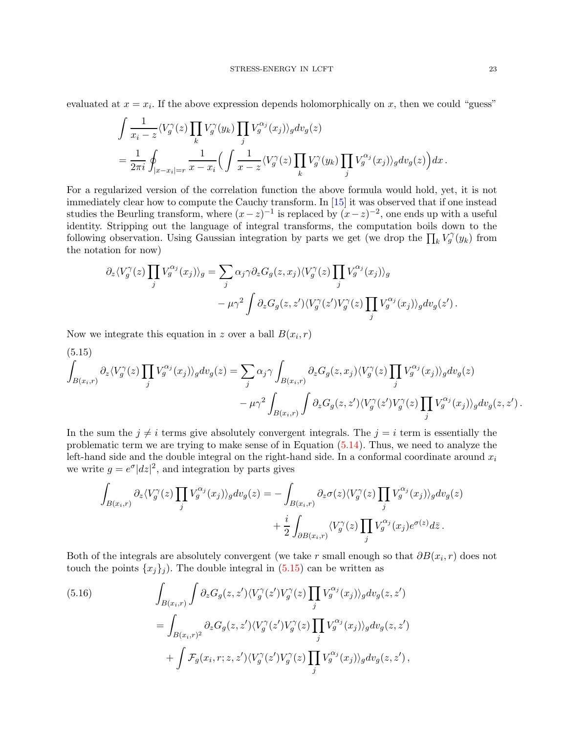evaluated at  $x = x_i$ . If the above expression depends holomorphically on x, then we could "guess"

$$
\begin{split} & \int \frac{1}{x_i-z} \langle V_g^\gamma(z) \prod_k V_g^\gamma(y_k) \prod_j V_g^{\alpha_j}(x_j) \rangle_g dv_g(z) \\ & = \frac{1}{2\pi i} \oint_{|x-x_i|=r} \frac{1}{x-x_i} \Big( \int \frac{1}{x-z} \langle V_g^\gamma(z) \prod_k V_g^\gamma(y_k) \prod_j V_g^{\alpha_j}(x_j) \rangle_g dv_g(z) \Big) dx \,. \end{split}
$$

For a regularized version of the correlation function the above formula would hold, yet, it is not immediately clear how to compute the Cauchy transform. In [\[15\]](#page-34-8) it was observed that if one instead studies the Beurling transform, where  $(x-z)^{-1}$  is replaced by  $(x-z)^{-2}$ , one ends up with a useful identity. Stripping out the language of integral transforms, the computation boils down to the following observation. Using Gaussian integration by parts we get (we drop the  $\prod_k V_g^{\gamma}(y_k)$  from the notation for now)

$$
\partial_z \langle V_g^{\gamma}(z) \prod_j V_g^{\alpha_j}(x_j) \rangle_g = \sum_j \alpha_j \gamma \partial_z G_g(z, x_j) \langle V_g^{\gamma}(z) \prod_j V_g^{\alpha_j}(x_j) \rangle_g
$$
  

$$
- \mu \gamma^2 \int \partial_z G_g(z, z') \langle V_g^{\gamma}(z') V_g^{\gamma}(z) \prod_j V_g^{\alpha_j}(x_j) \rangle_g dv_g(z').
$$

Now we integrate this equation in z over a ball  $B(x_i, r)$ 

<span id="page-22-0"></span>(5.15)  
\n
$$
\int_{B(x_i,r)} \partial_z \langle V_g^{\gamma}(z) \prod_j V_g^{\alpha_j}(x_j) \rangle_g dv_g(z) = \sum_j \alpha_j \gamma \int_{B(x_i,r)} \partial_z G_g(z, x_j) \langle V_g^{\gamma}(z) \prod_j V_g^{\alpha_j}(x_j) \rangle_g dv_g(z) - \mu \gamma^2 \int_{B(x_i,r)} \int \partial_z G_g(z, z') \langle V_g^{\gamma}(z') V_g^{\gamma}(z) \prod_j V_g^{\alpha_j}(x_j) \rangle_g dv_g(z, z').
$$

In the sum the  $j \neq i$  terms give absolutely convergent integrals. The  $j = i$  term is essentially the problematic term we are trying to make sense of in Equation [\(5.14\)](#page-21-0). Thus, we need to analyze the left-hand side and the double integral on the right-hand side. In a conformal coordinate around  $x_i$ we write  $g = e^{\sigma} |dz|^2$ , and integration by parts gives

$$
\int_{B(x_i,r)} \partial_z \langle V_g^{\gamma}(z) \prod_j V_g^{\alpha_j}(x_j) \rangle_g dv_g(z) = - \int_{B(x_i,r)} \partial_z \sigma(z) \langle V_g^{\gamma}(z) \prod_j V_g^{\alpha_j}(x_j) \rangle_g dv_g(z) \n+ \frac{i}{2} \int_{\partial B(x_i,r)} \langle V_g^{\gamma}(z) \prod_j V_g^{\alpha_j}(x_j) e^{\sigma(z)} d\bar{z} .
$$

Both of the integrals are absolutely convergent (we take r small enough so that  $\partial B(x_i, r)$  does not touch the points  ${x_j}_j$ . The double integral in [\(5.15\)](#page-22-0) can be written as

<span id="page-22-1"></span>(5.16) 
$$
\int_{B(x_i,r)} \int \partial_z G_g(z, z') \langle V_g^{\gamma}(z') V_g^{\gamma}(z) \prod_j V_g^{\alpha_j}(x_j) \rangle_g dv_g(z, z')
$$

$$
= \int_{B(x_i,r)^2} \partial_z G_g(z, z') \langle V_g^{\gamma}(z') V_g^{\gamma}(z) \prod_j V_g^{\alpha_j}(x_j) \rangle_g dv_g(z, z')
$$

$$
+ \int \mathcal{F}_g(x_i, r; z, z') \langle V_g^{\gamma}(z') V_g^{\gamma}(z) \prod_j V_g^{\alpha_j}(x_j) \rangle_g dv_g(z, z'),
$$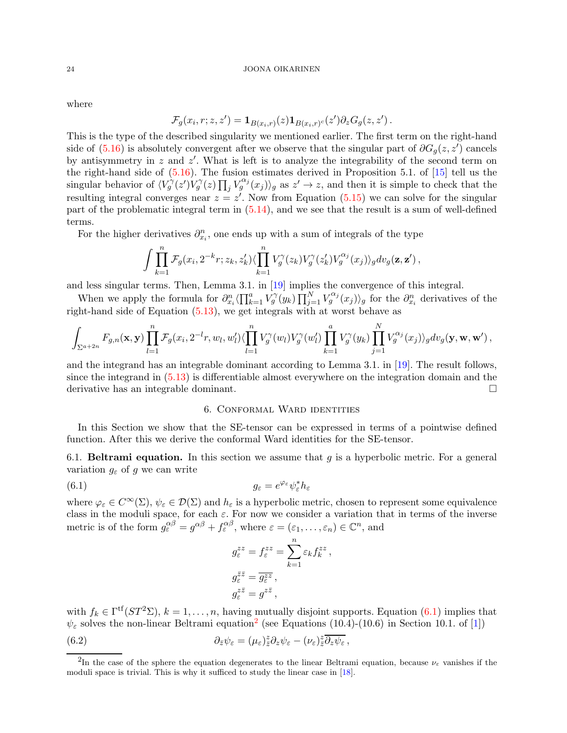where

$$
\mathcal{F}_g(x_i,r;z,z') = \mathbf{1}_{B(x_i,r)}(z)\mathbf{1}_{B(x_i,r)^c}(z')\partial_z G_g(z,z').
$$

This is the type of the described singularity we mentioned earlier. The first term on the right-hand side of  $(5.16)$  is absolutely convergent after we observe that the singular part of  $\partial G_g(z, z')$  cancels by antisymmetry in z and z'. What is left is to analyze the integrability of the second term on the right-hand side of  $(5.16)$ . The fusion estimates derived in Proposition 5.1. of  $[15]$  tell us the singular behavior of  $\langle V_g^{\gamma}(z) V_g^{\gamma}(z) \prod_j V_g^{\alpha_j}(x_j) \rangle_g$  as  $z' \to z$ , and then it is simple to check that the resulting integral converges near  $z = z'$ . Now from Equation  $(5.15)$  we can solve for the singular part of the problematic integral term in [\(5.14\)](#page-21-0), and we see that the result is a sum of well-defined terms.

For the higher derivatives  $\partial_{x_i}^n$ , one ends up with a sum of integrals of the type

$$
\int \prod_{k=1}^n \mathcal{F}_g(x_i, 2^{-k}r; z_k, z'_k) \langle \prod_{k=1}^n V_g^{\gamma}(z_k) V_g^{\gamma}(z'_k) V_g^{\alpha_j}(x_j) \rangle_g dv_g(\mathbf{z}, \mathbf{z}') ,
$$

and less singular terms. Then, Lemma 3.1. in [\[19\]](#page-34-18) implies the convergence of this integral.

When we apply the formula for  $\partial_{x_i}^n \langle \prod_{k=1}^a V_g^{\gamma}(y_k) \prod_{j=1}^N V_g^{\alpha_j}(x_j) \rangle_g$  for the  $\partial_{x_i}^n$  derivatives of the right-hand side of Equation [\(5.13\)](#page-20-2), we get integrals with at worst behave as

$$
\int_{\Sigma^{a+2n}} F_{g,n}(\mathbf{x},\mathbf{y}) \prod_{l=1}^n \mathcal{F}_g(x_i,2^{-l}r,w_l,w_l') \langle \prod_{l=1}^n V_g^{\gamma}(w_l) V_g^{\gamma}(w_l') \prod_{k=1}^a V_g^{\gamma}(y_k) \prod_{j=1}^N V_g^{\alpha_j}(x_j) \rangle_g dv_g(\mathbf{y},\mathbf{w},\mathbf{w}') ,
$$

and the integrand has an integrable dominant according to Lemma 3.1. in [\[19\]](#page-34-18). The result follows, since the integrand in [\(5.13\)](#page-20-2) is differentiable almost everywhere on the integration domain and the derivative has an integrable dominant.

## 6. Conformal Ward identities

<span id="page-23-0"></span>In this Section we show that the SE-tensor can be expressed in terms of a pointwise defined function. After this we derive the conformal Ward identities for the SE-tensor.

<span id="page-23-1"></span>6.1. **Beltrami equation.** In this section we assume that  $g$  is a hyperbolic metric. For a general variation  $g_{\varepsilon}$  of g we can write

<span id="page-23-2"></span>
$$
(6.1) \t\t\t g_{\varepsilon} = e^{\varphi_{\varepsilon}} \psi_{\varepsilon}^* h_{\varepsilon}
$$

where  $\varphi_{\varepsilon} \in C^{\infty}(\Sigma)$ ,  $\psi_{\varepsilon} \in \mathcal{D}(\Sigma)$  and  $h_{\varepsilon}$  is a hyperbolic metric, chosen to represent some equivalence class in the moduli space, for each  $\varepsilon$ . For now we consider a variation that in terms of the inverse metric is of the form  $g_{\varepsilon}^{\alpha\beta} = g^{\alpha\beta} + f_{\varepsilon}^{\alpha\beta}$ , where  $\varepsilon = (\varepsilon_1, \dots, \varepsilon_n) \in \mathbb{C}^n$ , and

$$
g_{\varepsilon}^{zz} = f_{\varepsilon}^{zz} = \sum_{k=1}^{n} \varepsilon_k f_k^{zz},
$$
  
\n
$$
g_{\varepsilon}^{\overline{z}\overline{z}} = \overline{g_{\varepsilon}^{zz}},
$$
  
\n
$$
g_{\varepsilon}^{z\overline{z}} = g^{z\overline{z}},
$$

with  $f_k \in \Gamma^{\text{tf}}(ST^2\Sigma)$ ,  $k = 1, \ldots, n$ , having mutually disjoint supports. Equation [\(6.1\)](#page-23-2) implies that  $\psi_{\varepsilon}$  solves the non-linear Beltrami equation<sup>[2](#page-23-3)</sup> (see Equations (10.4)-(10.6) in Section 10.1. of [\[1\]](#page-34-19))

<span id="page-23-4"></span>(6.2) 
$$
\partial_{\bar{z}}\psi_{\varepsilon} = (\mu_{\varepsilon})_{\bar{z}}^z \partial_z \psi_{\varepsilon} - (\nu_{\varepsilon})_{\bar{z}}^z \overline{\partial_z \psi_{\varepsilon}},
$$

<span id="page-23-3"></span><sup>&</sup>lt;sup>2</sup>In the case of the sphere the equation degenerates to the linear Beltrami equation, because  $\nu_{\varepsilon}$  vanishes if the moduli space is trivial. This is why it sufficed to study the linear case in [\[18\]](#page-34-9).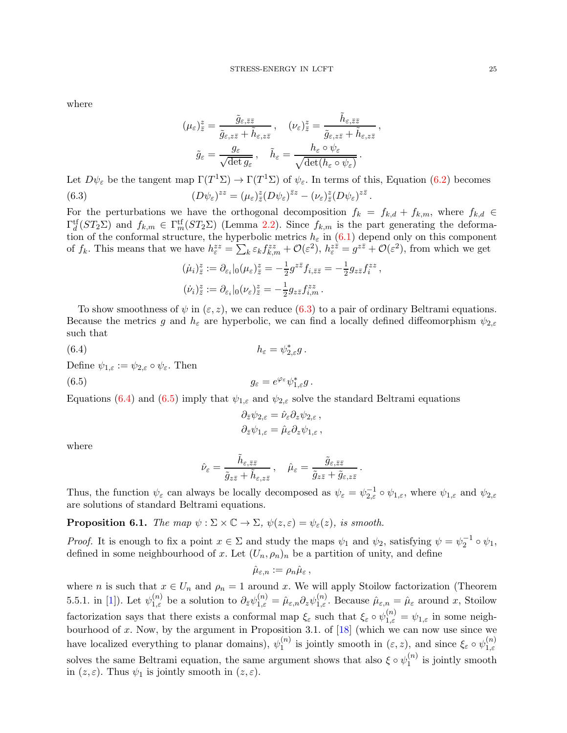where

$$
(\mu_{\varepsilon})_{\bar{z}}^z = \frac{\tilde{g}_{\varepsilon,\bar{z}\bar{z}}}{\tilde{g}_{\varepsilon,z\bar{z}} + \tilde{h}_{\varepsilon,z\bar{z}}}, \quad (\nu_{\varepsilon})_{\bar{z}}^z = \frac{\tilde{h}_{\varepsilon,\bar{z}\bar{z}}}{\tilde{g}_{\varepsilon,z\bar{z}} + \tilde{h}_{\varepsilon,z\bar{z}}},
$$

$$
\tilde{g}_{\varepsilon} = \frac{g_{\varepsilon}}{\sqrt{\det g_{\varepsilon}}}, \quad \tilde{h}_{\varepsilon} = \frac{h_{\varepsilon} \circ \psi_{\varepsilon}}{\sqrt{\det(h_{\varepsilon} \circ \psi_{\varepsilon})}}.
$$

<span id="page-24-0"></span>Let  $D\psi_{\varepsilon}$  be the tangent map  $\Gamma(T^1\Sigma) \to \Gamma(T^1\Sigma)$  of  $\psi_{\varepsilon}$ . In terms of this, Equation [\(6.2\)](#page-23-4) becomes (6.3)  $(D\psi_{\varepsilon})^{zz} = (\mu_{\varepsilon})_{\overline{z}}^z (D\psi_{\varepsilon})^{\overline{z}z} - (\nu_{\varepsilon})_{\overline{z}}^z (D\psi_{\varepsilon})^{z\overline{z}}.$ 

For the perturbations we have the orthogonal decomposition  $f_k = f_{k,d} + f_{k,m}$ , where  $f_{k,d} \in$  $\Gamma_d^{\text{tf}}(ST_2\Sigma)$  and  $f_{k,m} \in \Gamma_m^{\text{tf}}(ST_2\Sigma)$  (Lemma [2.2\)](#page-5-0). Since  $f_{k,m}$  is the part generating the deformation of the conformal structure, the hyperbolic metrics  $h_{\varepsilon}$  in [\(6.1\)](#page-23-2) depend only on this component of  $f_k$ . This means that we have  $h_{\varepsilon}^{zz} = \sum_k \varepsilon_k f_{k,m}^{zz} + \mathcal{O}(\varepsilon^2)$ ,  $h_{\varepsilon}^{z\bar{z}} = g^{z\bar{z}} + \mathcal{O}(\varepsilon^2)$ , from which we get

$$
\begin{aligned}\n(\dot{\mu}_i)^z_{\tilde{z}} &:= \partial_{\varepsilon_i}|_0(\mu_{\varepsilon})^z_{\tilde{z}} = -\frac{1}{2}g^{z\bar{z}}f_{i,\bar{z}\bar{z}} = -\frac{1}{2}g_{z\bar{z}}f_i^{z\bar{z}}\,,\\
(\dot{\nu}_i)^z_{\tilde{z}} &:= \partial_{\varepsilon_i}|_0(\nu_{\varepsilon})^z_{\tilde{z}} = -\frac{1}{2}g_{z\bar{z}}f_{i,m}^{zz}\,. \n\end{aligned}
$$

To show smoothness of  $\psi$  in  $(\varepsilon, z)$ , we can reduce [\(6.3\)](#page-24-0) to a pair of ordinary Beltrami equations. Because the metrics g and  $h_{\varepsilon}$  are hyperbolic, we can find a locally defined diffeomorphism  $\psi_{2,\varepsilon}$ such that

<span id="page-24-1"></span>(6.4) 
$$
h_{\varepsilon} = \psi_{2,\varepsilon}^* g.
$$
 Define  $\psi_{1,\varepsilon} := \psi_{2,\varepsilon} \circ \psi_{\varepsilon}.$  Then  
(6.5) 
$$
g_{\varepsilon} = e^{\varphi_{\varepsilon}} \psi_{1,\varepsilon}^* g.
$$

<span id="page-24-2"></span>Equations [\(6.4\)](#page-24-1) and [\(6.5\)](#page-24-2) imply that  $\psi_{1,\varepsilon}$  and  $\psi_{2,\varepsilon}$  solve the standard Beltrami equations

$$
\partial_{\bar{z}} \psi_{2,\varepsilon} = \hat{\nu}_{\varepsilon} \partial_z \psi_{2,\varepsilon} ,
$$
  

$$
\partial_{\bar{z}} \psi_{1,\varepsilon} = \hat{\mu}_{\varepsilon} \partial_z \psi_{1,\varepsilon} ,
$$

where

$$
\hat{\nu}_{\varepsilon}=\frac{\tilde{h}_{\varepsilon,\bar{z}\bar{z}}}{\tilde{g}_{z\bar{z}}+\tilde{h}_{\varepsilon,z\bar{z}}}\,,\quad\hat{\mu}_{\varepsilon}=\frac{\tilde{g}_{\varepsilon,\bar{z}\bar{z}}}{\tilde{g}_{z\bar{z}}+\tilde{g}_{\varepsilon,z\bar{z}}}\,.
$$

Thus, the function  $\psi_{\varepsilon}$  can always be locally decomposed as  $\psi_{\varepsilon} = \psi_{2,\varepsilon}^{-1} \circ \psi_{1,\varepsilon}$ , where  $\psi_{1,\varepsilon}$  and  $\psi_{2,\varepsilon}$ are solutions of standard Beltrami equations.

**Proposition 6.1.** The map  $\psi : \Sigma \times \mathbb{C} \to \Sigma$ ,  $\psi(z, \varepsilon) = \psi_{\varepsilon}(z)$ , is smooth.

*Proof.* It is enough to fix a point  $x \in \Sigma$  and study the maps  $\psi_1$  and  $\psi_2$ , satisfying  $\psi = \psi_2^{-1} \circ \psi_1$ , defined in some neighbourhood of x. Let  $(U_n, \rho_n)_n$  be a partition of unity, and define

$$
\hat{\mu}_{\varepsilon,n}:=\rho_n\hat{\mu}_{\varepsilon}\,,
$$

where n is such that  $x \in U_n$  and  $\rho_n = 1$  around x. We will apply Stoilow factorization (Theorem 5.5.1. in [\[1\]](#page-34-19)). Let  $\psi_{1,\varepsilon}^{(n)}$  be a solution to  $\partial_{\bar{z}}\psi_{1,\varepsilon}^{(n)}$  $\hat{\mu}_{1,\varepsilon}^{(n)} = \hat{\mu}_{\varepsilon,n} \partial_z \psi_{1,\varepsilon}^{(n)}$ . Because  $\hat{\mu}_{\varepsilon,n} = \hat{\mu}_{\varepsilon}$  around x, Stoilow factorization says that there exists a conformal map  $\xi_{\varepsilon}$  such that  $\xi_{\varepsilon} \circ \psi_{1,\varepsilon}^{(n)} = \psi_{1,\varepsilon}$  in some neighbourhood of  $x$ . Now, by the argument in Proposition 3.1. of  $[18]$  (which we can now use since we have localized everything to planar domains),  $\psi_1^{(n)}$  $\binom{n}{1}$  is jointly smooth in  $(\varepsilon, z)$ , and since  $\xi_{\varepsilon} \circ \psi_{1, \varepsilon}^{(n)}$  $1,\varepsilon$ solves the same Beltrami equation, the same argument shows that also  $\xi \circ \psi_1^{(n)}$  $j^{(n)}_1$  is jointly smooth in  $(z, \varepsilon)$ . Thus  $\psi_1$  is jointly smooth in  $(z, \varepsilon)$ .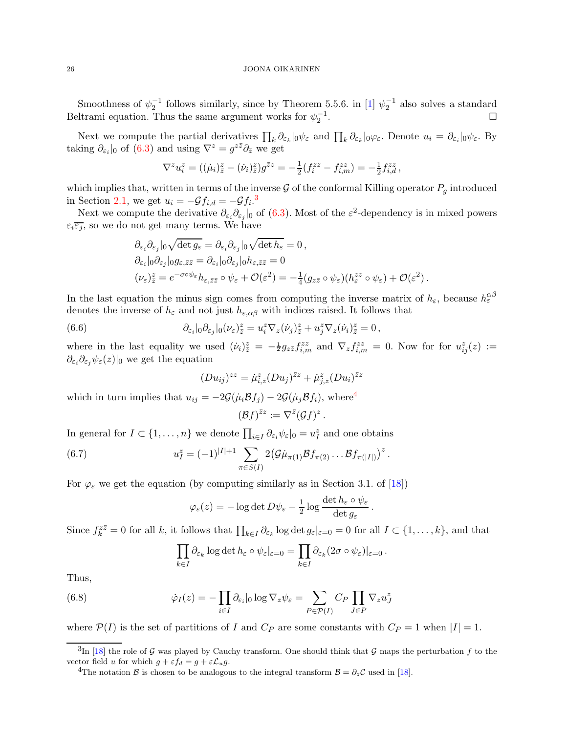Smoothness of  $\psi_2^{-1}$  follows similarly, since by Theorem 5.5.6. in [\[1\]](#page-34-19)  $\psi_2^{-1}$  also solves a standard Beltrami equation. Thus the same argument works for  $\psi_2^{-1}$ .

Next we compute the partial derivatives  $\prod_k \partial_{\varepsilon_k} |_{0} \psi_{\varepsilon}$  and  $\prod_k \partial_{\varepsilon_k} |_{0} \varphi_{\varepsilon}$ . Denote  $u_i = \partial_{\varepsilon_i} |_{0} \psi_{\varepsilon}$ . By taking  $\partial_{\varepsilon_i}|_0$  of [\(6.3\)](#page-24-0) and using  $\nabla^z = g^{z\bar{z}}\partial_{\bar{z}}$  we get

$$
\nabla^z u_i^z = ((\dot{\mu}_i)^z - (\dot{\nu}_i)^z) g^{\bar{z}z} = -\frac{1}{2} (f_i^{zz} - f_{i,m}^{zz}) = -\frac{1}{2} f_{i,d}^{zz},
$$

which implies that, written in terms of the inverse  $\mathcal G$  of the conformal Killing operator  $P_g$  introduced in Section [2.1,](#page-6-0) we get  $u_i = -\mathcal{G}f_{i,d} = -\mathcal{G}f_i$ .<sup>[3](#page-25-0)</sup>

Next we compute the derivative  $\partial_{\varepsilon_i}\partial_{\varepsilon_j}|_0$  of [\(6.3\)](#page-24-0). Most of the  $\varepsilon^2$ -dependency is in mixed powers  $\varepsilon_i \overline{\varepsilon_j}$ , so we do not get many terms. We have

$$
\partial_{\varepsilon_i} \partial_{\varepsilon_j} |_{0} \sqrt{\det g_{\varepsilon}} = \partial_{\varepsilon_i} \partial_{\varepsilon_j} |_{0} \sqrt{\det h_{\varepsilon}} = 0,
$$
  
\n
$$
\partial_{\varepsilon_i} |_{0} \partial_{\varepsilon_j} |_{0} g_{\varepsilon, \bar{z}\bar{z}} = \partial_{\varepsilon_i} |_{0} \partial_{\varepsilon_j} |_{0} h_{\varepsilon, \bar{z}\bar{z}} = 0
$$
  
\n
$$
(\nu_{\varepsilon})^z_{\bar{z}} = e^{-\sigma \circ \psi_{\varepsilon}} h_{\varepsilon, \bar{z}\bar{z}} \circ \psi_{\varepsilon} + \mathcal{O}(\varepsilon^2) = -\frac{1}{4} (g_{z\bar{z}} \circ \psi_{\varepsilon}) (h_{\varepsilon}^{zz} \circ \psi_{\varepsilon}) + \mathcal{O}(\varepsilon^2).
$$

In the last equation the minus sign comes from computing the inverse matrix of  $h_{\varepsilon}$ , because  $h_{\varepsilon}^{\alpha\beta}$ denotes the inverse of  $h_{\varepsilon}$  and not just  $h_{\varepsilon,\alpha\beta}$  with indices raised. It follows that

(6.6) 
$$
\partial_{\varepsilon_i}|_0 \partial_{\varepsilon_j}|_0 (\nu_{\varepsilon})_z^z = u_i^z \nabla_z (\dot{\nu}_j)_z^z + u_j^z \nabla_z (\dot{\nu}_i)_z^z = 0,
$$

where in the last equality we used  $(\dot{\nu}_i)^z_{\bar{z}} = -\frac{1}{2} g_{z\bar{z}} f^{zz}_{i,m}$  and  $\nabla_z f^{zz}_{i,m} = 0$ . Now for for  $u^z_{ij}(z) :=$  $\partial_{\varepsilon_i}\partial_{\varepsilon_j}\psi_{\varepsilon}(z)|_0$  we get the equation

$$
(Du_{ij})^{zz} = \dot{\mu}_{i,\bar{z}}^z (Du_j)^{\bar{z}z} + \dot{\mu}_{j,\bar{z}}^z (Du_i)^{\bar{z}z}
$$

which in turn implies that  $u_{ij} = -2\mathcal{G}(\mu_i \mathcal{B}f_j) - 2\mathcal{G}(\mu_j \mathcal{B}f_i)$ , where<sup>[4](#page-25-1)</sup>

$$
(\mathcal{B}f)^{\bar zz}:=\nabla^{\bar z}(\mathcal{G}f)^z
$$

.

.

In general for  $I \subset \{1, ..., n\}$  we denote  $\prod_{i \in I} \partial_{\varepsilon_i} \psi_{\varepsilon} |_{0} = u_I^z$  and one obtains

<span id="page-25-3"></span>(6.7) 
$$
u_I^z = (-1)^{|I|+1} \sum_{\pi \in S(I)} 2(\mathcal{G}\mu_{\pi(1)} \mathcal{B}f_{\pi(2)} \dots \mathcal{B}f_{\pi(|I|)})^z.
$$

For  $\varphi_{\varepsilon}$  we get the equation (by computing similarly as in Section 3.1. of [\[18\]](#page-34-9))

$$
\varphi_{\varepsilon}(z) = -\log \det D\psi_{\varepsilon} - \frac{1}{2}\log \frac{\det h_{\varepsilon} \circ \psi_{\varepsilon}}{\det g_{\varepsilon}}
$$

Since  $f_k^{z\bar{z}} = 0$  for all k, it follows that  $\prod_{k \in I} \partial_{\varepsilon_k} \log \det g_{\varepsilon}|_{\varepsilon=0} = 0$  for all  $I \subset \{1, \ldots, k\}$ , and that

$$
\prod_{k\in I}\partial_{\varepsilon_k}\log\det h_{\varepsilon}\circ\psi_{\varepsilon}|_{\varepsilon=0}=\prod_{k\in I}\partial_{\varepsilon_k}(2\sigma\circ\psi_{\varepsilon})|_{\varepsilon=0}.
$$

Thus,

<span id="page-25-2"></span>(6.8) 
$$
\dot{\varphi}_I(z) = -\prod_{i \in I} \partial_{\varepsilon_i} |_{0} \log \nabla_z \psi_{\varepsilon} = \sum_{P \in \mathcal{P}(I)} C_P \prod_{J \in P} \nabla_z u_J^z
$$

where  $\mathcal{P}(I)$  is the set of partitions of I and  $C_P$  are some constants with  $C_P = 1$  when  $|I| = 1$ .

 ${}^{3}\text{In}$  [\[18\]](#page-34-9) the role of G was played by Cauchy transform. One should think that G maps the perturbation f to the vector field u for which  $g + \varepsilon f_d = g + \varepsilon \mathcal{L}_u g$ .

<span id="page-25-1"></span><span id="page-25-0"></span><sup>&</sup>lt;sup>4</sup>The notation B is chosen to be analogous to the integral transform  $B = \partial_z C$  used in [\[18\]](#page-34-9).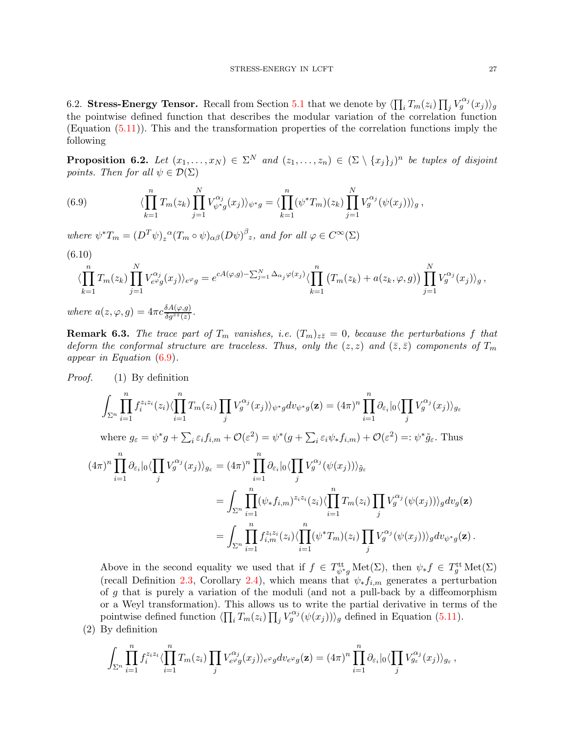<span id="page-26-0"></span>6.2. Stress-Energy Tensor. Recall from Section [5.1](#page-20-0) that we denote by  $\langle \prod_i T_m(z_i) \prod_j V_g^{\alpha_j}(x_j) \rangle_g$ the pointwise defined function that describes the modular variation of the correlation function (Equation [\(5.11\)](#page-20-3)). This and the transformation properties of the correlation functions imply the following

<span id="page-26-2"></span>**Proposition 6.2.** Let  $(x_1, \ldots, x_N) \in \Sigma^N$  and  $(z_1, \ldots, z_n) \in (\Sigma \setminus \{x_j\}_j)^n$  be tuples of disjoint points. Then for all  $\psi \in \mathcal{D}(\Sigma)$ 

<span id="page-26-1"></span>(6.9) 
$$
\langle \prod_{k=1}^{n} T_m(z_k) \prod_{j=1}^{N} V_{\psi^* g}^{\alpha_j}(x_j) \rangle_{\psi^* g} = \langle \prod_{k=1}^{n} (\psi^* T_m)(z_k) \prod_{j=1}^{N} V_g^{\alpha_j}(\psi(x_j)) \rangle_g,
$$

where  $\psi^* T_m = (D^T \psi)_z^{\alpha} (T_m \circ \psi)_{\alpha \beta} (D \psi)^{\beta} z$ , and for all  $\varphi \in C^{\infty}(\Sigma)$ 

(6.10)  
\n
$$
\langle \prod_{k=1}^{n} T_m(z_k) \prod_{j=1}^{N} V_{e^{\varphi} g}^{\alpha_j}(x_j) \rangle_{e^{\varphi} g} = e^{cA(\varphi,g) - \sum_{j=1}^{N} \Delta_{\alpha_j} \varphi(x_j)} \langle \prod_{k=1}^{n} (T_m(z_k) + a(z_k, \varphi, g)) \prod_{j=1}^{N} V_g^{\alpha_j}(x_j) \rangle_g,
$$
\nwhere  $a(z, \varphi, g) = 4\pi c \frac{\delta A(\varphi, g)}{\delta g^{z_2}(z)}$ .

**Remark 6.3.** The trace part of  $T_m$  vanishes, i.e.  $(T_m)_{z\bar{z}}=0$ , because the perturbations f that deform the conformal structure are traceless. Thus, only the  $(z, z)$  and  $(\bar{z}, \bar{z})$  components of  $T_m$ appear in Equation [\(6.9\)](#page-26-1).

*Proof.* (1) By definition  
\n
$$
\int_{\Sigma^n} \prod_{i=1}^n f_i^{z_i z_i}(z_i) \langle \prod_{i=1}^n T_m(z_i) \prod_j V_g^{\alpha_j}(x_j) \rangle_{\psi^*g} dv_{\psi^*g}(\mathbf{z}) = (4\pi)^n \prod_{i=1}^n \partial_{\varepsilon_i} |_{0} \langle \prod_j V_g^{\alpha_j}(x_j) \rangle_{g_{\varepsilon}}
$$
\nwhere  $g_{\varepsilon} = \psi^* g + \sum_i \varepsilon_i f_{i,m} + \mathcal{O}(\varepsilon^2) = \psi^*(g + \sum_i \varepsilon_i \psi_* f_{i,m}) + \mathcal{O}(\varepsilon^2) =: \psi^* \tilde{g}_{\varepsilon}$ . Thus  
\n
$$
(4\pi)^n \prod_{i=1}^n \partial_{\varepsilon_i} |_{0} \langle \prod_j V_g^{\alpha_j}(x_j) \rangle_{g_{\varepsilon}} = (4\pi)^n \prod_{i=1}^n \partial_{\varepsilon_i} |_{0} \langle \prod_j V_g^{\alpha_j}(\psi(x_j)) \rangle_{\tilde{g}_{\varepsilon}}
$$
\n
$$
= \int_{\Sigma^n} \prod_{i=1}^n (\psi_* f_{i,m})^{z_i z_i}(z_i) \langle \prod_{i=1}^n T_m(z_i) \prod_j V_g^{\alpha_j}(\psi(x_j)) \rangle_g dv_g(\mathbf{z})
$$
\n
$$
= \int_{\Sigma^n} \prod_{i=1}^n f_{i,m}^{z_i z_i}(z_i) \langle \prod_{i=1}^n (\psi^* T_m)(z_i) \prod_j V_g^{\alpha_j}(\psi(x_j)) \rangle_g dv_{\psi^*g}(\mathbf{z}) .
$$

Above in the second equality we used that if  $f \in T_{\psi^*g}^{\text{tt}} \text{Met}(\Sigma)$ , then  $\psi_* f \in T_g^{\text{tt}} \text{Met}(\Sigma)$ (recall Definition [2.3,](#page-5-1) Corollary [2.4\)](#page-5-2), which means that  $\psi_* f_{i,m}$  generates a perturbation of g that is purely a variation of the moduli (and not a pull-back by a diffeomorphism or a Weyl transformation). This allows us to write the partial derivative in terms of the pointwise defined function  $\langle \prod_i T_m(z_i) \prod_j V_g^{\alpha_j}(\psi(x_j)) \rangle_g$  defined in Equation [\(5.11\)](#page-20-3).

(2) By definition

$$
\int_{\Sigma^n} \prod_{i=1}^n f_i^{z_i z_i} \langle \prod_{i=1}^n T_m(z_i) \prod_j V_{e^{\varphi} g}^{\alpha_j}(x_j) \rangle_{e^{\varphi} g} dv_{e^{\varphi} g}(\mathbf{z}) = (4\pi)^n \prod_{i=1}^n \partial_{\varepsilon_i} |_{0} \langle \prod_j V_{g_{\varepsilon}}^{\alpha_j}(x_j) \rangle_{g_{\varepsilon}},
$$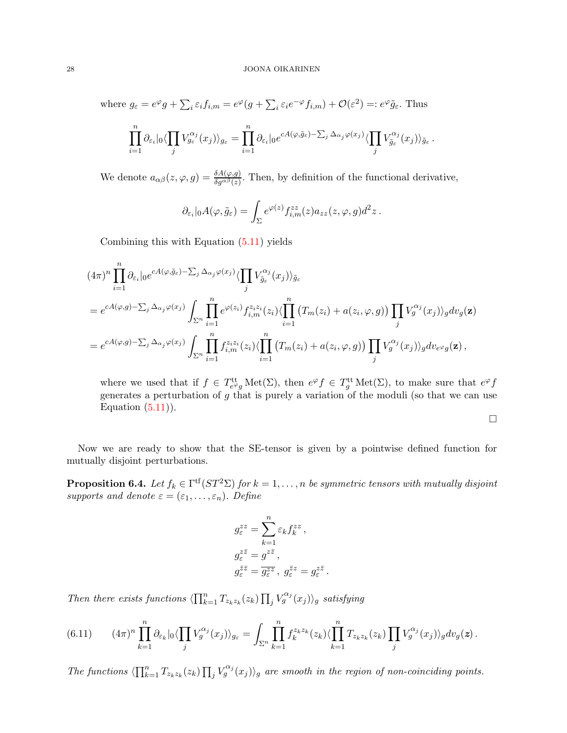where  $g_{\varepsilon} = e^{\varphi} g + \sum_{i} \varepsilon_{i} f_{i,m} = e^{\varphi} (g + \sum_{i} \varepsilon_{i} e^{-\varphi} f_{i,m}) + \mathcal{O}(\varepsilon^{2}) =: e^{\varphi} \tilde{g}_{\varepsilon}$ . Thus

$$
\prod_{i=1}^n \partial_{\varepsilon_i}|_0 \langle \prod_j V_{g_{\varepsilon}}^{\alpha_j}(x_j) \rangle_{g_{\varepsilon}} = \prod_{i=1}^n \partial_{\varepsilon_i}|_0 e^{cA(\varphi,\tilde{g}_{\varepsilon}) - \sum_j \Delta_{\alpha_j}\varphi(x_j)} \langle \prod_j V_{\tilde{g}_{\varepsilon}}^{\alpha_j}(x_j) \rangle_{\tilde{g}_{\varepsilon}}.
$$

We denote  $a_{\alpha\beta}(z,\varphi,g) = \frac{\delta A(\varphi,g)}{\delta g^{\alpha\beta}(z)}$ . Then, by definition of the functional derivative,

$$
\partial_{\varepsilon_i}|_0A(\varphi,\tilde g_\varepsilon)=\int_{\Sigma}e^{\varphi(z)}f^{zz}_{i,m}(z)a_{zz}(z,\varphi,g)d^2z.
$$

Combining this with Equation [\(5.11\)](#page-20-3) yields

$$
(4\pi)^n \prod_{i=1}^n \partial_{\varepsilon_i} |_{0} e^{cA(\varphi,\tilde{g}_{\varepsilon}) - \sum_j \Delta_{\alpha_j} \varphi(x_j)} \langle \prod_j V_{\tilde{g}_{\varepsilon}}^{\alpha_j}(x_j) \rangle_{\tilde{g}_{\varepsilon}}
$$
  
\n
$$
= e^{cA(\varphi,g) - \sum_j \Delta_{\alpha_j} \varphi(x_j)} \int_{\Sigma^n} \prod_{i=1}^n e^{\varphi(z_i)} f_{i,m}^{z_i z_i}(z_i) \langle \prod_{i=1}^n (T_m(z_i) + a(z_i, \varphi, g)) \prod_j V_g^{\alpha_j}(x_j) \rangle_g dv_g(\mathbf{z})
$$
  
\n
$$
= e^{cA(\varphi,g) - \sum_j \Delta_{\alpha_j} \varphi(x_j)} \int_{\Sigma^n} \prod_{i=1}^n f_{i,m}^{z_i z_i}(z_i) \langle \prod_{i=1}^n (T_m(z_i) + a(z_i, \varphi, g)) \prod_j V_g^{\alpha_j}(x_j) \rangle_g dv_{e^{\varphi}g}(\mathbf{z}),
$$

where we used that if  $f \in T_{e^{\varphi}g}^{\text{tt}} \text{Met}(\Sigma)$ , then  $e^{\varphi} f \in T_g^{\text{tt}} \text{Met}(\Sigma)$ , to make sure that  $e^{\varphi} f$ generates a perturbation of  $g$  that is purely a variation of the moduli (so that we can use Equation  $(5.11)$ ).

 $\Box$ 

Now we are ready to show that the SE-tensor is given by a pointwise defined function for mutually disjoint perturbations.

<span id="page-27-0"></span>**Proposition 6.4.** Let  $f_k \in \Gamma^{\text{tf}}(ST^2\Sigma)$  for  $k = 1, ..., n$  be symmetric tensors with mutually disjoint supports and denote  $\varepsilon = (\varepsilon_1, \ldots, \varepsilon_n)$ . Define

$$
\begin{split} g^{zz}_\varepsilon &= \sum_{k=1}^n \varepsilon_k f^{zz}_k\,,\\ g^{z\bar{z}}_\varepsilon &= g^{z\bar{z}}\,,\\ g^{\bar{z}\bar{z}}_\varepsilon &= \overline{g^{zz}_\varepsilon}\,,\ g^{\bar{z}z}_\varepsilon = g^{z\bar{z}}_\varepsilon \end{split}
$$

.

Then there exists functions  $\langle \prod_{k=1}^n T_{z_k z_k}(z_k) \prod_j V_g^{\alpha_j}(x_j) \rangle_g$  satisfying

<span id="page-27-1"></span>
$$
(6.11) \qquad (4\pi)^n \prod_{k=1}^n \partial_{\varepsilon_k} |_{0} \langle \prod_j V_g^{\alpha_j}(x_j) \rangle_{g_{\varepsilon}} = \int_{\Sigma^n} \prod_{k=1}^n f_k^{z_k z_k}(z_k) \langle \prod_{k=1}^n T_{z_k z_k}(z_k) \prod_j V_g^{\alpha_j}(x_j) \rangle_g dv_g(\boldsymbol{z}).
$$

The functions  $\langle \prod_{k=1}^n T_{z_k z_k}(z_k) \prod_j V_g^{\alpha_j}(x_j) \rangle_g$  are smooth in the region of non-coinciding points.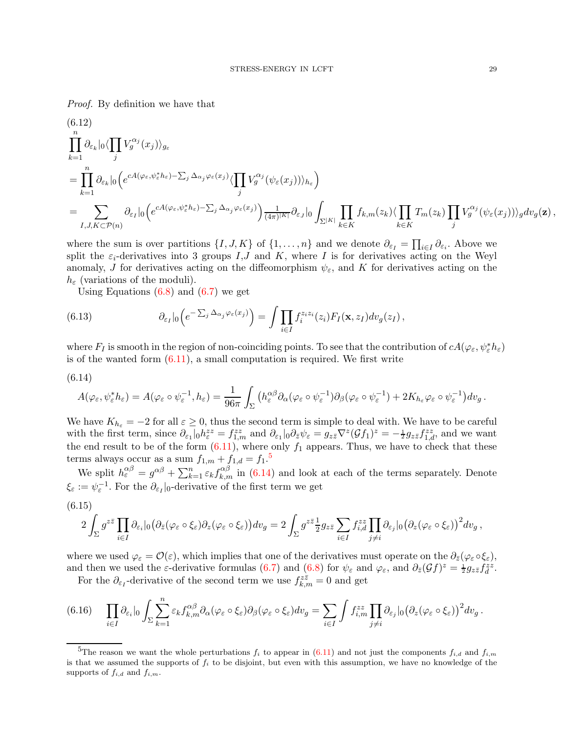Proof. By definition we have that

<span id="page-28-4"></span>
$$
(6.12)
$$
\n
$$
\prod_{k=1}^{n} \partial_{\varepsilon_k} |_{0} \langle \prod_{j} V_g^{\alpha_j}(x_j) \rangle_{g_{\varepsilon}}
$$
\n
$$
= \prod_{k=1}^{n} \partial_{\varepsilon_k} |_{0} \Big( e^{cA(\varphi_{\varepsilon}, \psi_{\varepsilon}^* h_{\varepsilon}) - \sum_j \Delta_{\alpha_j} \varphi_{\varepsilon}(x_j)} \langle \prod_j V_g^{\alpha_j} (\psi_{\varepsilon}(x_j)) \rangle_{h_{\varepsilon}} \Big)
$$
\n
$$
= \sum_{I, J, K \subset \mathcal{P}(n)} \partial_{\varepsilon_I} |_{0} \Big( e^{cA(\varphi_{\varepsilon}, \psi_{\varepsilon}^* h_{\varepsilon}) - \sum_j \Delta_{\alpha_j} \varphi_{\varepsilon}(x_j)} \Big) \frac{1}{(4\pi)^{|K|}} \partial_{\varepsilon_J} |_{0} \int_{\Sigma^{|K|}} \prod_{k \in K} f_{k,m}(z_k) \langle \prod_{j} T_m(z_k) \prod_j V_g^{\alpha_j} (\psi_{\varepsilon}(x_j)) \rangle_{g} dv_{g}(\mathbf{z}),
$$

where the sum is over partitions  $\{I, J, K\}$  of  $\{1, \ldots, n\}$  and we denote  $\partial_{\varepsilon_I} = \prod_{i \in I} \partial_{\varepsilon_i}$ . Above we split the  $\varepsilon_i$ -derivatives into 3 groups I,J and K, where I is for derivatives acting on the Weyl anomaly, J for derivatives acting on the diffeomorphism  $\psi_{\varepsilon}$ , and K for derivatives acting on the  $h_{\varepsilon}$  (variations of the moduli).

Using Equations  $(6.8)$  and  $(6.7)$  we get

<span id="page-28-5"></span>(6.13) 
$$
\partial_{\varepsilon_I}|_0\Big(e^{-\sum_j \Delta_{\alpha_j}\varphi_{\varepsilon}(x_j)}\Big)=\int \prod_{i\in I}f_i^{z_iz_i}(z_i)F_I(\mathbf{x},z_I)dv_g(z_I)\,,
$$

where  $F_I$  is smooth in the region of non-coinciding points. To see that the contribution of  $cA(\varphi_\varepsilon, \psi_\varepsilon^*\hbar_\varepsilon)$ is of the wanted form  $(6.11)$ , a small computation is required. We first write

<span id="page-28-1"></span>
$$
(6.14)
$$

$$
A(\varphi_{\varepsilon}, \psi_{\varepsilon}^* h_{\varepsilon}) = A(\varphi_{\varepsilon} \circ \psi_{\varepsilon}^{-1}, h_{\varepsilon}) = \frac{1}{96\pi} \int_{\Sigma} \left( h_{\varepsilon}^{\alpha\beta} \partial_{\alpha} (\varphi_{\varepsilon} \circ \psi_{\varepsilon}^{-1}) \partial_{\beta} (\varphi_{\varepsilon} \circ \psi_{\varepsilon}^{-1}) + 2K_{h_{\varepsilon}} \varphi_{\varepsilon} \circ \psi_{\varepsilon}^{-1} \right) dv_{g}.
$$

We have  $K_{h_{\varepsilon}} = -2$  for all  $\varepsilon \geq 0$ , thus the second term is simple to deal with. We have to be careful with the first term, since  $\partial_{\varepsilon_1}|_0 h_{\varepsilon}^{zz} = f_{1,m}^{zz}$  and  $\partial_{\varepsilon_1}|_0 \partial_{\bar{z}} \psi_{\varepsilon} = g_{z\bar{z}} \nabla^z (\mathcal{G} f_1)^z = -\frac{1}{2} g_{z\bar{z}} f_{1,d}^{zz}$ , and we want the end result to be of the form  $(6.11)$ , where only  $f_1$  appears. Thus, we have to check that these terms always occur as a sum  $f_{1,m} + f_{1,d} = f_1$ .<sup>[5](#page-28-0)</sup>

We split  $h_{\varepsilon}^{\alpha\beta} = g^{\alpha\beta} + \sum_{k=1}^{n} \varepsilon_k f_{k,m}^{\alpha\beta}$  in [\(6.14\)](#page-28-1) and look at each of the terms separately. Denote  $\xi_{\varepsilon} := \psi_{\varepsilon}^{-1}$ . For the  $\partial_{\varepsilon}$ <sub>1</sub> |<sub>0</sub>-derivative of the first term we get

<span id="page-28-2"></span>
$$
(6.15)
$$
\n
$$
2\int_{\Sigma} g^{z\bar{z}} \prod_{i\in I} \partial_{\varepsilon_i} |_{0} \big(\partial_{\bar{z}} (\varphi_{\varepsilon} \circ \xi_{\varepsilon}) \partial_{z} (\varphi_{\varepsilon} \circ \xi_{\varepsilon}) \big) dv_g = 2\int_{\Sigma} g^{z\bar{z}} \frac{1}{2} g_{z\bar{z}} \sum_{i\in I} f_{i,d}^{zz} \prod_{j \neq i} \partial_{\varepsilon_j} |_{0} \big(\partial_{z} (\varphi_{\varepsilon} \circ \xi_{\varepsilon}) \big)^2 dv_g ,
$$

where we used  $\varphi_{\varepsilon} = \mathcal{O}(\varepsilon)$ , which implies that one of the derivatives must operate on the  $\partial_{\bar{z}}(\varphi_{\varepsilon} \circ \xi_{\varepsilon})$ , and then we used the  $\varepsilon$ -derivative formulas [\(6.7\)](#page-25-3) and [\(6.8\)](#page-25-2) for  $\psi_{\varepsilon}$  and  $\varphi_{\varepsilon}$ , and  $\partial_{\bar{z}}(\mathcal{G}f)^{z} = \frac{1}{2}g_{z\bar{z}}f_{d}^{zz}$ .

For the  $\partial_{\varepsilon_I}$ -derivative of the second term we use  $f_{k,m}^{z\bar{z}} = 0$  and get

<span id="page-28-3"></span>
$$
(6.16)\quad \prod_{i\in I}\partial_{\varepsilon_i}|_0\int_{\Sigma}\sum_{k=1}^n\varepsilon_k f_{k,m}^{\alpha\beta}\partial_{\alpha}(\varphi_{\varepsilon}\circ\xi_{\varepsilon})\partial_{\beta}(\varphi_{\varepsilon}\circ\xi_{\varepsilon})dv_g=\sum_{i\in I}\int f_{i,m}^{zz}\prod_{j\neq i}\partial_{\varepsilon_j}|_0\big(\partial_z(\varphi_{\varepsilon}\circ\xi_{\varepsilon})\big)^2dv_g.
$$

<span id="page-28-0"></span><sup>&</sup>lt;sup>5</sup>The reason we want the whole perturbations  $f_i$  to appear in [\(6.11\)](#page-27-1) and not just the components  $f_{i,d}$  and  $f_{i,m}$ is that we assumed the supports of  $f_i$  to be disjoint, but even with this assumption, we have no knowledge of the supports of  $f_{i,d}$  and  $f_{i,m}$ .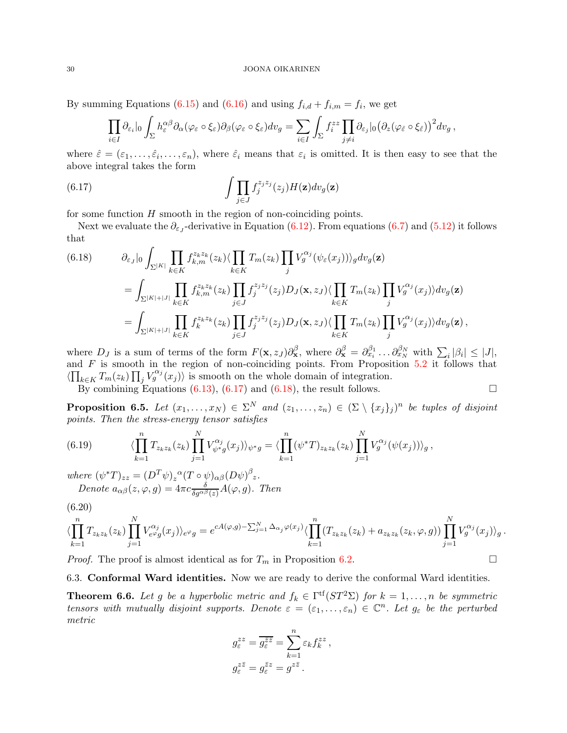By summing Equations [\(6.15\)](#page-28-2) and [\(6.16\)](#page-28-3) and using  $f_{i,d} + f_{i,m} = f_i$ , we get

$$
\prod_{i\in I}\partial_{\varepsilon_i}|_0\int_{\Sigma}h_{\varepsilon}^{\alpha\beta}\partial_{\alpha}(\varphi_{\varepsilon}\circ\xi_{\varepsilon})\partial_{\beta}(\varphi_{\varepsilon}\circ\xi_{\varepsilon})dv_g=\sum_{i\in I}\int_{\Sigma}f_{i}^{zz}\prod_{j\neq i}\partial_{\varepsilon_j}|_0\big(\partial_{z}(\varphi_{\varepsilon}\circ\xi_{\varepsilon})\big)^2dv_g,
$$

where  $\hat{\varepsilon} = (\varepsilon_1, \ldots, \hat{\varepsilon}_i, \ldots, \varepsilon_n)$ , where  $\hat{\varepsilon}_i$  means that  $\varepsilon_i$  is omitted. It is then easy to see that the above integral takes the form

<span id="page-29-2"></span>(6.17) 
$$
\int \prod_{j \in J} f_j^{z_j z_j}(z_j) H(\mathbf{z}) dv_g(\mathbf{z})
$$

for some function  $H$  smooth in the region of non-coinciding points.

Next we evaluate the  $\partial_{\varepsilon_{J}}$ -derivative in Equation [\(6.12\)](#page-28-4). From equations [\(6.7\)](#page-25-3) and [\(5.12\)](#page-20-4) it follows that

<span id="page-29-3"></span>(6.18) 
$$
\partial_{\varepsilon_{J}}|_{0} \int_{\Sigma^{|K|}} \prod_{k \in K} f_{k,m}^{z_{k}z_{k}}(z_{k}) \langle \prod_{k \in K} T_{m}(z_{k}) \prod_{j} V_{g}^{\alpha_{j}}(\psi_{\varepsilon}(x_{j})) \rangle_{g} dv_{g}(\mathbf{z})
$$
  
\n
$$
= \int_{\Sigma^{|K|+|J|}} \prod_{k \in K} f_{k,m}^{z_{k}z_{k}}(z_{k}) \prod_{j \in J} f_{j}^{z_{j}z_{j}}(z_{j}) D_{J}(\mathbf{x}, z_{J}) \langle \prod_{k \in K} T_{m}(z_{k}) \prod_{j} V_{g}^{\alpha_{j}}(x_{j}) \rangle dv_{g}(\mathbf{z})
$$
  
\n
$$
= \int_{\Sigma^{|K|+|J|}} \prod_{k \in K} f_{k}^{z_{k}z_{k}}(z_{k}) \prod_{j \in J} f_{j}^{z_{j}z_{j}}(z_{j}) D_{J}(\mathbf{x}, z_{J}) \langle \prod_{k \in K} T_{m}(z_{k}) \prod_{j} V_{g}^{\alpha_{j}}(x_{j}) \rangle dv_{g}(\mathbf{z}),
$$

where  $D_J$  is a sum of terms of the form  $F(\mathbf{x}, z_J) \partial_{\mathbf{x}}^{\beta}$ , where  $\partial_{\mathbf{x}}^{\beta} = \partial_{x_i}^{\beta_1} \dots \partial_{x_N}^{\beta_N}$  with  $\sum_i |\beta_i| \leq |J|$ , and  $F$  is smooth in the region of non-coinciding points. From Proposition [5.2](#page-20-5) it follows that  $\langle \prod_{k \in K} T_m(z_k) \prod_j V_g^{\alpha_j}(x_j) \rangle$  is smooth on the whole domain of integration.

By combining Equations [\(6.13\)](#page-28-5), [\(6.17\)](#page-29-2) and [\(6.18\)](#page-29-3), the result follows.  $\Box$ 

<span id="page-29-4"></span>**Proposition 6.5.** Let  $(x_1, \ldots, x_N) \in \Sigma^N$  and  $(z_1, \ldots, z_n) \in (\Sigma \setminus \{x_j\}_j)^n$  be tuples of disjoint points. Then the stress-energy tensor satisfies

(6.19) 
$$
\langle \prod_{k=1}^{n} T_{z_k z_k}(z_k) \prod_{j=1}^{N} V_{\psi^* g}^{\alpha_j}(x_j) \rangle_{\psi^* g} = \langle \prod_{k=1}^{n} (\psi^* T)_{z_k z_k}(z_k) \prod_{j=1}^{N} V_g^{\alpha_j}(\psi(x_j)) \rangle_g,
$$

where  $(\psi^* T)_{zz} = (D^T \psi)_z^{\alpha} (T \circ \psi)_{\alpha \beta} (D \psi)^{\beta}{}_z.$ Denote  $a_{\alpha\beta}(z,\varphi,g) = 4\pi c \frac{\delta}{\delta g^{\alpha\beta}(z)} A(\varphi,g)$ . Then

$$
(6.20)
$$

$$
\langle \prod_{k=1}^n T_{z_k z_k}(z_k) \prod_{j=1}^N V_{e^{\varphi} g}^{\alpha_j}(x_j) \rangle_{e^{\varphi} g} = e^{cA(\varphi,g) - \sum_{j=1}^N \Delta_{\alpha_j} \varphi(x_j)} \langle \prod_{k=1}^n (T_{z_k z_k}(z_k) + a_{z_k z_k}(z_k, \varphi, g)) \prod_{j=1}^N V_g^{\alpha_j}(x_j) \rangle_g.
$$

<span id="page-29-0"></span>*Proof.* The proof is almost identical as for  $T_m$  in Proposition [6.2.](#page-26-2)

6.3. Conformal Ward identities. Now we are ready to derive the conformal Ward identities.

<span id="page-29-1"></span>**Theorem 6.6.** Let g be a hyperbolic metric and  $f_k \in \Gamma^{\text{tf}}(ST^2\Sigma)$  for  $k = 1, ..., n$  be symmetric tensors with mutually disjoint supports. Denote  $\varepsilon = (\varepsilon_1, \ldots, \varepsilon_n) \in \mathbb{C}^n$ . Let  $g_{\varepsilon}$  be the perturbed metric

$$
g_{\varepsilon}^{zz} = \overline{g_{\varepsilon}^{\overline{z}\overline{z}}} = \sum_{k=1}^{n} \varepsilon_k f_k^{zz}
$$

$$
g_{\varepsilon}^{z\overline{z}} = g_{\varepsilon}^{\overline{z}z} = g^{z\overline{z}}.
$$

,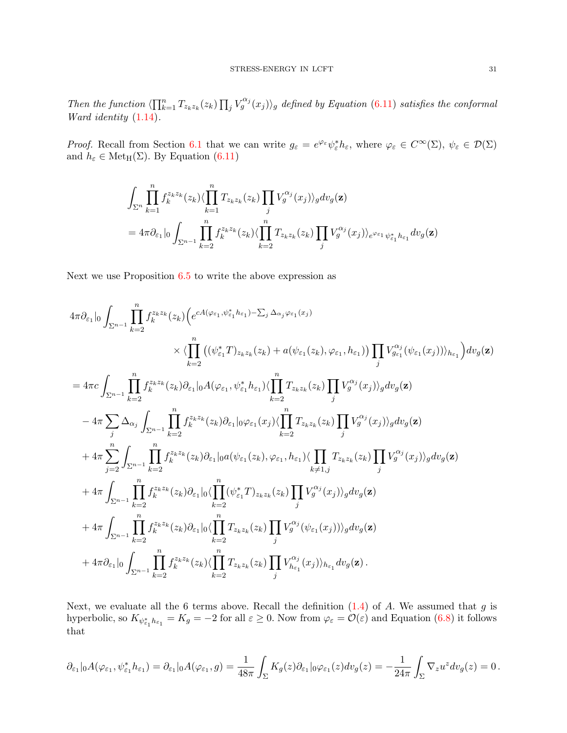Then the function  $\langle \prod_{k=1}^n T_{z_k z_k}(z_k) \prod_j V_g^{\alpha_j}(x_j) \rangle_g$  defined by Equation [\(6.11\)](#page-27-1) satisfies the conformal Ward identity [\(1.14\)](#page-3-2).

Proof. Recall from Section [6.1](#page-23-1) that we can write  $g_{\varepsilon} = e^{\varphi_{\varepsilon}} \psi_{\varepsilon}^* h_{\varepsilon}$ , where  $\varphi_{\varepsilon} \in C^{\infty}(\Sigma)$ ,  $\psi_{\varepsilon} \in \mathcal{D}(\Sigma)$ and  $h_{\varepsilon} \in \operatorname{Met}_{H}(\Sigma)$ . By Equation [\(6.11\)](#page-27-1)

$$
\int_{\Sigma^n} \prod_{k=1}^n f_k^{z_k z_k}(z_k) \langle \prod_{k=1}^n T_{z_k z_k}(z_k) \prod_j V_g^{\alpha_j}(x_j) \rangle_g dv_g(\mathbf{z})
$$
\n
$$
= 4\pi \partial_{\varepsilon_1}|_0 \int_{\Sigma^{n-1}} \prod_{k=2}^n f_k^{z_k z_k}(z_k) \langle \prod_{k=2}^n T_{z_k z_k}(z_k) \prod_j V_g^{\alpha_j}(x_j) \rangle_e^{\varphi_{\varepsilon_1}} \psi_{\varepsilon_1}^* h_{\varepsilon_1} dv_g(\mathbf{z})
$$

Next we use Proposition [6.5](#page-29-4) to write the above expression as

$$
\begin{split} 4\pi\partial_{\varepsilon_{1}}|_{0}\int_{\Sigma^{n-1}}\prod_{k=2}^{n}f_{k}^{z_{k}z_{k}}(z_{k})\Big(e^{cA(\varphi_{\varepsilon_{1}},\psi_{\varepsilon_{1}}^{*}h_{\varepsilon_{1}})-\sum_{j}\Delta_{\alpha_{j}}\varphi_{\varepsilon_{1}}(x_{j})\\ &\qquad \qquad \times\langle \prod_{k=2}^{n}\big((\psi_{\varepsilon_{1}}^{*}T)_{z_{k}z_{k}}(z_{k})+a(\psi_{\varepsilon_{1}}(z_{k}),\varphi_{\varepsilon_{1}},h_{\varepsilon_{1}})\big)\prod_{j}V_{g_{\varepsilon_{1}}}^{a_{j}}(\psi_{\varepsilon_{1}}(x_{j}))\rangle_{h_{\varepsilon_{1}}}\Big)dv_{g}(\mathbf{z})\\ =4\pi c\int_{\Sigma^{n-1}}\prod_{k=2}^{n}f_{k}^{z_{k}z_{k}}(z_{k})\partial_{\varepsilon_{1}}|_{0}A(\varphi_{\varepsilon_{1}},\psi_{\varepsilon_{1}}^{*}h_{\varepsilon_{1}})\langle \prod_{k=2}^{n}T_{z_{k}z_{k}}(z_{k})\prod_{j}V_{g}^{\alpha_{j}}(x_{j})\rangle_{g}dv_{g}(\mathbf{z})\\ &\qquad -4\pi\sum_{j}\Delta_{\alpha_{j}}\int_{\Sigma^{n-1}}\prod_{k=2}^{n}f_{k}^{z_{k}z_{k}}(z_{k})\partial_{\varepsilon_{1}}|_{0}\varphi_{\varepsilon_{1}}(x_{j})\langle \prod_{k=2}^{n}T_{z_{k}z_{k}}(z_{k})\prod_{j}V_{g}^{\alpha_{j}}(x_{j})\rangle_{g}dv_{g}(\mathbf{z})\\ &\qquad +4\pi\sum_{j=2}^{n}\int_{\Sigma^{n-1}}\prod_{k=2}^{n}f_{k}^{z_{k}z_{k}}(z_{k})\partial_{\varepsilon_{1}}|_{0}a(\psi_{\varepsilon_{1}}(z_{k}),\varphi_{\varepsilon_{1}},h_{\varepsilon_{1}})\langle \prod_{k\neq j}T_{z_{k}z_{k}}(z_{k})\prod_{j}V_{g}^{\alpha_{j}}(x_{j})\rangle_{g}dv_{g}(\mathbf{z})\\ &\qquad +4\
$$

Next, we evaluate all the 6 terms above. Recall the definition  $(1.4)$  of A. We assumed that g is hyperbolic, so  $K_{\psi_{\varepsilon_1}^* h_{\varepsilon_1}} = K_g = -2$  for all  $\varepsilon \ge 0$ . Now from  $\varphi_{\varepsilon} = \mathcal{O}(\varepsilon)$  and Equation [\(6.8\)](#page-25-2) it follows that

$$
\partial_{\varepsilon_1}|_0A(\varphi_{\varepsilon_1},\psi_{\varepsilon_1}^*h_{\varepsilon_1})=\partial_{\varepsilon_1}|_0A(\varphi_{\varepsilon_1},g)=\frac{1}{48\pi}\int_{\Sigma}K_g(z)\partial_{\varepsilon_1}|_0\varphi_{\varepsilon_1}(z)dv_g(z)=-\frac{1}{24\pi}\int_{\Sigma}\nabla_z u^zdv_g(z)=0\,.
$$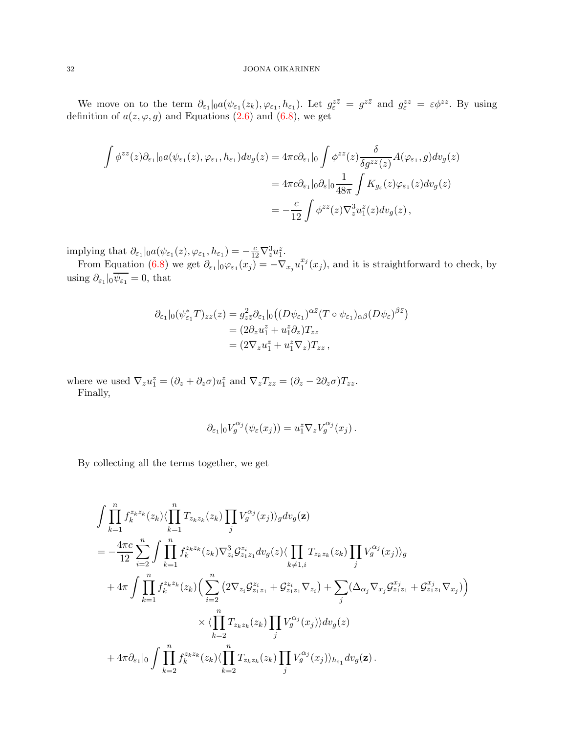We move on to the term  $\partial_{\varepsilon_1}|_{0}a(\psi_{\varepsilon_1}(z_k), \varphi_{\varepsilon_1}, h_{\varepsilon_1})$ . Let  $g_{\varepsilon}^{z\overline{z}} = g^{z\overline{z}}$  and  $g_{\varepsilon}^{zz} = \varepsilon \phi^{zz}$ . By using definition of  $a(z, \varphi, g)$  and Equations [\(2.6\)](#page-5-3) and [\(6.8\)](#page-25-2), we get

$$
\int \phi^{zz}(z)\partial_{\varepsilon_1}|_0 a(\psi_{\varepsilon_1}(z), \varphi_{\varepsilon_1}, h_{\varepsilon_1}) dv_g(z) = 4\pi c \partial_{\varepsilon_1}|_0 \int \phi^{zz}(z) \frac{\delta}{\delta g^{zz}(z)} A(\varphi_{\varepsilon_1}, g) dv_g(z)
$$
  

$$
= 4\pi c \partial_{\varepsilon_1}|_0 \partial_{\varepsilon}|_0 \frac{1}{48\pi} \int K_{g_{\varepsilon}}(z) \varphi_{\varepsilon_1}(z) dv_g(z)
$$
  

$$
= -\frac{c}{12} \int \phi^{zz}(z) \nabla_z^3 u_1^z(z) dv_g(z),
$$

implying that  $\partial_{\varepsilon_1}|_0 a(\psi_{\varepsilon_1}(z), \varphi_{\varepsilon_1}, h_{\varepsilon_1}) = -\frac{c}{12}\nabla_z^3 u_1^z$ .

From Equation [\(6.8\)](#page-25-2) we get  $\partial_{\varepsilon_1}|_0\varphi_{\varepsilon_1}(x_j) = -\nabla_{x_j}u_1^{x_j}$  $t_1^{x_j}(x_j)$ , and it is straightforward to check, by using  $\partial_{\varepsilon_1}|_0 \psi_{\varepsilon_1} = 0$ , that

$$
\partial_{\varepsilon_1}|_0(\psi_{\varepsilon_1}^*T)_{zz}(z) = g_{z\bar{z}}^2 \partial_{\varepsilon_1}|_0((D\psi_{\varepsilon_1})^{\alpha \bar{z}}(T \circ \psi_{\varepsilon_1})_{\alpha \beta}(D\psi_{\varepsilon})^{\beta \bar{z}})
$$
  
=  $(2\partial_z u_1^z + u_1^z \partial_z)T_{zz}$   
=  $(2\nabla_z u_1^z + u_1^z \nabla_z)T_{zz}$ ,

where we used  $\nabla_z u_1^z = (\partial_z + \partial_z \sigma) u_1^z$  and  $\nabla_z T_{zz} = (\partial_z - 2\partial_z \sigma) T_{zz}$ . Finally,

$$
\partial_{\varepsilon_1}|_0V_g^{\alpha_j}(\psi_{\varepsilon}(x_j))=u_1^z\nabla_zV_g^{\alpha_j}(x_j)\,.
$$

By collecting all the terms together, we get

$$
\int \prod_{k=1}^{n} f_{k}^{z_{k}z_{k}}(z_{k}) \langle \prod_{k=1}^{n} T_{z_{k}z_{k}}(z_{k}) \prod_{j} V_{g}^{\alpha_{j}}(x_{j}) \rangle_{g} dv_{g}(\mathbf{z})
$$
\n
$$
= -\frac{4\pi c}{12} \sum_{i=2}^{n} \int \prod_{k=1}^{n} f_{k}^{z_{k}z_{k}}(z_{k}) \nabla_{z_{i}}^{3} \mathcal{G}_{z_{1}z_{1}}^{z_{i}} dv_{g}(z) \langle \prod_{k \neq 1, i} T_{z_{k}z_{k}}(z_{k}) \prod_{j} V_{g}^{\alpha_{j}}(x_{j}) \rangle_{g}
$$
\n
$$
+ 4\pi \int \prod_{k=1}^{n} f_{k}^{z_{k}z_{k}}(z_{k}) \Big( \sum_{i=2}^{n} \left( 2\nabla_{z_{i}} \mathcal{G}_{z_{1}z_{1}}^{z_{i}} + \mathcal{G}_{z_{1}z_{1}}^{z_{i}} \nabla_{z_{i}} \right) + \sum_{j} (\Delta_{\alpha_{j}} \nabla_{x_{j}} \mathcal{G}_{z_{1}z_{1}}^{x_{j}} + \mathcal{G}_{z_{1}z_{1}}^{x_{j}} \nabla_{x_{j}}) \Big)
$$
\n
$$
\times \langle \prod_{k=2}^{n} T_{z_{k}z_{k}}(z_{k}) \prod_{j} V_{g}^{\alpha_{j}}(x_{j}) \rangle dv_{g}(z)
$$
\n
$$
+ 4\pi \partial_{\varepsilon_{1}} |_{0} \int \prod_{k=2}^{n} f_{k}^{z_{k}z_{k}}(z_{k}) \langle \prod_{k=2}^{n} T_{z_{k}z_{k}}(z_{k}) \prod_{j} V_{g}^{\alpha_{j}}(x_{j}) \rangle_{h_{\varepsilon_{1}}} dv_{g}(\mathbf{z}) .
$$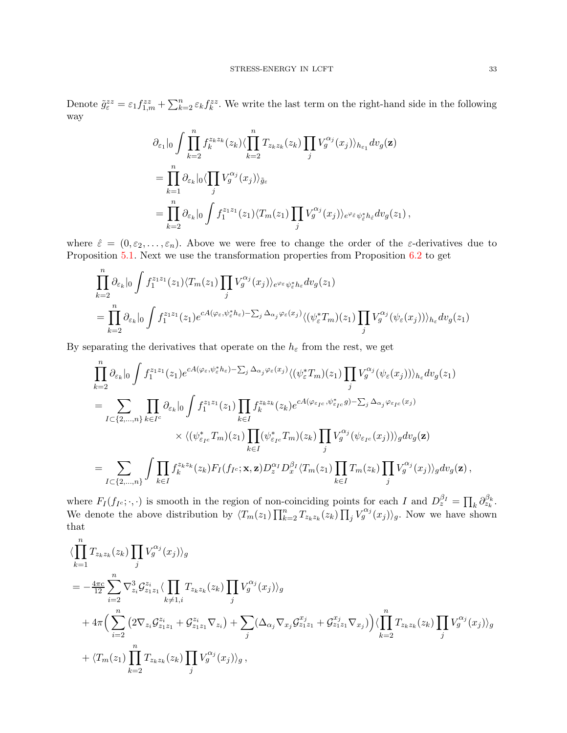$$
\partial_{\varepsilon_1}|_0 \int \prod_{k=2}^n f_k^{z_k z_k}(z_k) \langle \prod_{k=2}^n T_{z_k z_k}(z_k) \prod_j V_g^{\alpha_j}(x_j) \rangle_{h_{\varepsilon_1}} dv_g(\mathbf{z})
$$
  
\n
$$
= \prod_{k=1}^n \partial_{\varepsilon_k}|_0 \langle \prod_j V_g^{\alpha_j}(x_j) \rangle_{\tilde{g}_{\varepsilon}}
$$
  
\n
$$
= \prod_{k=2}^n \partial_{\varepsilon_k}|_0 \int f_1^{z_1 z_1}(z_1) \langle T_m(z_1) \prod_j V_g^{\alpha_j}(x_j) \rangle_{e^{\varphi_{\varepsilon}} \psi_{\varepsilon}^* h_{\varepsilon}} dv_g(z_1),
$$

where  $\hat{\varepsilon} = (0, \varepsilon_2, \dots, \varepsilon_n)$ . Above we were free to change the order of the  $\varepsilon$ -derivatives due to Proposition [5.1.](#page-19-1) Next we use the transformation properties from Proposition [6.2](#page-26-2) to get

$$
\prod_{k=2}^{n} \partial_{\varepsilon_k} |_{0} \int f_1^{z_1 z_1}(z_1) \langle T_m(z_1) \prod_j V_g^{\alpha_j}(x_j) \rangle_{e^{\varphi_{\varepsilon}} \psi_{\varepsilon}^* h_{\varepsilon}} dv_g(z_1)
$$
\n
$$
= \prod_{k=2}^{n} \partial_{\varepsilon_k} |_{0} \int f_1^{z_1 z_1}(z_1) e^{cA(\varphi_{\varepsilon}, \psi_{\varepsilon}^* h_{\varepsilon}) - \sum_j \Delta_{\alpha_j} \varphi_{\varepsilon}(x_j)} \langle (\psi_{\varepsilon}^* T_m)(z_1) \prod_j V_g^{\alpha_j} (\psi_{\varepsilon}(x_j)) \rangle_{h_{\varepsilon}} dv_g(z_1)
$$

By separating the derivatives that operate on the  $h_{\varepsilon}$  from the rest, we get

$$
\prod_{k=2}^{n} \partial_{\varepsilon_k} \Big|_{0} \int f_1^{z_1 z_1}(z_1) e^{cA(\varphi_{\varepsilon}, \psi_{\varepsilon}^* h_{\varepsilon}) - \sum_j \Delta_{\alpha_j} \varphi_{\varepsilon}(x_j) \langle (\psi_{\varepsilon}^* T_m)(z_1) \prod_j V_g^{\alpha_j}(\psi_{\varepsilon}(x_j)) \rangle_{h_{\varepsilon}} dv_g(z_1)
$$
\n
$$
= \sum_{I \subset \{2, \ldots, n\}} \prod_{k \in I} \partial_{\varepsilon_k} \Big|_{0} \int f_1^{z_1 z_1}(z_1) \prod_{k \in I} f_k^{z_k z_k}(z_k) e^{cA(\varphi_{\varepsilon_{I^c}}, \psi_{\varepsilon_{I^c}}^* g) - \sum_j \Delta_{\alpha_j} \varphi_{\varepsilon_{I^c}}(x_j)} \times \langle (\psi_{\varepsilon_{I^c}}^* T_m)(z_1) \prod_{k \in I} (\psi_{\varepsilon_{I^c}}^* T_m)(z_k) \prod_j V_g^{\alpha_j}(\psi_{\varepsilon_{I^c}}(x_j)) \rangle_g dv_g(\mathbf{z})
$$
\n
$$
= \sum_{I \subset \{2, \ldots, n\}} \int \prod_{k \in I} f_k^{z_k z_k}(z_k) F_I(f_{I^c}; \mathbf{x}, \mathbf{z}) D_z^{\alpha_I} D_x^{\beta_I} \langle T_m(z_1) \prod_{k \in I} T_m(z_k) \prod_j V_g^{\alpha_j}(x_j) \rangle_g dv_g(\mathbf{z}),
$$

where  $F_I(f_{I^c}; \cdot, \cdot)$  is smooth in the region of non-coinciding points for each I and  $D_z^{\beta_I} = \prod_k \partial_{z_k}^{\beta_k}$ . We denote the above distribution by  $\langle T_m(z_1) \prod_{k=2}^n T_{z_k z_k}(z_k) \prod_j V_g^{\alpha_j}(x_j) \rangle_g$ . Now we have shown that

$$
\langle \prod_{k=1}^{n} T_{z_k z_k}(z_k) \prod_j V_g^{\alpha_j}(x_j) \rangle_g
$$
\n
$$
= -\frac{4\pi c}{12} \sum_{i=2}^{n} \nabla_{z_i}^3 \mathcal{G}_{z_1 z_1}^{z_i} \langle \prod_{k \neq 1,i} T_{z_k z_k}(z_k) \prod_j V_g^{\alpha_j}(x_j) \rangle_g
$$
\n
$$
+ 4\pi \Big( \sum_{i=2}^{n} \left( 2\nabla_{z_i} \mathcal{G}_{z_1 z_1}^{z_i} + \mathcal{G}_{z_1 z_1}^{z_i} \nabla_{z_i} \right) + \sum_j \big( \Delta_{\alpha_j} \nabla_{x_j} \mathcal{G}_{z_1 z_1}^{x_j} + \mathcal{G}_{z_1 z_1}^{x_j} \nabla_{x_j} \big) \Big) \langle \prod_{k=2}^{n} T_{z_k z_k}(z_k) \prod_j V_g^{\alpha_j}(x_j) \rangle_g
$$
\n
$$
+ \langle T_m(z_1) \prod_{k=2}^{n} T_{z_k z_k}(z_k) \prod_j V_g^{\alpha_j}(x_j) \rangle_g,
$$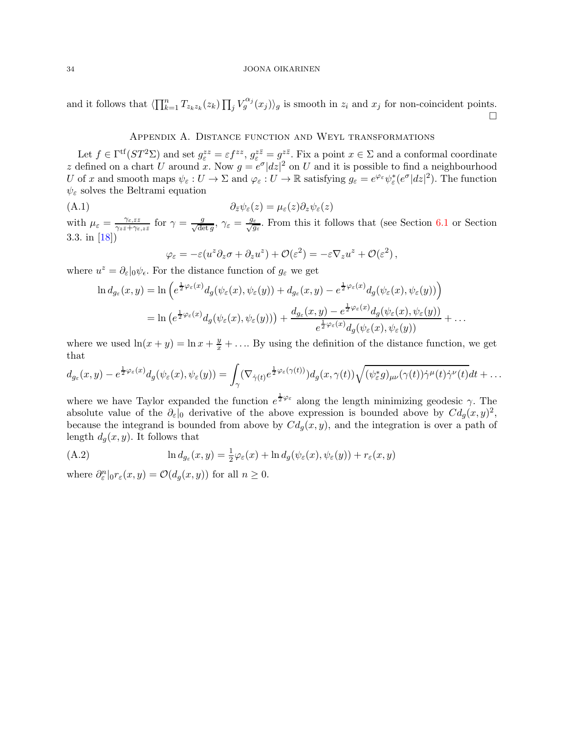<span id="page-33-0"></span>and it follows that  $\langle \prod_{k=1}^n T_{z_k z_k}(z_k) \prod_j V_g^{\alpha_j}(x_j) \rangle_g$  is smooth in  $z_i$  and  $x_j$  for non-coincident points.  $\Box$ 

## Appendix A. Distance function and Weyl transformations

Let  $f \in \Gamma^{\text{tf}}(ST^2\Sigma)$  and set  $g_{\varepsilon}^{zz} = \varepsilon f^{zz}$ ,  $g_{\varepsilon}^{z\overline{z}} = g^{z\overline{z}}$ . Fix a point  $x \in \Sigma$  and a conformal coordinate z defined on a chart U around x. Now  $g = e^{\sigma} |dz|^2$  on U and it is possible to find a neighbourhood U of x and smooth maps  $\psi_{\varepsilon}: U \to \Sigma$  and  $\varphi_{\varepsilon}: U \to \mathbb{R}$  satisfying  $g_{\varepsilon} = e^{\varphi_{\varepsilon}} \psi_{\varepsilon}^*(e^{\sigma}|dz|^2)$ . The function  $\psi_{\varepsilon}$  solves the Beltrami equation

(A.1)  $\partial_{\bar{z}}\psi_{\varepsilon}(z) = \mu_{\varepsilon}(z)\partial_{z}\psi_{\varepsilon}(z)$ 

with  $\mu_{\varepsilon} = \frac{\gamma_{\varepsilon,\bar{z}\bar{z}}}{\gamma_{z\bar{z}} + \gamma_{\varepsilon}}$  $\frac{\gamma_{\varepsilon,\bar{z}\bar{z}}}{\gamma_{z\bar{z}}+\gamma_{\varepsilon,z\bar{z}}}$  for  $\gamma=\frac{g}{\sqrt{\det g}},\,\gamma_{\varepsilon}=\frac{g_{\varepsilon}}{\sqrt{g}}$  $\frac{\varepsilon}{g_{\varepsilon}}$ . From this it follows that (see Section [6.1](#page-23-1) or Section 3.3. in [\[18\]](#page-34-9))

$$
\varphi_{\varepsilon} = -\varepsilon (u^z \partial_z \sigma + \partial_z u^z) + \mathcal{O}(\varepsilon^2) = -\varepsilon \nabla_z u^z + \mathcal{O}(\varepsilon^2) ,
$$

where  $u^z = \partial_{\varepsilon}|_0 \psi_{\varepsilon}$ . For the distance function of  $g_{\varepsilon}$  we get

$$
\ln d_{g_{\varepsilon}}(x,y) = \ln\left(e^{\frac{1}{2}\varphi_{\varepsilon}(x)}d_g(\psi_{\varepsilon}(x),\psi_{\varepsilon}(y)) + d_{g_{\varepsilon}}(x,y) - e^{\frac{1}{2}\varphi_{\varepsilon}(x)}d_g(\psi_{\varepsilon}(x),\psi_{\varepsilon}(y))\right)
$$
  

$$
= \ln\left(e^{\frac{1}{2}\varphi_{\varepsilon}(x)}d_g(\psi_{\varepsilon}(x),\psi_{\varepsilon}(y))\right) + \frac{d_{g_{\varepsilon}}(x,y) - e^{\frac{1}{2}\varphi_{\varepsilon}(x)}d_g(\psi_{\varepsilon}(x),\psi_{\varepsilon}(y))}{e^{\frac{1}{2}\varphi_{\varepsilon}(x)}d_g(\psi_{\varepsilon}(x),\psi_{\varepsilon}(y))} + \dots
$$

where we used  $\ln(x+y) = \ln x + \frac{y}{x} + \dots$  By using the definition of the distance function, we get that

$$
d_{g_{\varepsilon}}(x,y)-e^{\frac{1}{2}\varphi_{\varepsilon}(x)}d_{g}(\psi_{\varepsilon}(x),\psi_{\varepsilon}(y))=\int_{\gamma}(\nabla_{\dot{\gamma}(t)}e^{\frac{1}{2}\varphi_{\varepsilon}(\gamma(t))})d_{g}(x,\gamma(t))\sqrt{(\psi_{\varepsilon}^{*}g)_{\mu\nu}(\gamma(t))\dot{\gamma}^{\mu}(t)\dot{\gamma}^{\nu}(t)}dt+\ldots
$$

where we have Taylor expanded the function  $e^{\frac{1}{2}\varphi_{\varepsilon}}$  along the length minimizing geodesic  $\gamma$ . The absolute value of the  $\partial_{\varepsilon}|_0$  derivative of the above expression is bounded above by  $Cd_g(x, y)^2$ , because the integrand is bounded from above by  $Cd_q(x, y)$ , and the integration is over a path of length  $d_g(x, y)$ . It follows that

(A.2) 
$$
\ln d_{g_{\varepsilon}}(x, y) = \frac{1}{2}\varphi_{\varepsilon}(x) + \ln d_g(\psi_{\varepsilon}(x), \psi_{\varepsilon}(y)) + r_{\varepsilon}(x, y)
$$

where  $\partial_{\varepsilon}^{n}|_{0}r_{\varepsilon}(x,y) = \mathcal{O}(d_{g}(x,y))$  for all  $n \geq 0$ .